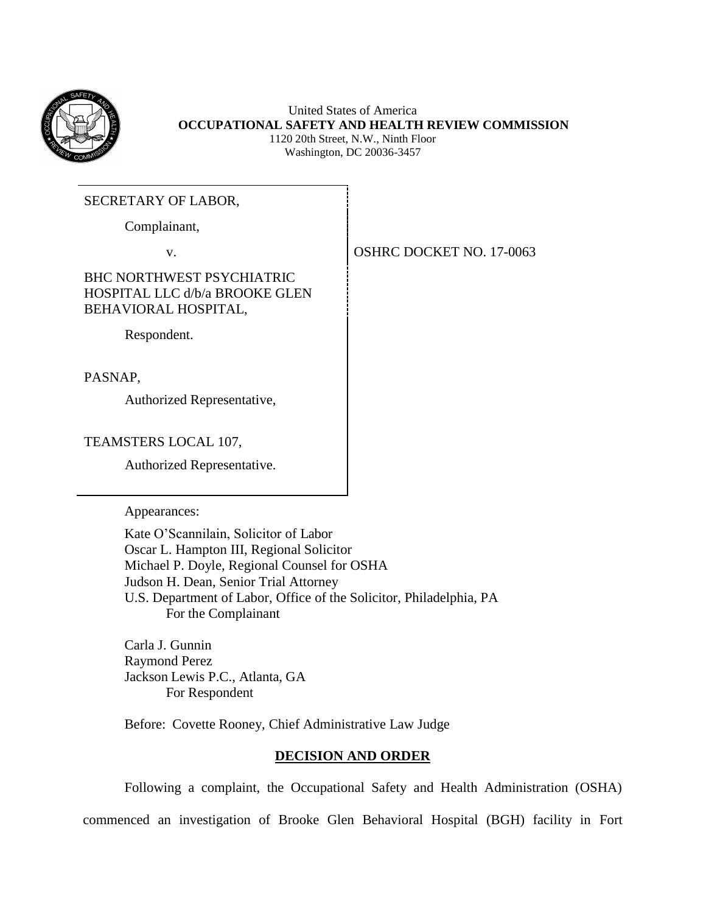

United States of America **OCCUPATIONAL SAFETY AND HEALTH REVIEW COMMISSION** 1120 20th Street, N.W., Ninth Floor Washington, DC 20036-3457

### SECRETARY OF LABOR,

Complainant,

# BHC NORTHWEST PSYCHIATRIC HOSPITAL LLC d/b/a BROOKE GLEN BEHAVIORAL HOSPITAL,

Respondent.

PASNAP,

Authorized Representative,

TEAMSTERS LOCAL 107,

Authorized Representative.

Appearances:

Kate O'Scannilain, Solicitor of Labor Oscar L. Hampton III, Regional Solicitor Michael P. Doyle, Regional Counsel for OSHA Judson H. Dean, Senior Trial Attorney U.S. Department of Labor, Office of the Solicitor, Philadelphia, PA For the Complainant

Carla J. Gunnin Raymond Perez Jackson Lewis P.C., Atlanta, GA For Respondent

Before: Covette Rooney, Chief Administrative Law Judge

### **DECISION AND ORDER**

Following a complaint, the Occupational Safety and Health Administration (OSHA) commenced an investigation of Brooke Glen Behavioral Hospital (BGH) facility in Fort

v. SOUTH OSHRC DOCKET NO. 17-0063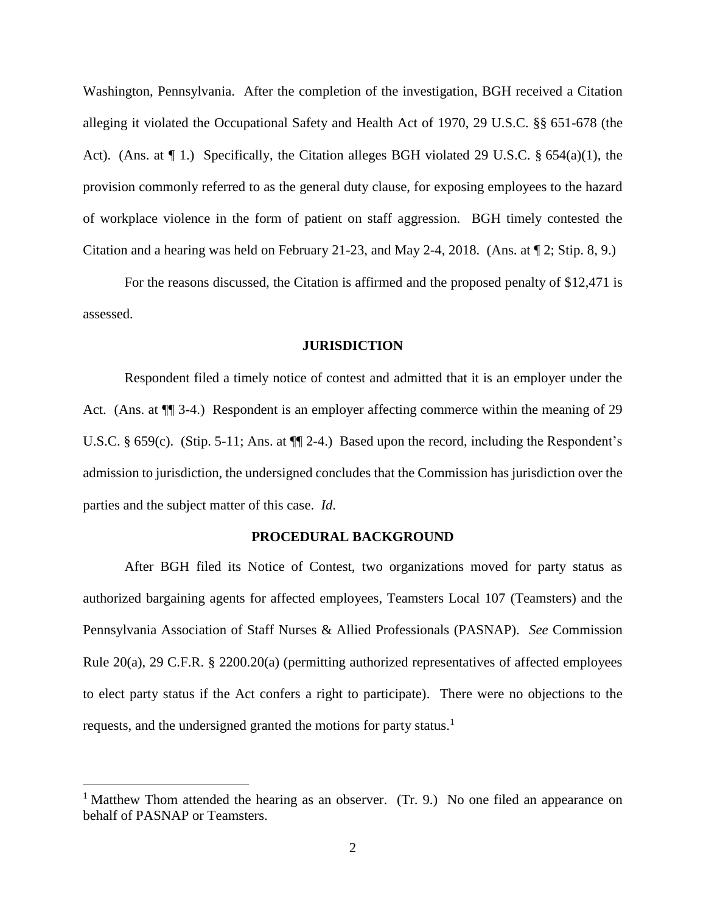Washington, Pennsylvania. After the completion of the investigation, BGH received a Citation alleging it violated the Occupational Safety and Health Act of 1970, 29 U.S.C. §§ 651-678 (the Act). (Ans. at  $\P$  1.) Specifically, the Citation alleges BGH violated 29 U.S.C. § 654(a)(1), the provision commonly referred to as the general duty clause, for exposing employees to the hazard of workplace violence in the form of patient on staff aggression. BGH timely contested the Citation and a hearing was held on February 21-23, and May 2-4, 2018. (Ans. at ¶ 2; Stip. 8, 9.)

For the reasons discussed, the Citation is affirmed and the proposed penalty of \$12,471 is assessed.

#### **JURISDICTION**

Respondent filed a timely notice of contest and admitted that it is an employer under the Act. (Ans. at  $\P$  3-4.) Respondent is an employer affecting commerce within the meaning of 29 U.S.C. § 659(c). (Stip. 5-11; Ans. at  $\P$ [2-4.) Based upon the record, including the Respondent's admission to jurisdiction, the undersigned concludes that the Commission has jurisdiction over the parties and the subject matter of this case. *Id*.

#### **PROCEDURAL BACKGROUND**

After BGH filed its Notice of Contest, two organizations moved for party status as authorized bargaining agents for affected employees, Teamsters Local 107 (Teamsters) and the Pennsylvania Association of Staff Nurses & Allied Professionals (PASNAP). *See* Commission Rule 20(a), 29 C.F.R. § 2200.20(a) (permitting authorized representatives of affected employees to elect party status if the Act confers a right to participate). There were no objections to the requests, and the undersigned granted the motions for party status.<sup>1</sup>

<sup>&</sup>lt;sup>1</sup> Matthew Thom attended the hearing as an observer. (Tr. 9.) No one filed an appearance on behalf of PASNAP or Teamsters.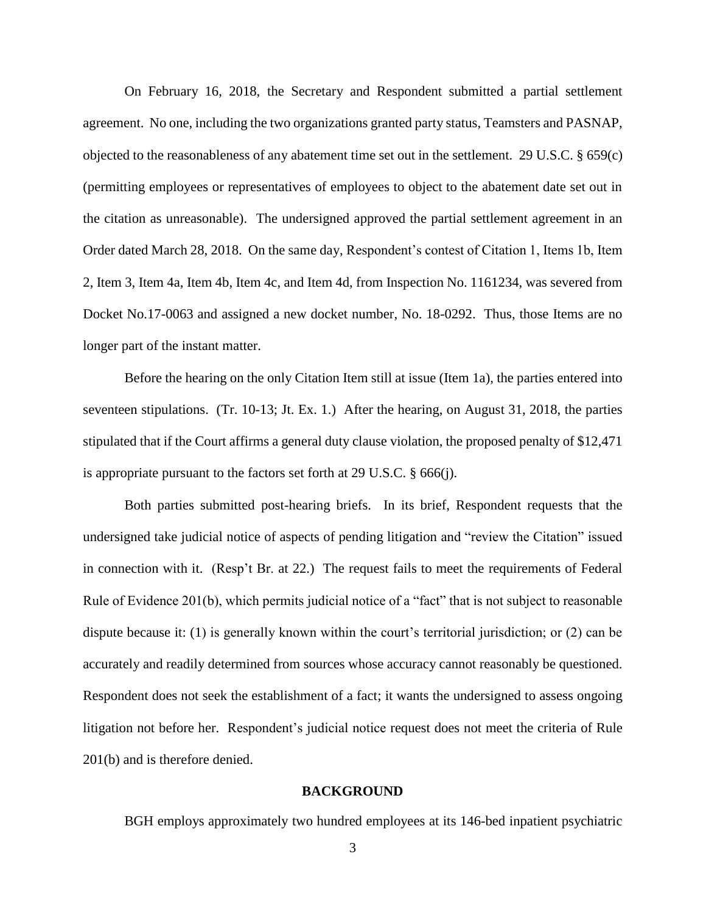On February 16, 2018, the Secretary and Respondent submitted a partial settlement agreement. No one, including the two organizations granted party status, Teamsters and PASNAP, objected to the reasonableness of any abatement time set out in the settlement. 29 U.S.C. § 659(c) (permitting employees or representatives of employees to object to the abatement date set out in the citation as unreasonable). The undersigned approved the partial settlement agreement in an Order dated March 28, 2018. On the same day, Respondent's contest of Citation 1, Items 1b, Item 2, Item 3, Item 4a, Item 4b, Item 4c, and Item 4d, from Inspection No. 1161234, was severed from Docket No.17-0063 and assigned a new docket number, No. 18-0292. Thus, those Items are no longer part of the instant matter.

Before the hearing on the only Citation Item still at issue (Item 1a), the parties entered into seventeen stipulations. (Tr. 10-13; Jt. Ex. 1.) After the hearing, on August 31, 2018, the parties stipulated that if the Court affirms a general duty clause violation, the proposed penalty of \$12,471 is appropriate pursuant to the factors set forth at 29 U.S.C. § 666(j).

Both parties submitted post-hearing briefs. In its brief, Respondent requests that the undersigned take judicial notice of aspects of pending litigation and "review the Citation" issued in connection with it. (Resp't Br. at 22.) The request fails to meet the requirements of Federal Rule of Evidence 201(b), which permits judicial notice of a "fact" that is not subject to reasonable dispute because it: (1) is generally known within the court's territorial jurisdiction; or (2) can be accurately and readily determined from sources whose accuracy cannot reasonably be questioned. Respondent does not seek the establishment of a fact; it wants the undersigned to assess ongoing litigation not before her. Respondent's judicial notice request does not meet the criteria of Rule 201(b) and is therefore denied.

### **BACKGROUND**

BGH employs approximately two hundred employees at its 146-bed inpatient psychiatric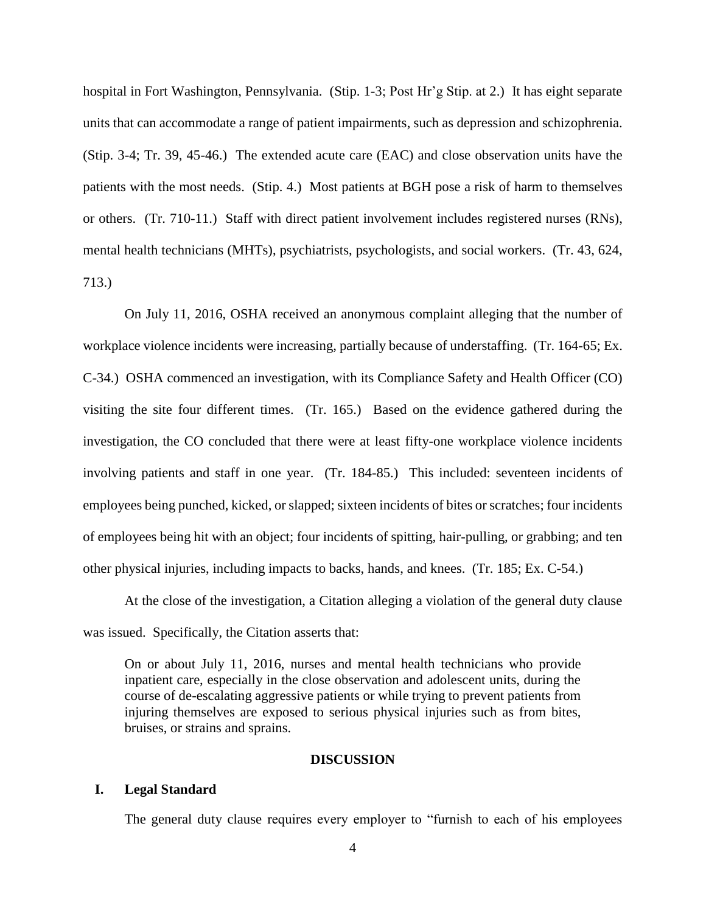hospital in Fort Washington, Pennsylvania. (Stip. 1-3; Post Hr'g Stip. at 2.) It has eight separate units that can accommodate a range of patient impairments, such as depression and schizophrenia. (Stip. 3-4; Tr. 39, 45-46.) The extended acute care (EAC) and close observation units have the patients with the most needs. (Stip. 4.) Most patients at BGH pose a risk of harm to themselves or others. (Tr. 710-11.) Staff with direct patient involvement includes registered nurses (RNs), mental health technicians (MHTs), psychiatrists, psychologists, and social workers. (Tr. 43, 624, 713.)

On July 11, 2016, OSHA received an anonymous complaint alleging that the number of workplace violence incidents were increasing, partially because of understaffing. (Tr. 164-65; Ex. C-34.) OSHA commenced an investigation, with its Compliance Safety and Health Officer (CO) visiting the site four different times. (Tr. 165.) Based on the evidence gathered during the investigation, the CO concluded that there were at least fifty-one workplace violence incidents involving patients and staff in one year. (Tr. 184-85.) This included: seventeen incidents of employees being punched, kicked, or slapped; sixteen incidents of bites or scratches; four incidents of employees being hit with an object; four incidents of spitting, hair-pulling, or grabbing; and ten other physical injuries, including impacts to backs, hands, and knees. (Tr. 185; Ex. C-54.)

At the close of the investigation, a Citation alleging a violation of the general duty clause was issued. Specifically, the Citation asserts that:

On or about July 11, 2016, nurses and mental health technicians who provide inpatient care, especially in the close observation and adolescent units, during the course of de-escalating aggressive patients or while trying to prevent patients from injuring themselves are exposed to serious physical injuries such as from bites, bruises, or strains and sprains.

### **DISCUSSION**

#### **I. Legal Standard**

The general duty clause requires every employer to "furnish to each of his employees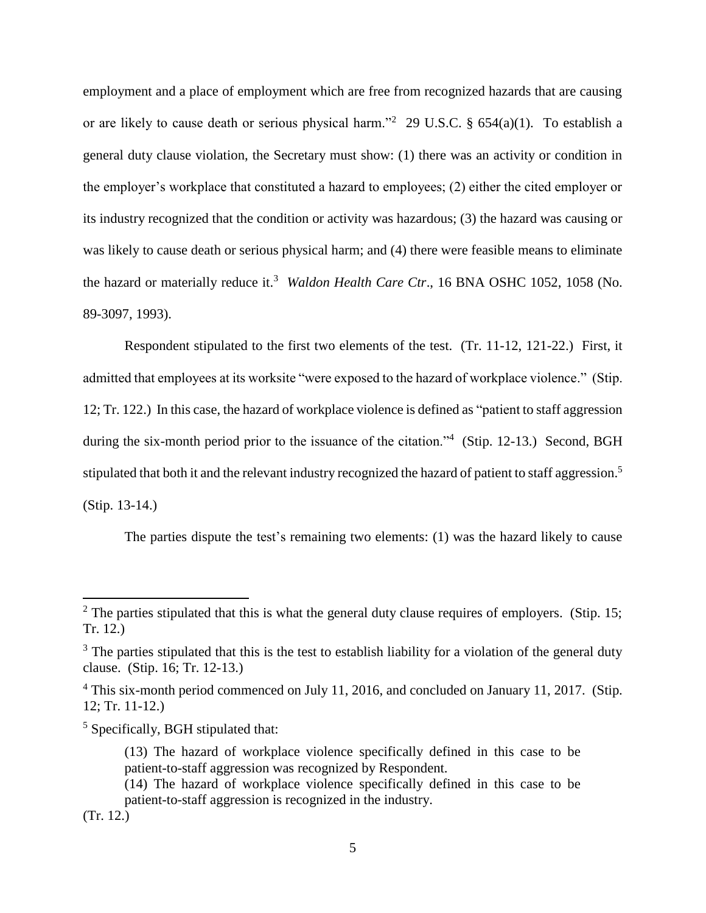employment and a place of employment which are free from recognized hazards that are causing or are likely to cause death or serious physical harm."<sup>2</sup> 29 U.S.C. § 654(a)(1). To establish a general duty clause violation, the Secretary must show: (1) there was an activity or condition in the employer's workplace that constituted a hazard to employees; (2) either the cited employer or its industry recognized that the condition or activity was hazardous; (3) the hazard was causing or was likely to cause death or serious physical harm; and (4) there were feasible means to eliminate the hazard or materially reduce it.<sup>3</sup> *Waldon Health Care Ctr.*, 16 BNA OSHC 1052, 1058 (No. 89-3097, 1993).

Respondent stipulated to the first two elements of the test. (Tr. 11-12, 121-22.) First, it admitted that employees at its worksite "were exposed to the hazard of workplace violence." (Stip. 12; Tr. 122.) In this case, the hazard of workplace violence is defined as "patient to staff aggression during the six-month period prior to the issuance of the citation."<sup>4</sup> (Stip. 12-13.) Second, BGH stipulated that both it and the relevant industry recognized the hazard of patient to staff aggression.<sup>5</sup> (Stip. 13-14.)

The parties dispute the test's remaining two elements: (1) was the hazard likely to cause

 $2^2$  The parties stipulated that this is what the general duty clause requires of employers. (Stip. 15; Tr. 12.)

 $3$  The parties stipulated that this is the test to establish liability for a violation of the general duty clause. (Stip. 16; Tr. 12-13.)

<sup>&</sup>lt;sup>4</sup> This six-month period commenced on July 11, 2016, and concluded on January 11, 2017. (Stip. 12; Tr. 11-12.)

<sup>5</sup> Specifically, BGH stipulated that:

<sup>(13)</sup> The hazard of workplace violence specifically defined in this case to be patient-to-staff aggression was recognized by Respondent.

<sup>(14)</sup> The hazard of workplace violence specifically defined in this case to be patient-to-staff aggression is recognized in the industry.

<sup>(</sup>Tr. 12.)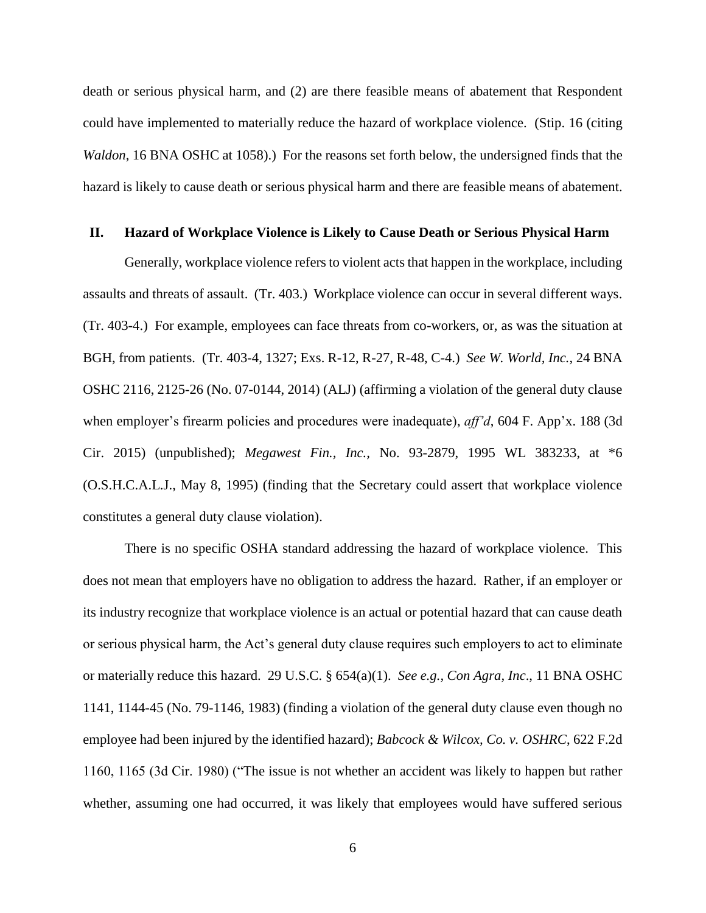death or serious physical harm, and (2) are there feasible means of abatement that Respondent could have implemented to materially reduce the hazard of workplace violence. (Stip. 16 (citing *Waldon*, 16 BNA OSHC at 1058).) For the reasons set forth below, the undersigned finds that the hazard is likely to cause death or serious physical harm and there are feasible means of abatement.

#### **II. Hazard of Workplace Violence is Likely to Cause Death or Serious Physical Harm**

Generally, workplace violence refers to violent acts that happen in the workplace, including assaults and threats of assault. (Tr. 403.) Workplace violence can occur in several different ways. (Tr. 403-4.) For example, employees can face threats from co-workers, or, as was the situation at BGH, from patients. (Tr. 403-4, 1327; Exs. R-12, R-27, R-48, C-4.) *See W. World, Inc.*, 24 BNA OSHC 2116, 2125-26 (No. 07-0144, 2014) (ALJ) (affirming a violation of the general duty clause when employer's firearm policies and procedures were inadequate), *aff'd*, 604 F. App'x. 188 (3d Cir. 2015) (unpublished); *Megawest Fin., Inc.,* No. 93-2879, 1995 WL 383233, at \*6 (O.S.H.C.A.L.J., May 8, 1995) (finding that the Secretary could assert that workplace violence constitutes a general duty clause violation).

There is no specific OSHA standard addressing the hazard of workplace violence. This does not mean that employers have no obligation to address the hazard. Rather, if an employer or its industry recognize that workplace violence is an actual or potential hazard that can cause death or serious physical harm, the Act's general duty clause requires such employers to act to eliminate or materially reduce this hazard. 29 U.S.C. § 654(a)(1). *See e.g., Con Agra, Inc*., 11 BNA OSHC 1141, 1144-45 (No. 79-1146, 1983) (finding a violation of the general duty clause even though no employee had been injured by the identified hazard); *Babcock & Wilcox, Co. v. OSHRC*, 622 F.2d 1160, 1165 (3d Cir. 1980) ("The issue is not whether an accident was likely to happen but rather whether, assuming one had occurred, it was likely that employees would have suffered serious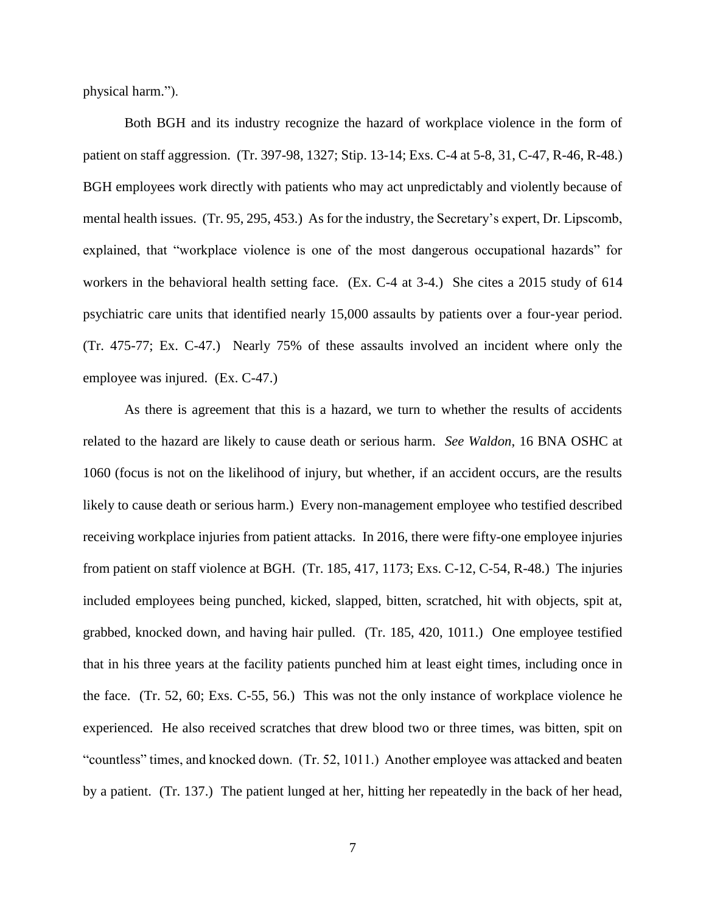physical harm.").

Both BGH and its industry recognize the hazard of workplace violence in the form of patient on staff aggression. (Tr. 397-98, 1327; Stip. 13-14; Exs. C-4 at 5-8, 31, C-47, R-46, R-48.) BGH employees work directly with patients who may act unpredictably and violently because of mental health issues. (Tr. 95, 295, 453.) As for the industry, the Secretary's expert, Dr. Lipscomb, explained, that "workplace violence is one of the most dangerous occupational hazards" for workers in the behavioral health setting face. (Ex. C-4 at 3-4.) She cites a 2015 study of 614 psychiatric care units that identified nearly 15,000 assaults by patients over a four-year period. (Tr. 475-77; Ex. C-47.) Nearly 75% of these assaults involved an incident where only the employee was injured. (Ex. C-47.)

As there is agreement that this is a hazard, we turn to whether the results of accidents related to the hazard are likely to cause death or serious harm. *See Waldon*, 16 BNA OSHC at 1060 (focus is not on the likelihood of injury, but whether, if an accident occurs, are the results likely to cause death or serious harm.) Every non-management employee who testified described receiving workplace injuries from patient attacks. In 2016, there were fifty-one employee injuries from patient on staff violence at BGH. (Tr. 185, 417, 1173; Exs. C-12, C-54, R-48.) The injuries included employees being punched, kicked, slapped, bitten, scratched, hit with objects, spit at, grabbed, knocked down, and having hair pulled. (Tr. 185, 420, 1011.) One employee testified that in his three years at the facility patients punched him at least eight times, including once in the face. (Tr. 52, 60; Exs. C-55, 56.) This was not the only instance of workplace violence he experienced. He also received scratches that drew blood two or three times, was bitten, spit on "countless" times, and knocked down. (Tr. 52, 1011.) Another employee was attacked and beaten by a patient. (Tr. 137.) The patient lunged at her, hitting her repeatedly in the back of her head,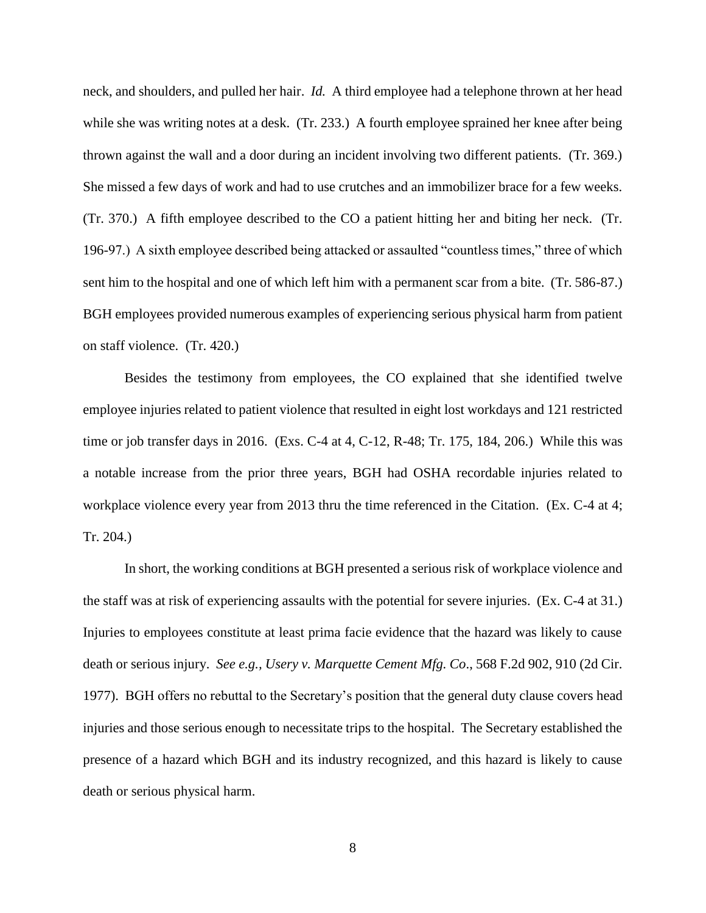neck, and shoulders, and pulled her hair. *Id.* A third employee had a telephone thrown at her head while she was writing notes at a desk. (Tr. 233.) A fourth employee sprained her knee after being thrown against the wall and a door during an incident involving two different patients. (Tr. 369.) She missed a few days of work and had to use crutches and an immobilizer brace for a few weeks. (Tr. 370.) A fifth employee described to the CO a patient hitting her and biting her neck. (Tr. 196-97.) A sixth employee described being attacked or assaulted "countless times," three of which sent him to the hospital and one of which left him with a permanent scar from a bite. (Tr. 586-87.) BGH employees provided numerous examples of experiencing serious physical harm from patient on staff violence. (Tr. 420.)

Besides the testimony from employees, the CO explained that she identified twelve employee injuries related to patient violence that resulted in eight lost workdays and 121 restricted time or job transfer days in 2016. (Exs. C-4 at 4, C-12, R-48; Tr. 175, 184, 206.) While this was a notable increase from the prior three years, BGH had OSHA recordable injuries related to workplace violence every year from 2013 thru the time referenced in the Citation. (Ex. C-4 at 4; Tr. 204.)

In short, the working conditions at BGH presented a serious risk of workplace violence and the staff was at risk of experiencing assaults with the potential for severe injuries. (Ex. C-4 at 31.) Injuries to employees constitute at least prima facie evidence that the hazard was likely to cause death or serious injury. *See e.g., Usery v. Marquette Cement Mfg. Co*., 568 F.2d 902, 910 (2d Cir. 1977). BGH offers no rebuttal to the Secretary's position that the general duty clause covers head injuries and those serious enough to necessitate trips to the hospital. The Secretary established the presence of a hazard which BGH and its industry recognized, and this hazard is likely to cause death or serious physical harm.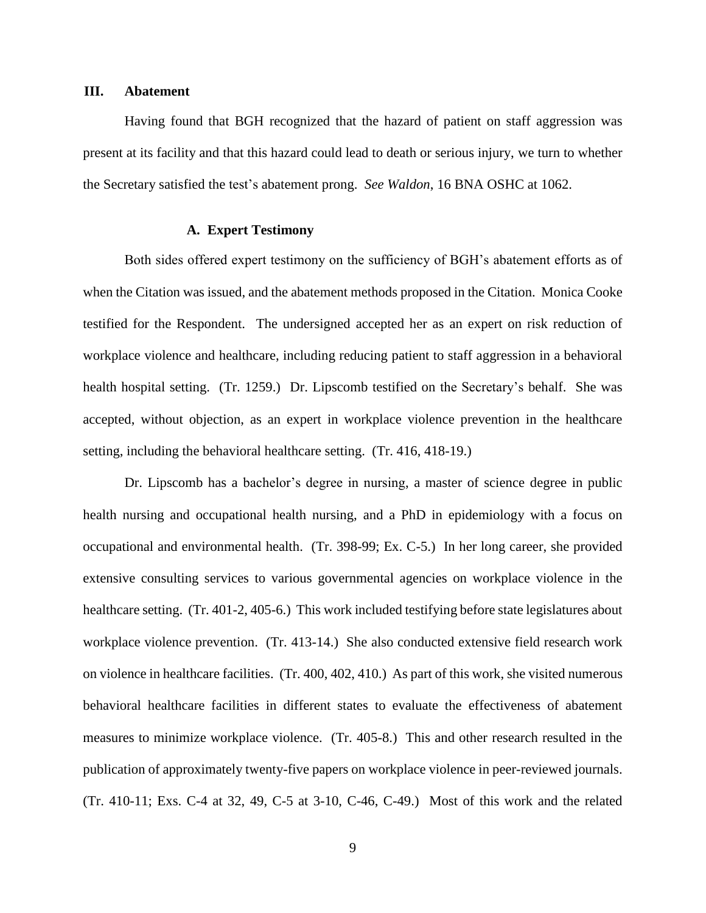#### **III. Abatement**

Having found that BGH recognized that the hazard of patient on staff aggression was present at its facility and that this hazard could lead to death or serious injury, we turn to whether the Secretary satisfied the test's abatement prong. *See Waldon*, 16 BNA OSHC at 1062.

## **A. Expert Testimony**

Both sides offered expert testimony on the sufficiency of BGH's abatement efforts as of when the Citation was issued, and the abatement methods proposed in the Citation. Monica Cooke testified for the Respondent. The undersigned accepted her as an expert on risk reduction of workplace violence and healthcare, including reducing patient to staff aggression in a behavioral health hospital setting. (Tr. 1259.) Dr. Lipscomb testified on the Secretary's behalf. She was accepted, without objection, as an expert in workplace violence prevention in the healthcare setting, including the behavioral healthcare setting. (Tr. 416, 418-19.)

Dr. Lipscomb has a bachelor's degree in nursing, a master of science degree in public health nursing and occupational health nursing, and a PhD in epidemiology with a focus on occupational and environmental health. (Tr. 398-99; Ex. C-5.) In her long career, she provided extensive consulting services to various governmental agencies on workplace violence in the healthcare setting. (Tr. 401-2, 405-6.) This work included testifying before state legislatures about workplace violence prevention. (Tr. 413-14.) She also conducted extensive field research work on violence in healthcare facilities. (Tr. 400, 402, 410.) As part of this work, she visited numerous behavioral healthcare facilities in different states to evaluate the effectiveness of abatement measures to minimize workplace violence. (Tr. 405-8.) This and other research resulted in the publication of approximately twenty-five papers on workplace violence in peer-reviewed journals. (Tr. 410-11; Exs. C-4 at 32, 49, C-5 at 3-10, C-46, C-49.) Most of this work and the related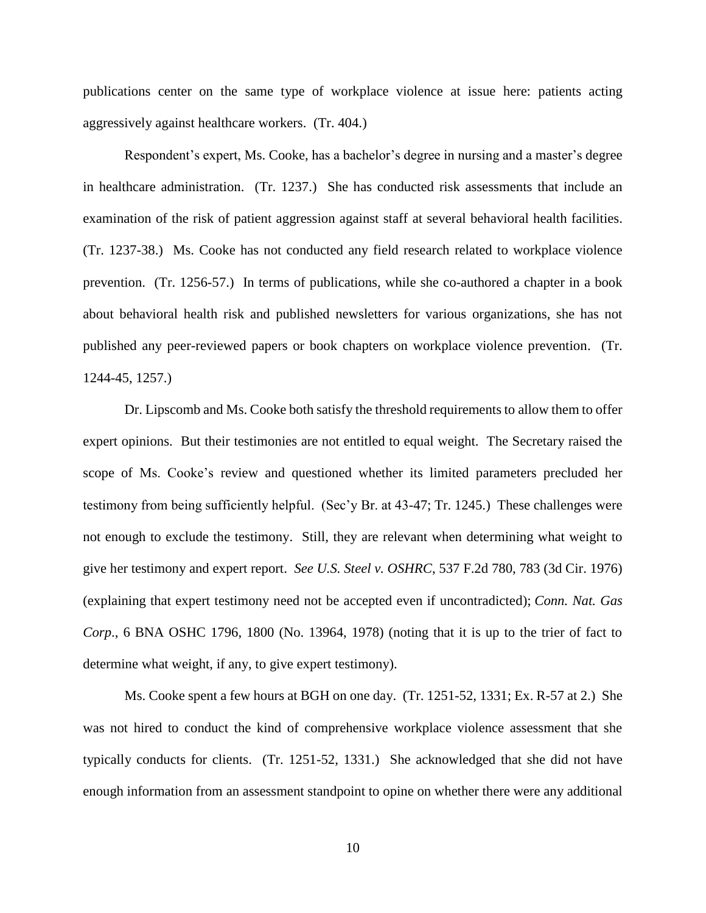publications center on the same type of workplace violence at issue here: patients acting aggressively against healthcare workers. (Tr. 404.)

Respondent's expert, Ms. Cooke, has a bachelor's degree in nursing and a master's degree in healthcare administration. (Tr. 1237.) She has conducted risk assessments that include an examination of the risk of patient aggression against staff at several behavioral health facilities. (Tr. 1237-38.) Ms. Cooke has not conducted any field research related to workplace violence prevention. (Tr. 1256-57.) In terms of publications, while she co-authored a chapter in a book about behavioral health risk and published newsletters for various organizations, she has not published any peer-reviewed papers or book chapters on workplace violence prevention. (Tr. 1244-45, 1257.)

Dr. Lipscomb and Ms. Cooke both satisfy the threshold requirements to allow them to offer expert opinions. But their testimonies are not entitled to equal weight. The Secretary raised the scope of Ms. Cooke's review and questioned whether its limited parameters precluded her testimony from being sufficiently helpful. (Sec'y Br. at 43-47; Tr. 1245.) These challenges were not enough to exclude the testimony. Still, they are relevant when determining what weight to give her testimony and expert report. *See U.S. Steel v. OSHRC*, 537 F.2d 780, 783 (3d Cir. 1976) (explaining that expert testimony need not be accepted even if uncontradicted); *Conn. Nat. Gas Corp*., 6 BNA OSHC 1796, 1800 (No. 13964, 1978) (noting that it is up to the trier of fact to determine what weight, if any, to give expert testimony).

Ms. Cooke spent a few hours at BGH on one day. (Tr. 1251-52, 1331; Ex. R-57 at 2.) She was not hired to conduct the kind of comprehensive workplace violence assessment that she typically conducts for clients. (Tr. 1251-52, 1331.) She acknowledged that she did not have enough information from an assessment standpoint to opine on whether there were any additional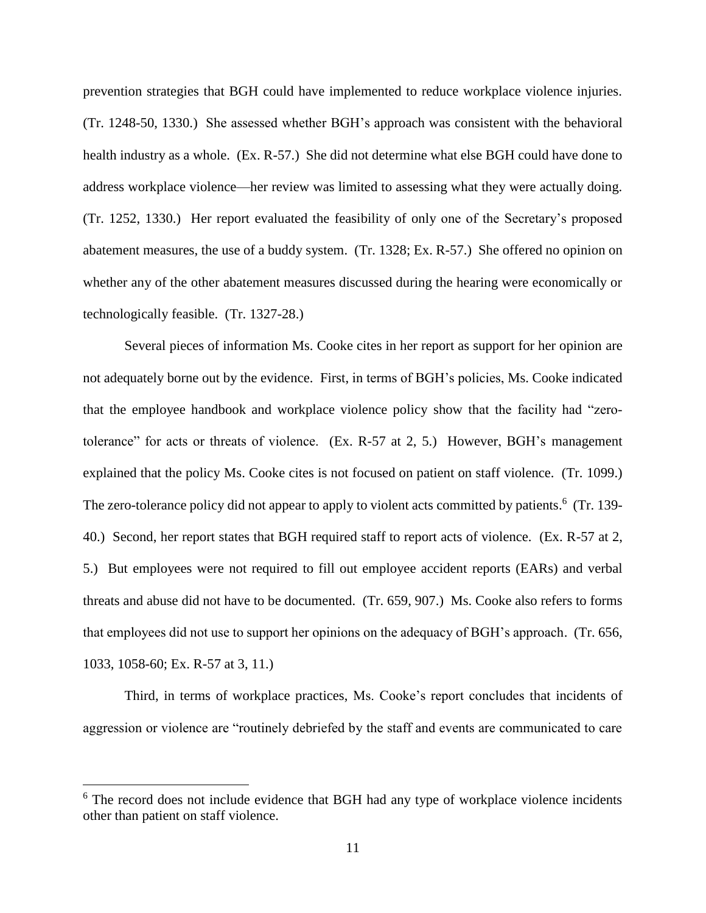prevention strategies that BGH could have implemented to reduce workplace violence injuries. (Tr. 1248-50, 1330.) She assessed whether BGH's approach was consistent with the behavioral health industry as a whole. (Ex. R-57.) She did not determine what else BGH could have done to address workplace violence—her review was limited to assessing what they were actually doing. (Tr. 1252, 1330.) Her report evaluated the feasibility of only one of the Secretary's proposed abatement measures, the use of a buddy system. (Tr. 1328; Ex. R-57.) She offered no opinion on whether any of the other abatement measures discussed during the hearing were economically or technologically feasible. (Tr. 1327-28.)

Several pieces of information Ms. Cooke cites in her report as support for her opinion are not adequately borne out by the evidence. First, in terms of BGH's policies, Ms. Cooke indicated that the employee handbook and workplace violence policy show that the facility had "zerotolerance" for acts or threats of violence. (Ex. R-57 at 2, 5.) However, BGH's management explained that the policy Ms. Cooke cites is not focused on patient on staff violence. (Tr. 1099.) The zero-tolerance policy did not appear to apply to violent acts committed by patients.<sup>6</sup> (Tr. 139-40.) Second, her report states that BGH required staff to report acts of violence. (Ex. R-57 at 2, 5.) But employees were not required to fill out employee accident reports (EARs) and verbal threats and abuse did not have to be documented. (Tr. 659, 907.) Ms. Cooke also refers to forms that employees did not use to support her opinions on the adequacy of BGH's approach. (Tr. 656, 1033, 1058-60; Ex. R-57 at 3, 11.)

Third, in terms of workplace practices, Ms. Cooke's report concludes that incidents of aggression or violence are "routinely debriefed by the staff and events are communicated to care

<sup>&</sup>lt;sup>6</sup> The record does not include evidence that BGH had any type of workplace violence incidents other than patient on staff violence.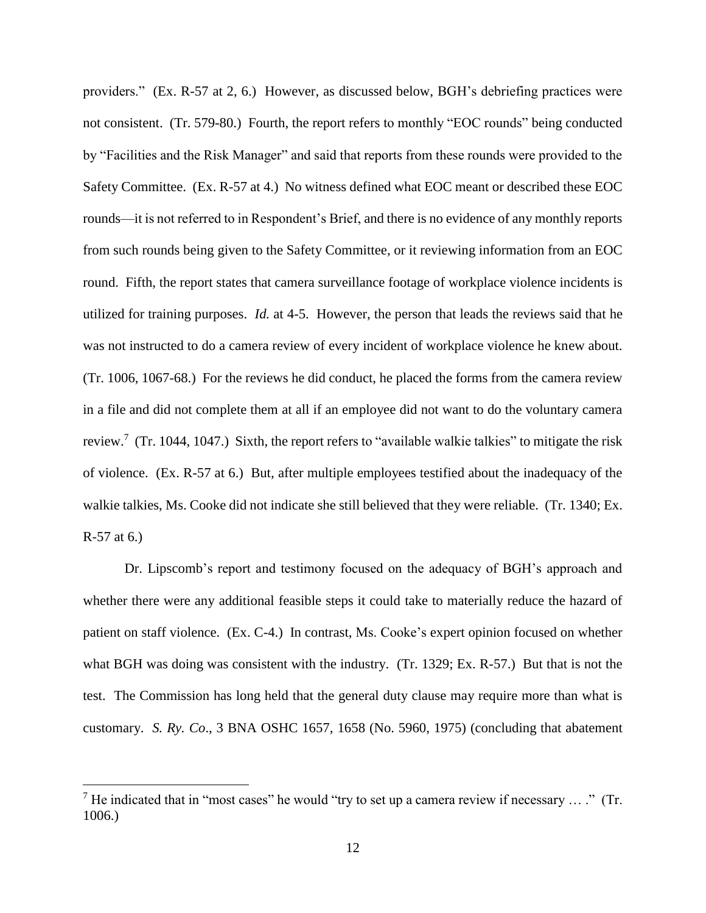providers." (Ex. R-57 at 2, 6.) However, as discussed below, BGH's debriefing practices were not consistent. (Tr. 579-80.) Fourth, the report refers to monthly "EOC rounds" being conducted by "Facilities and the Risk Manager" and said that reports from these rounds were provided to the Safety Committee. (Ex. R-57 at 4.) No witness defined what EOC meant or described these EOC rounds—it is not referred to in Respondent's Brief, and there is no evidence of any monthly reports from such rounds being given to the Safety Committee, or it reviewing information from an EOC round. Fifth, the report states that camera surveillance footage of workplace violence incidents is utilized for training purposes. *Id.* at 4-5. However, the person that leads the reviews said that he was not instructed to do a camera review of every incident of workplace violence he knew about. (Tr. 1006, 1067-68.) For the reviews he did conduct, he placed the forms from the camera review in a file and did not complete them at all if an employee did not want to do the voluntary camera review.<sup>7</sup> (Tr. 1044, 1047.) Sixth, the report refers to "available walkie talkies" to mitigate the risk of violence. (Ex. R-57 at 6.) But, after multiple employees testified about the inadequacy of the walkie talkies, Ms. Cooke did not indicate she still believed that they were reliable. (Tr. 1340; Ex. R-57 at 6.)

Dr. Lipscomb's report and testimony focused on the adequacy of BGH's approach and whether there were any additional feasible steps it could take to materially reduce the hazard of patient on staff violence. (Ex. C-4.) In contrast, Ms. Cooke's expert opinion focused on whether what BGH was doing was consistent with the industry. (Tr. 1329; Ex. R-57.) But that is not the test. The Commission has long held that the general duty clause may require more than what is customary. *S. Ry. Co*., 3 BNA OSHC 1657, 1658 (No. 5960, 1975) (concluding that abatement

<sup>&</sup>lt;sup>7</sup> He indicated that in "most cases" he would "try to set up a camera review if necessary ... ." (Tr. 1006.)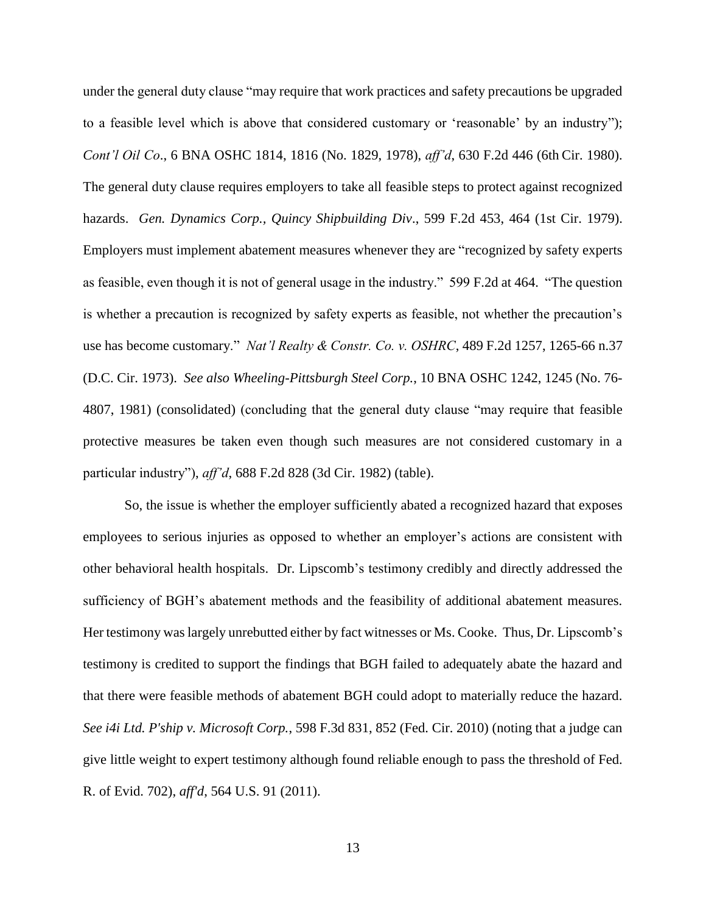under the general duty clause "may require that work practices and safety precautions be upgraded to a feasible level which is above that considered customary or 'reasonable' by an industry"); *Cont'l Oil Co*., 6 BNA OSHC 1814, 1816 (No. 1829, 1978), *aff'd*, 630 F.2d 446 (6th Cir. 1980). The general duty clause requires employers to take all feasible steps to protect against recognized hazards. *Gen. Dynamics Corp., Quincy Shipbuilding Div*., 599 F.2d 453, 464 (1st Cir. 1979). Employers must implement abatement measures whenever they are "recognized by safety experts as feasible, even though it is not of general usage in the industry." 599 F.2d at 464. "The question is whether a precaution is recognized by safety experts as feasible, not whether the precaution's use has become customary." *Nat'l Realty & Constr. Co. v. OSHRC*, 489 F.2d 1257, 1265-66 n.37 (D.C. Cir. 1973). *See also Wheeling-Pittsburgh Steel Corp.*, 10 BNA OSHC 1242, 1245 (No. 76- 4807, 1981) (consolidated) (concluding that the general duty clause "may require that feasible protective measures be taken even though such measures are not considered customary in a particular industry"), *aff'd*, 688 F.2d 828 (3d Cir. 1982) (table).

So, the issue is whether the employer sufficiently abated a recognized hazard that exposes employees to serious injuries as opposed to whether an employer's actions are consistent with other behavioral health hospitals. Dr. Lipscomb's testimony credibly and directly addressed the sufficiency of BGH's abatement methods and the feasibility of additional abatement measures. Her testimony was largely unrebutted either by fact witnesses or Ms. Cooke. Thus, Dr. Lipscomb's testimony is credited to support the findings that BGH failed to adequately abate the hazard and that there were feasible methods of abatement BGH could adopt to materially reduce the hazard. *See i4i Ltd. P'ship v. Microsoft Corp.*, 598 F.3d 831, 852 (Fed. Cir. 2010) (noting that a judge can give little weight to expert testimony although found reliable enough to pass the threshold of Fed. R. of Evid. 702), *aff'd*, 564 U.S. 91 (2011).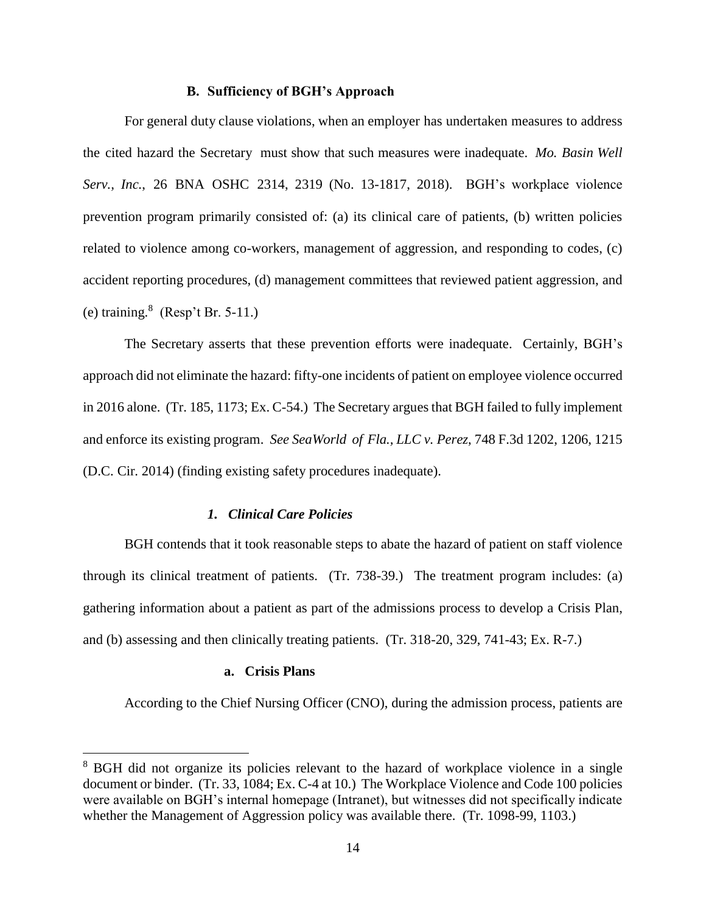#### **B. Sufficiency of BGH's Approach**

For general duty clause violations, when an employer has undertaken measures to address the cited hazard the Secretary must show that such measures were inadequate. *Mo. Basin Well Serv., Inc.*, 26 BNA OSHC 2314, 2319 (No. 13-1817, 2018). BGH's workplace violence prevention program primarily consisted of: (a) its clinical care of patients, (b) written policies related to violence among co-workers, management of aggression, and responding to codes, (c) accident reporting procedures, (d) management committees that reviewed patient aggression, and (e) training.<sup>8</sup> (Resp't Br. 5-11.)

The Secretary asserts that these prevention efforts were inadequate. Certainly, BGH's approach did not eliminate the hazard: fifty-one incidents of patient on employee violence occurred in 2016 alone. (Tr. 185, 1173; Ex. C-54.) The Secretary argues that BGH failed to fully implement and enforce its existing program. *See SeaWorld of Fla., LLC v. Perez*, 748 F.3d 1202, 1206, 1215 (D.C. Cir. 2014) (finding existing safety procedures inadequate).

### *1. Clinical Care Policies*

BGH contends that it took reasonable steps to abate the hazard of patient on staff violence through its clinical treatment of patients. (Tr. 738-39.) The treatment program includes: (a) gathering information about a patient as part of the admissions process to develop a Crisis Plan, and (b) assessing and then clinically treating patients. (Tr. 318-20, 329, 741-43; Ex. R-7.)

### **a. Crisis Plans**

 $\overline{a}$ 

According to the Chief Nursing Officer (CNO), during the admission process, patients are

<sup>&</sup>lt;sup>8</sup> BGH did not organize its policies relevant to the hazard of workplace violence in a single document or binder. (Tr. 33, 1084; Ex. C-4 at 10.) The Workplace Violence and Code 100 policies were available on BGH's internal homepage (Intranet), but witnesses did not specifically indicate whether the Management of Aggression policy was available there. (Tr. 1098-99, 1103.)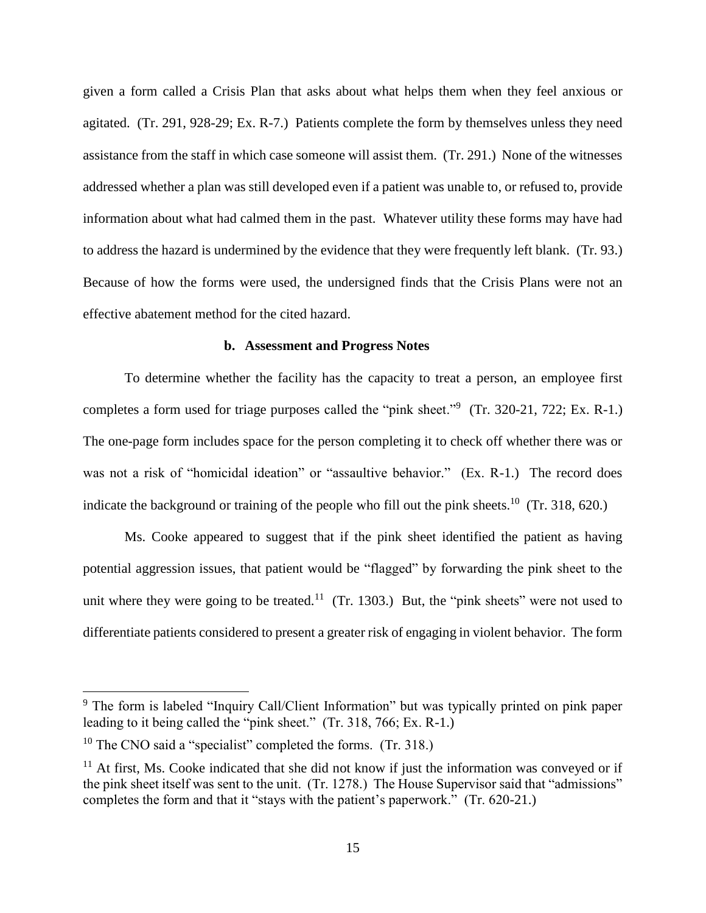given a form called a Crisis Plan that asks about what helps them when they feel anxious or agitated. (Tr. 291, 928-29; Ex. R-7.) Patients complete the form by themselves unless they need assistance from the staff in which case someone will assist them. (Tr. 291.) None of the witnesses addressed whether a plan was still developed even if a patient was unable to, or refused to, provide information about what had calmed them in the past. Whatever utility these forms may have had to address the hazard is undermined by the evidence that they were frequently left blank. (Tr. 93.) Because of how the forms were used, the undersigned finds that the Crisis Plans were not an effective abatement method for the cited hazard.

### **b. Assessment and Progress Notes**

To determine whether the facility has the capacity to treat a person, an employee first completes a form used for triage purposes called the "pink sheet."<sup>9</sup> (Tr. 320-21, 722; Ex. R-1.) The one-page form includes space for the person completing it to check off whether there was or was not a risk of "homicidal ideation" or "assaultive behavior." (Ex. R-1.) The record does indicate the background or training of the people who fill out the pink sheets.<sup>10</sup> (Tr. 318, 620.)

Ms. Cooke appeared to suggest that if the pink sheet identified the patient as having potential aggression issues, that patient would be "flagged" by forwarding the pink sheet to the unit where they were going to be treated.<sup>11</sup> (Tr. 1303.) But, the "pink sheets" were not used to differentiate patients considered to present a greater risk of engaging in violent behavior. The form

<sup>&</sup>lt;sup>9</sup> The form is labeled "Inquiry Call/Client Information" but was typically printed on pink paper leading to it being called the "pink sheet." (Tr. 318, 766; Ex. R-1.)

<sup>&</sup>lt;sup>10</sup> The CNO said a "specialist" completed the forms. (Tr. 318.)

 $11$  At first, Ms. Cooke indicated that she did not know if just the information was conveyed or if the pink sheet itself was sent to the unit. (Tr. 1278.) The House Supervisor said that "admissions" completes the form and that it "stays with the patient's paperwork." (Tr. 620-21.)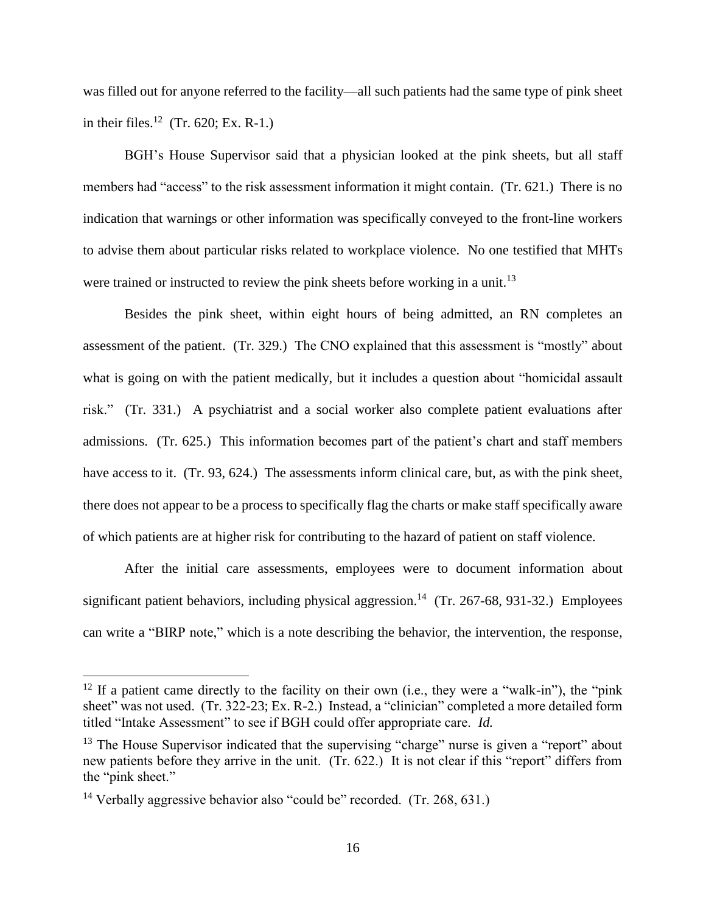was filled out for anyone referred to the facility—all such patients had the same type of pink sheet in their files.<sup>12</sup> (Tr. 620; Ex. R-1.)

BGH's House Supervisor said that a physician looked at the pink sheets, but all staff members had "access" to the risk assessment information it might contain. (Tr. 621.) There is no indication that warnings or other information was specifically conveyed to the front-line workers to advise them about particular risks related to workplace violence. No one testified that MHTs were trained or instructed to review the pink sheets before working in a unit.<sup>13</sup>

Besides the pink sheet, within eight hours of being admitted, an RN completes an assessment of the patient. (Tr. 329.) The CNO explained that this assessment is "mostly" about what is going on with the patient medically, but it includes a question about "homicidal assault risk." (Tr. 331.) A psychiatrist and a social worker also complete patient evaluations after admissions. (Tr. 625.) This information becomes part of the patient's chart and staff members have access to it. (Tr. 93, 624.) The assessments inform clinical care, but, as with the pink sheet, there does not appear to be a process to specifically flag the charts or make staff specifically aware of which patients are at higher risk for contributing to the hazard of patient on staff violence.

After the initial care assessments, employees were to document information about significant patient behaviors, including physical aggression.<sup>14</sup> (Tr. 267-68, 931-32.) Employees can write a "BIRP note," which is a note describing the behavior, the intervention, the response,

<sup>&</sup>lt;sup>12</sup> If a patient came directly to the facility on their own (i.e., they were a "walk-in"), the "pink sheet" was not used. (Tr. 322-23; Ex. R-2.) Instead, a "clinician" completed a more detailed form titled "Intake Assessment" to see if BGH could offer appropriate care. *Id.*

 $13$  The House Supervisor indicated that the supervising "charge" nurse is given a "report" about new patients before they arrive in the unit. (Tr. 622.) It is not clear if this "report" differs from the "pink sheet."

<sup>&</sup>lt;sup>14</sup> Verbally aggressive behavior also "could be" recorded. (Tr. 268, 631.)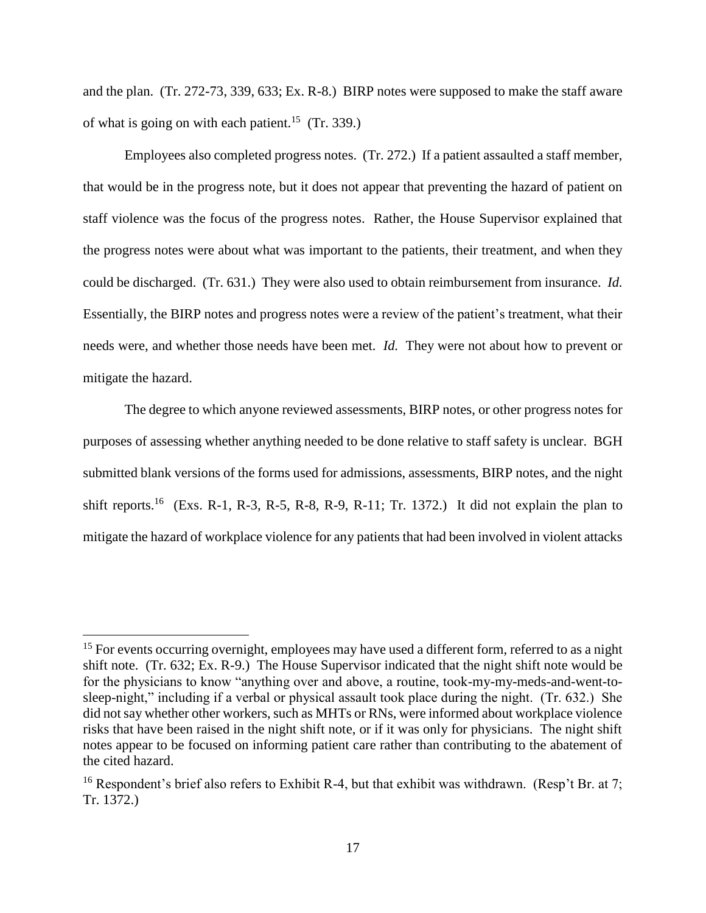and the plan. (Tr. 272-73, 339, 633; Ex. R-8.) BIRP notes were supposed to make the staff aware of what is going on with each patient.<sup>15</sup> (Tr. 339.)

Employees also completed progress notes. (Tr. 272.) If a patient assaulted a staff member, that would be in the progress note, but it does not appear that preventing the hazard of patient on staff violence was the focus of the progress notes. Rather, the House Supervisor explained that the progress notes were about what was important to the patients, their treatment, and when they could be discharged. (Tr. 631.) They were also used to obtain reimbursement from insurance. *Id.* Essentially, the BIRP notes and progress notes were a review of the patient's treatment, what their needs were, and whether those needs have been met. *Id.* They were not about how to prevent or mitigate the hazard.

The degree to which anyone reviewed assessments, BIRP notes, or other progress notes for purposes of assessing whether anything needed to be done relative to staff safety is unclear. BGH submitted blank versions of the forms used for admissions, assessments, BIRP notes, and the night shift reports.<sup>16</sup> (Exs. R-1, R-3, R-5, R-8, R-9, R-11; Tr. 1372.) It did not explain the plan to mitigate the hazard of workplace violence for any patients that had been involved in violent attacks

<sup>&</sup>lt;sup>15</sup> For events occurring overnight, employees may have used a different form, referred to as a night shift note. (Tr. 632; Ex. R-9.) The House Supervisor indicated that the night shift note would be for the physicians to know "anything over and above, a routine, took-my-my-meds-and-went-tosleep-night," including if a verbal or physical assault took place during the night. (Tr. 632.) She did not say whether other workers, such as MHTs or RNs, were informed about workplace violence risks that have been raised in the night shift note, or if it was only for physicians. The night shift notes appear to be focused on informing patient care rather than contributing to the abatement of the cited hazard.

<sup>&</sup>lt;sup>16</sup> Respondent's brief also refers to Exhibit R-4, but that exhibit was withdrawn. (Resp't Br. at 7; Tr. 1372.)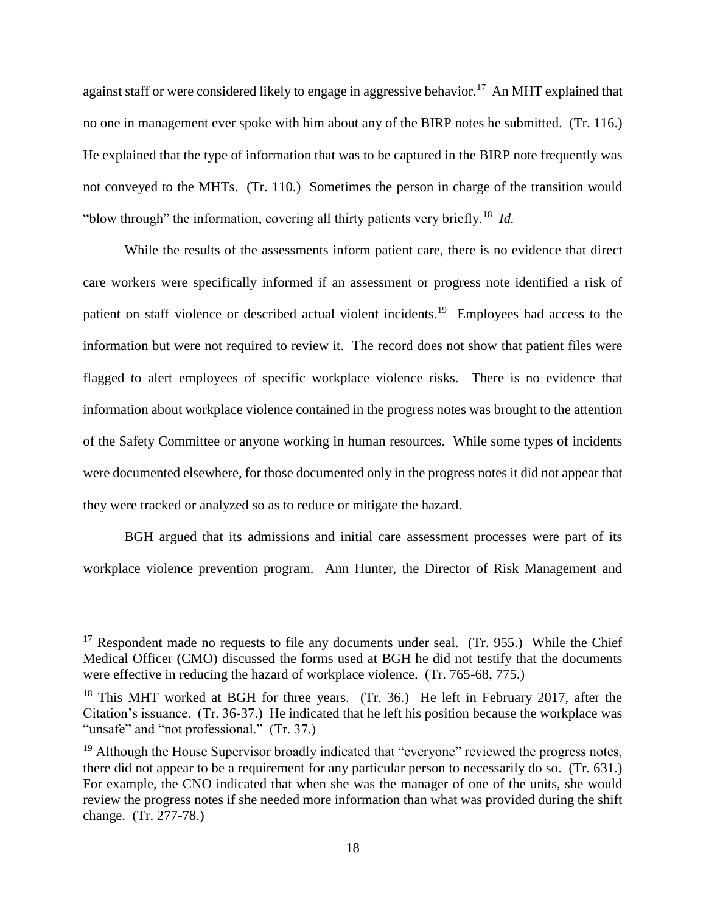against staff or were considered likely to engage in aggressive behavior.<sup>17</sup> An MHT explained that no one in management ever spoke with him about any of the BIRP notes he submitted. (Tr. 116.) He explained that the type of information that was to be captured in the BIRP note frequently was not conveyed to the MHTs. (Tr. 110.) Sometimes the person in charge of the transition would "blow through" the information, covering all thirty patients very briefly.<sup>18</sup> Id.

While the results of the assessments inform patient care, there is no evidence that direct care workers were specifically informed if an assessment or progress note identified a risk of patient on staff violence or described actual violent incidents.<sup>19</sup> Employees had access to the information but were not required to review it. The record does not show that patient files were flagged to alert employees of specific workplace violence risks. There is no evidence that information about workplace violence contained in the progress notes was brought to the attention of the Safety Committee or anyone working in human resources. While some types of incidents were documented elsewhere, for those documented only in the progress notes it did not appear that they were tracked or analyzed so as to reduce or mitigate the hazard.

BGH argued that its admissions and initial care assessment processes were part of its workplace violence prevention program. Ann Hunter, the Director of Risk Management and

 $17$  Respondent made no requests to file any documents under seal. (Tr. 955.) While the Chief Medical Officer (CMO) discussed the forms used at BGH he did not testify that the documents were effective in reducing the hazard of workplace violence. (Tr. 765-68, 775.)

<sup>&</sup>lt;sup>18</sup> This MHT worked at BGH for three years. (Tr. 36.) He left in February 2017, after the Citation's issuance. (Tr. 36-37.) He indicated that he left his position because the workplace was "unsafe" and "not professional." (Tr. 37.)

 $19$  Although the House Supervisor broadly indicated that "everyone" reviewed the progress notes, there did not appear to be a requirement for any particular person to necessarily do so. (Tr. 631.) For example, the CNO indicated that when she was the manager of one of the units, she would review the progress notes if she needed more information than what was provided during the shift change. (Tr. 277-78.)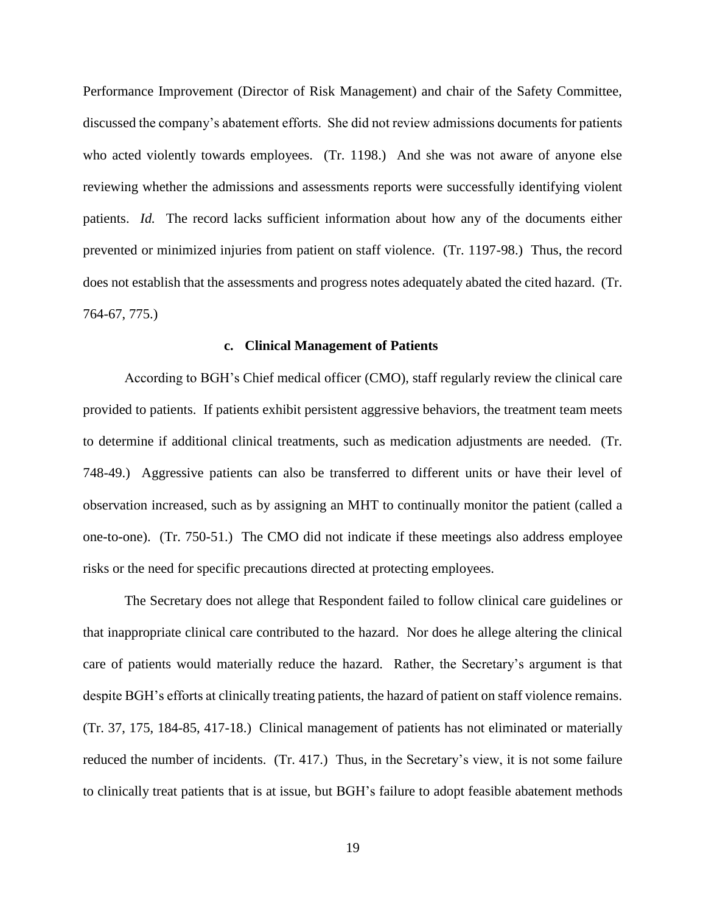Performance Improvement (Director of Risk Management) and chair of the Safety Committee, discussed the company's abatement efforts. She did not review admissions documents for patients who acted violently towards employees. (Tr. 1198.) And she was not aware of anyone else reviewing whether the admissions and assessments reports were successfully identifying violent patients. *Id.* The record lacks sufficient information about how any of the documents either prevented or minimized injuries from patient on staff violence. (Tr. 1197-98.) Thus, the record does not establish that the assessments and progress notes adequately abated the cited hazard. (Tr. 764-67, 775.)

#### **c. Clinical Management of Patients**

According to BGH's Chief medical officer (CMO), staff regularly review the clinical care provided to patients. If patients exhibit persistent aggressive behaviors, the treatment team meets to determine if additional clinical treatments, such as medication adjustments are needed. (Tr. 748-49.) Aggressive patients can also be transferred to different units or have their level of observation increased, such as by assigning an MHT to continually monitor the patient (called a one-to-one). (Tr. 750-51.) The CMO did not indicate if these meetings also address employee risks or the need for specific precautions directed at protecting employees.

The Secretary does not allege that Respondent failed to follow clinical care guidelines or that inappropriate clinical care contributed to the hazard. Nor does he allege altering the clinical care of patients would materially reduce the hazard. Rather, the Secretary's argument is that despite BGH's efforts at clinically treating patients, the hazard of patient on staff violence remains. (Tr. 37, 175, 184-85, 417-18.) Clinical management of patients has not eliminated or materially reduced the number of incidents. (Tr. 417.) Thus, in the Secretary's view, it is not some failure to clinically treat patients that is at issue, but BGH's failure to adopt feasible abatement methods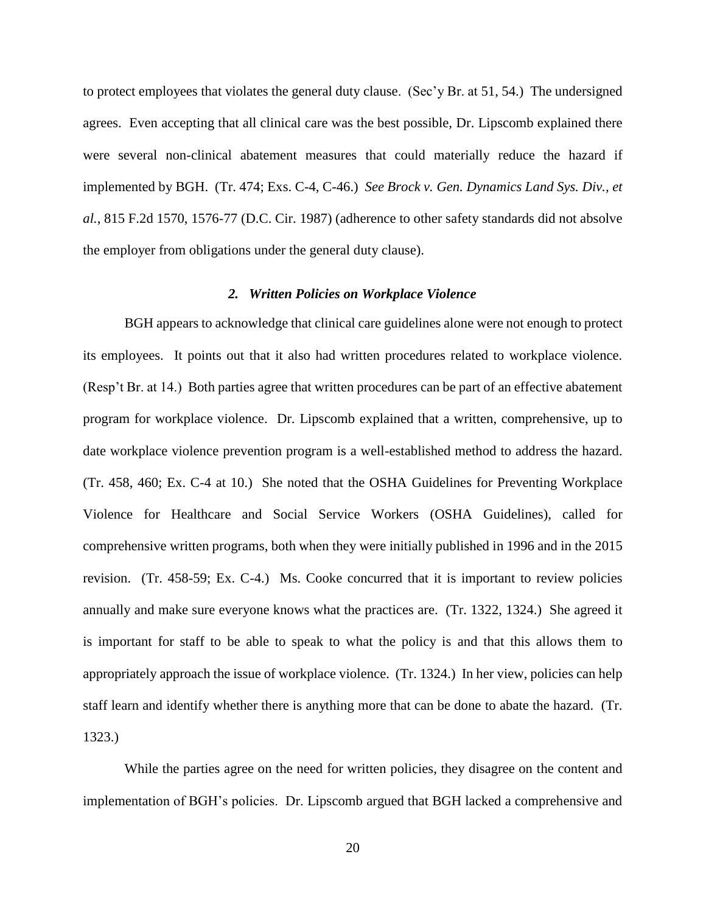to protect employees that violates the general duty clause. (Sec'y Br. at 51, 54.) The undersigned agrees. Even accepting that all clinical care was the best possible, Dr. Lipscomb explained there were several non-clinical abatement measures that could materially reduce the hazard if implemented by BGH. (Tr. 474; Exs. C-4, C-46.) *See Brock v. Gen. Dynamics Land Sys. Div., et al.*, 815 F.2d 1570, 1576-77 (D.C. Cir. 1987) (adherence to other safety standards did not absolve the employer from obligations under the general duty clause).

### *2. Written Policies on Workplace Violence*

BGH appears to acknowledge that clinical care guidelines alone were not enough to protect its employees. It points out that it also had written procedures related to workplace violence. (Resp't Br. at 14.) Both parties agree that written procedures can be part of an effective abatement program for workplace violence. Dr. Lipscomb explained that a written, comprehensive, up to date workplace violence prevention program is a well-established method to address the hazard. (Tr. 458, 460; Ex. C-4 at 10.) She noted that the OSHA Guidelines for Preventing Workplace Violence for Healthcare and Social Service Workers (OSHA Guidelines), called for comprehensive written programs, both when they were initially published in 1996 and in the 2015 revision. (Tr. 458-59; Ex. C-4.) Ms. Cooke concurred that it is important to review policies annually and make sure everyone knows what the practices are. (Tr. 1322, 1324.) She agreed it is important for staff to be able to speak to what the policy is and that this allows them to appropriately approach the issue of workplace violence. (Tr. 1324.) In her view, policies can help staff learn and identify whether there is anything more that can be done to abate the hazard. (Tr. 1323.)

While the parties agree on the need for written policies, they disagree on the content and implementation of BGH's policies. Dr. Lipscomb argued that BGH lacked a comprehensive and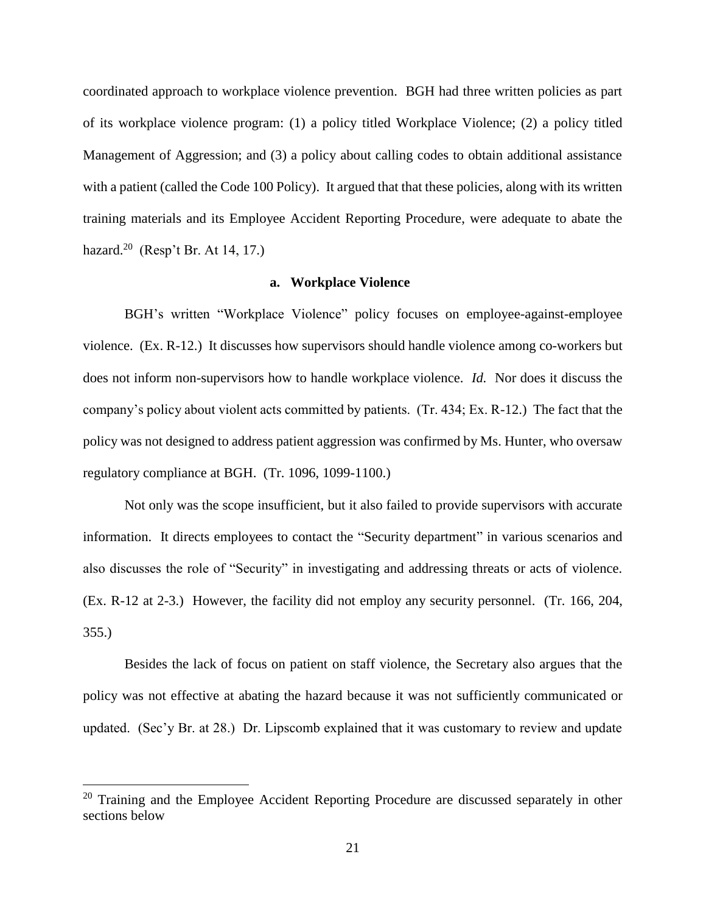coordinated approach to workplace violence prevention. BGH had three written policies as part of its workplace violence program: (1) a policy titled Workplace Violence; (2) a policy titled Management of Aggression; and (3) a policy about calling codes to obtain additional assistance with a patient (called the Code 100 Policy). It argued that that these policies, along with its written training materials and its Employee Accident Reporting Procedure, were adequate to abate the hazard.<sup>20</sup> (Resp't Br. At 14, 17.)

#### **a. Workplace Violence**

BGH's written "Workplace Violence" policy focuses on employee-against-employee violence. (Ex. R-12.) It discusses how supervisors should handle violence among co-workers but does not inform non-supervisors how to handle workplace violence. *Id.* Nor does it discuss the company's policy about violent acts committed by patients. (Tr. 434; Ex. R-12.) The fact that the policy was not designed to address patient aggression was confirmed by Ms. Hunter, who oversaw regulatory compliance at BGH. (Tr. 1096, 1099-1100.)

Not only was the scope insufficient, but it also failed to provide supervisors with accurate information. It directs employees to contact the "Security department" in various scenarios and also discusses the role of "Security" in investigating and addressing threats or acts of violence. (Ex. R-12 at 2-3.) However, the facility did not employ any security personnel. (Tr. 166, 204, 355.)

Besides the lack of focus on patient on staff violence, the Secretary also argues that the policy was not effective at abating the hazard because it was not sufficiently communicated or updated. (Sec'y Br. at 28.) Dr. Lipscomb explained that it was customary to review and update

<sup>&</sup>lt;sup>20</sup> Training and the Employee Accident Reporting Procedure are discussed separately in other sections below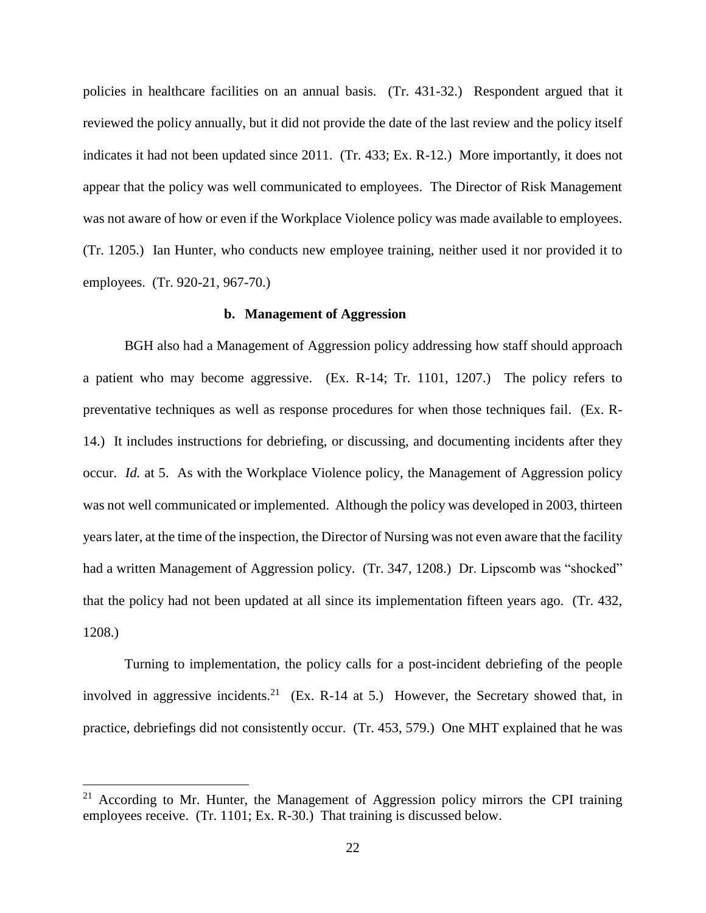policies in healthcare facilities on an annual basis. (Tr. 431-32.) Respondent argued that it reviewed the policy annually, but it did not provide the date of the last review and the policy itself indicates it had not been updated since 2011. (Tr. 433; Ex. R-12.) More importantly, it does not appear that the policy was well communicated to employees. The Director of Risk Management was not aware of how or even if the Workplace Violence policy was made available to employees. (Tr. 1205.) Ian Hunter, who conducts new employee training, neither used it nor provided it to employees. (Tr. 920-21, 967-70.)

### **b. Management of Aggression**

BGH also had a Management of Aggression policy addressing how staff should approach a patient who may become aggressive. (Ex. R-14; Tr. 1101, 1207.) The policy refers to preventative techniques as well as response procedures for when those techniques fail. (Ex. R-14.) It includes instructions for debriefing, or discussing, and documenting incidents after they occur. *Id.* at 5. As with the Workplace Violence policy, the Management of Aggression policy was not well communicated or implemented. Although the policy was developed in 2003, thirteen years later, at the time of the inspection, the Director of Nursing was not even aware that the facility had a written Management of Aggression policy. (Tr. 347, 1208.) Dr. Lipscomb was "shocked" that the policy had not been updated at all since its implementation fifteen years ago. (Tr. 432, 1208.)

Turning to implementation, the policy calls for a post-incident debriefing of the people involved in aggressive incidents.<sup>21</sup> (Ex. R-14 at 5.) However, the Secretary showed that, in practice, debriefings did not consistently occur. (Tr. 453, 579.) One MHT explained that he was

 $21$  According to Mr. Hunter, the Management of Aggression policy mirrors the CPI training employees receive. (Tr. 1101; Ex. R-30.) That training is discussed below.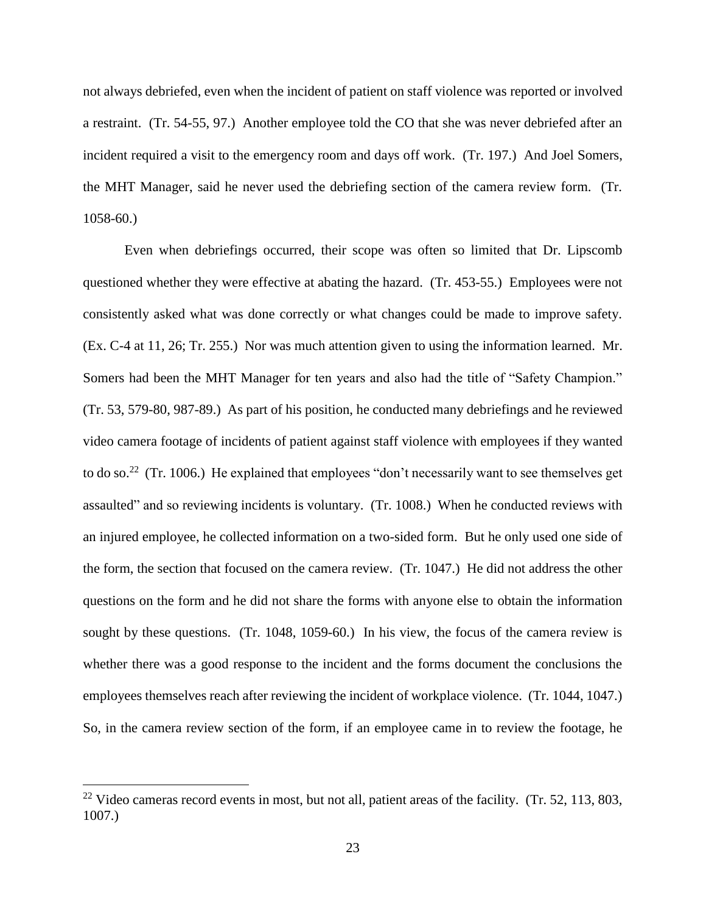not always debriefed, even when the incident of patient on staff violence was reported or involved a restraint. (Tr. 54-55, 97.) Another employee told the CO that she was never debriefed after an incident required a visit to the emergency room and days off work. (Tr. 197.) And Joel Somers, the MHT Manager, said he never used the debriefing section of the camera review form. (Tr. 1058-60.)

Even when debriefings occurred, their scope was often so limited that Dr. Lipscomb questioned whether they were effective at abating the hazard. (Tr. 453-55.) Employees were not consistently asked what was done correctly or what changes could be made to improve safety. (Ex. C-4 at 11, 26; Tr. 255.) Nor was much attention given to using the information learned. Mr. Somers had been the MHT Manager for ten years and also had the title of "Safety Champion." (Tr. 53, 579-80, 987-89.) As part of his position, he conducted many debriefings and he reviewed video camera footage of incidents of patient against staff violence with employees if they wanted to do so.<sup>22</sup> (Tr. 1006.) He explained that employees "don't necessarily want to see themselves get assaulted" and so reviewing incidents is voluntary. (Tr. 1008.) When he conducted reviews with an injured employee, he collected information on a two-sided form. But he only used one side of the form, the section that focused on the camera review. (Tr. 1047.) He did not address the other questions on the form and he did not share the forms with anyone else to obtain the information sought by these questions. (Tr. 1048, 1059-60.) In his view, the focus of the camera review is whether there was a good response to the incident and the forms document the conclusions the employees themselves reach after reviewing the incident of workplace violence. (Tr. 1044, 1047.) So, in the camera review section of the form, if an employee came in to review the footage, he

<sup>&</sup>lt;sup>22</sup> Video cameras record events in most, but not all, patient areas of the facility. (Tr. 52, 113, 803, 1007.)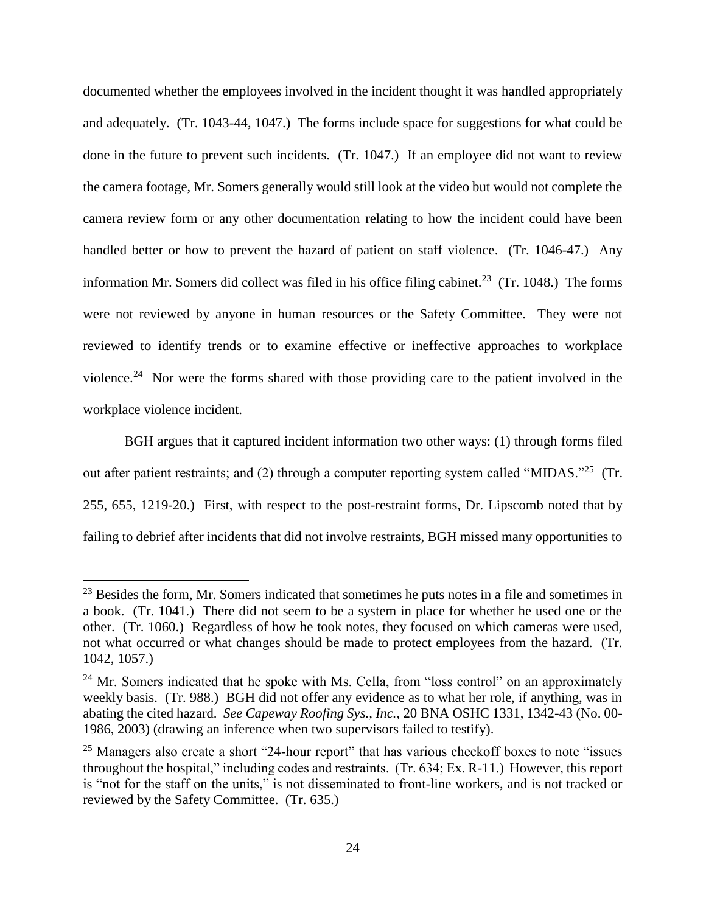documented whether the employees involved in the incident thought it was handled appropriately and adequately. (Tr. 1043-44, 1047.) The forms include space for suggestions for what could be done in the future to prevent such incidents. (Tr. 1047.) If an employee did not want to review the camera footage, Mr. Somers generally would still look at the video but would not complete the camera review form or any other documentation relating to how the incident could have been handled better or how to prevent the hazard of patient on staff violence. (Tr. 1046-47.) Any information Mr. Somers did collect was filed in his office filing cabinet.<sup>23</sup> (Tr. 1048.) The forms were not reviewed by anyone in human resources or the Safety Committee. They were not reviewed to identify trends or to examine effective or ineffective approaches to workplace violence.<sup>24</sup> Nor were the forms shared with those providing care to the patient involved in the workplace violence incident.

BGH argues that it captured incident information two other ways: (1) through forms filed out after patient restraints; and (2) through a computer reporting system called "MIDAS."<sup>25</sup> (Tr. 255, 655, 1219-20.) First, with respect to the post-restraint forms, Dr. Lipscomb noted that by failing to debrief after incidents that did not involve restraints, BGH missed many opportunities to

<sup>&</sup>lt;sup>23</sup> Besides the form, Mr. Somers indicated that sometimes he puts notes in a file and sometimes in a book. (Tr. 1041.) There did not seem to be a system in place for whether he used one or the other. (Tr. 1060.) Regardless of how he took notes, they focused on which cameras were used, not what occurred or what changes should be made to protect employees from the hazard. (Tr. 1042, 1057.)

 $24$  Mr. Somers indicated that he spoke with Ms. Cella, from "loss control" on an approximately weekly basis. (Tr. 988.) BGH did not offer any evidence as to what her role, if anything, was in abating the cited hazard. *See Capeway Roofing Sys., Inc.,* 20 BNA OSHC 1331, 1342-43 (No. 00- 1986, 2003) (drawing an inference when two supervisors failed to testify).

 $25$  Managers also create a short "24-hour report" that has various checkoff boxes to note "issues" throughout the hospital," including codes and restraints. (Tr. 634; Ex. R-11.) However, this report is "not for the staff on the units," is not disseminated to front-line workers, and is not tracked or reviewed by the Safety Committee. (Tr. 635.)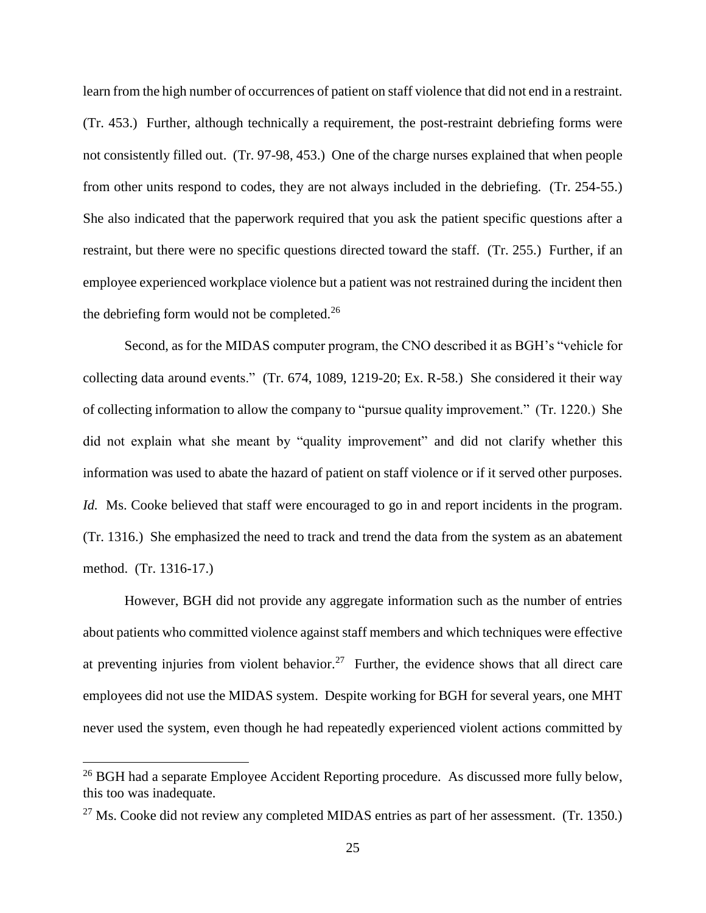learn from the high number of occurrences of patient on staff violence that did not end in a restraint. (Tr. 453.) Further, although technically a requirement, the post-restraint debriefing forms were not consistently filled out. (Tr. 97-98, 453.) One of the charge nurses explained that when people from other units respond to codes, they are not always included in the debriefing. (Tr. 254-55.) She also indicated that the paperwork required that you ask the patient specific questions after a restraint, but there were no specific questions directed toward the staff. (Tr. 255.) Further, if an employee experienced workplace violence but a patient was not restrained during the incident then the debriefing form would not be completed.<sup>26</sup>

Second, as for the MIDAS computer program, the CNO described it as BGH's "vehicle for collecting data around events." (Tr. 674, 1089, 1219-20; Ex. R-58.) She considered it their way of collecting information to allow the company to "pursue quality improvement." (Tr. 1220.) She did not explain what she meant by "quality improvement" and did not clarify whether this information was used to abate the hazard of patient on staff violence or if it served other purposes. *Id.* Ms. Cooke believed that staff were encouraged to go in and report incidents in the program. (Tr. 1316.) She emphasized the need to track and trend the data from the system as an abatement method. (Tr. 1316-17.)

However, BGH did not provide any aggregate information such as the number of entries about patients who committed violence against staff members and which techniques were effective at preventing injuries from violent behavior.<sup>27</sup> Further, the evidence shows that all direct care employees did not use the MIDAS system. Despite working for BGH for several years, one MHT never used the system, even though he had repeatedly experienced violent actions committed by

<sup>&</sup>lt;sup>26</sup> BGH had a separate Employee Accident Reporting procedure. As discussed more fully below, this too was inadequate.

 $^{27}$  Ms. Cooke did not review any completed MIDAS entries as part of her assessment. (Tr. 1350.)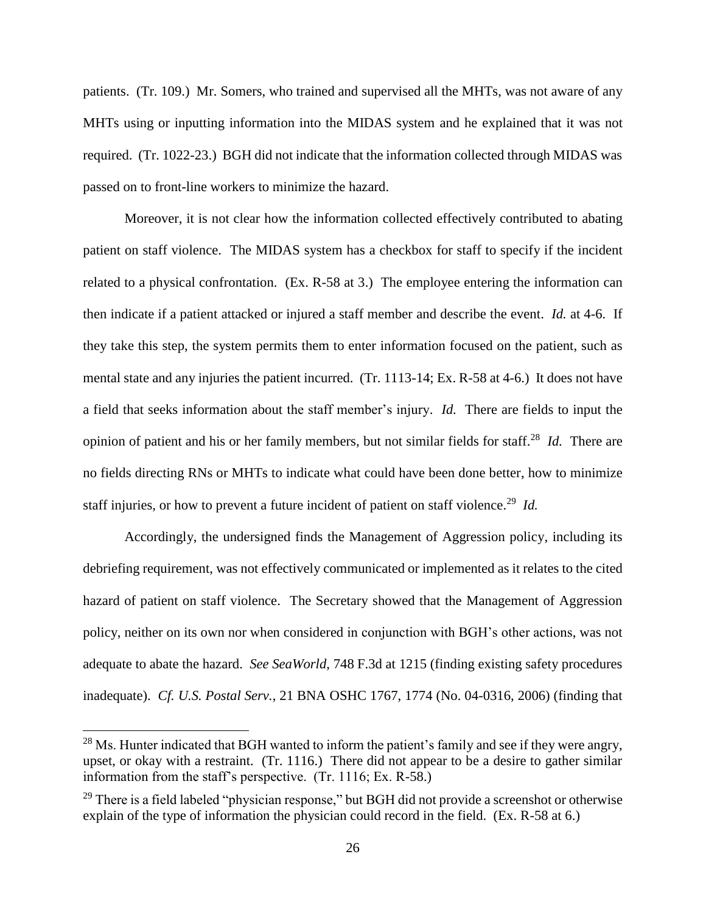patients. (Tr. 109.) Mr. Somers, who trained and supervised all the MHTs, was not aware of any MHTs using or inputting information into the MIDAS system and he explained that it was not required. (Tr. 1022-23.) BGH did not indicate that the information collected through MIDAS was passed on to front-line workers to minimize the hazard.

Moreover, it is not clear how the information collected effectively contributed to abating patient on staff violence. The MIDAS system has a checkbox for staff to specify if the incident related to a physical confrontation. (Ex. R-58 at 3.) The employee entering the information can then indicate if a patient attacked or injured a staff member and describe the event. *Id.* at 4-6. If they take this step, the system permits them to enter information focused on the patient, such as mental state and any injuries the patient incurred. (Tr. 1113-14; Ex. R-58 at 4-6.) It does not have a field that seeks information about the staff member's injury. *Id.* There are fields to input the opinion of patient and his or her family members, but not similar fields for staff.<sup>28</sup> *Id.* There are no fields directing RNs or MHTs to indicate what could have been done better, how to minimize staff injuries, or how to prevent a future incident of patient on staff violence.<sup>29</sup> Id.

Accordingly, the undersigned finds the Management of Aggression policy, including its debriefing requirement, was not effectively communicated or implemented as it relates to the cited hazard of patient on staff violence. The Secretary showed that the Management of Aggression policy, neither on its own nor when considered in conjunction with BGH's other actions, was not adequate to abate the hazard. *See SeaWorld*, 748 F.3d at 1215 (finding existing safety procedures inadequate). *Cf. U.S. Postal Serv.*, 21 BNA OSHC 1767, 1774 (No. 04-0316, 2006) (finding that

<sup>&</sup>lt;sup>28</sup> Ms. Hunter indicated that BGH wanted to inform the patient's family and see if they were angry, upset, or okay with a restraint. (Tr. 1116.) There did not appear to be a desire to gather similar information from the staff's perspective. (Tr. 1116; Ex. R-58.)

 $29$  There is a field labeled "physician response," but BGH did not provide a screenshot or otherwise explain of the type of information the physician could record in the field. (Ex. R-58 at 6.)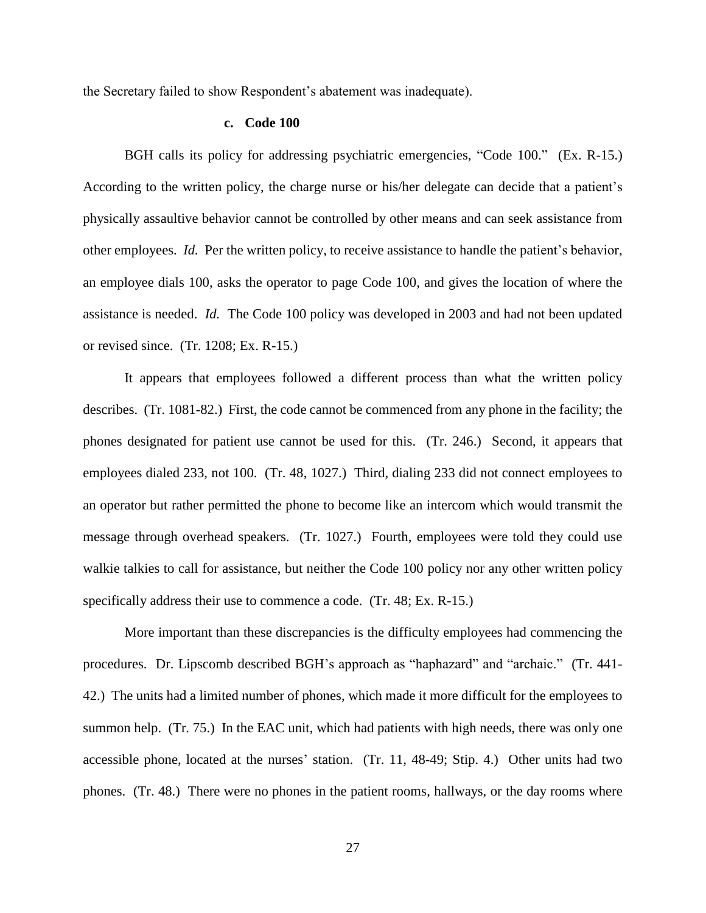the Secretary failed to show Respondent's abatement was inadequate).

#### **c. Code 100**

BGH calls its policy for addressing psychiatric emergencies, "Code 100." (Ex. R-15.) According to the written policy, the charge nurse or his/her delegate can decide that a patient's physically assaultive behavior cannot be controlled by other means and can seek assistance from other employees. *Id.* Per the written policy, to receive assistance to handle the patient's behavior, an employee dials 100, asks the operator to page Code 100, and gives the location of where the assistance is needed. *Id.* The Code 100 policy was developed in 2003 and had not been updated or revised since. (Tr. 1208; Ex. R-15.)

It appears that employees followed a different process than what the written policy describes. (Tr. 1081-82.) First, the code cannot be commenced from any phone in the facility; the phones designated for patient use cannot be used for this. (Tr. 246.) Second, it appears that employees dialed 233, not 100. (Tr. 48, 1027.) Third, dialing 233 did not connect employees to an operator but rather permitted the phone to become like an intercom which would transmit the message through overhead speakers. (Tr. 1027.) Fourth, employees were told they could use walkie talkies to call for assistance, but neither the Code 100 policy nor any other written policy specifically address their use to commence a code. (Tr. 48; Ex. R-15.)

More important than these discrepancies is the difficulty employees had commencing the procedures. Dr. Lipscomb described BGH's approach as "haphazard" and "archaic." (Tr. 441- 42.) The units had a limited number of phones, which made it more difficult for the employees to summon help. (Tr. 75.) In the EAC unit, which had patients with high needs, there was only one accessible phone, located at the nurses' station. (Tr. 11, 48-49; Stip. 4.) Other units had two phones. (Tr. 48.) There were no phones in the patient rooms, hallways, or the day rooms where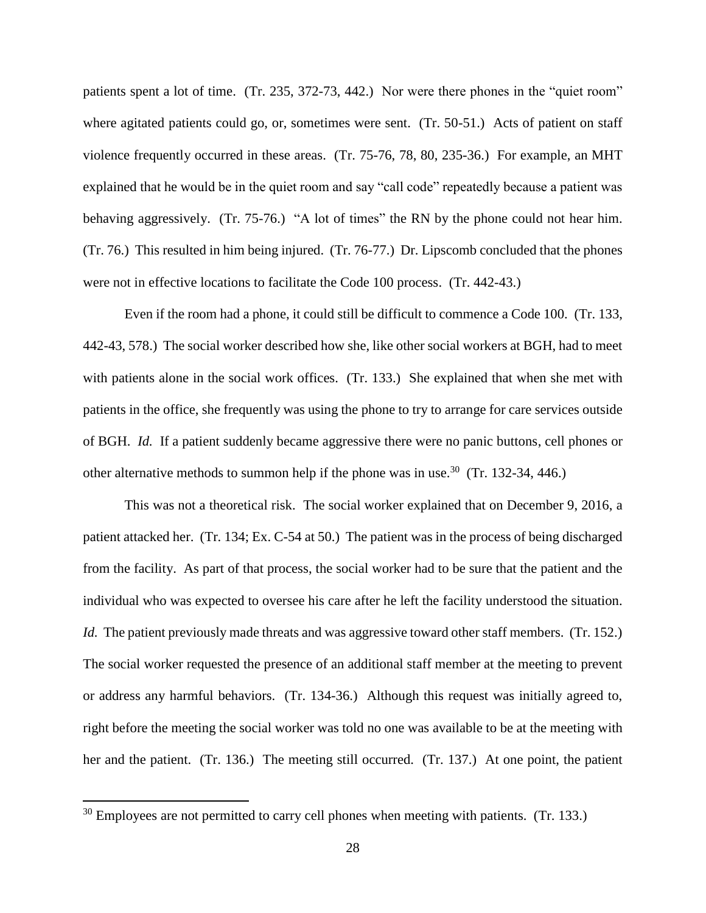patients spent a lot of time. (Tr. 235, 372-73, 442.) Nor were there phones in the "quiet room" where agitated patients could go, or, sometimes were sent. (Tr. 50-51.) Acts of patient on staff violence frequently occurred in these areas. (Tr. 75-76, 78, 80, 235-36.) For example, an MHT explained that he would be in the quiet room and say "call code" repeatedly because a patient was behaving aggressively. (Tr. 75-76.) "A lot of times" the RN by the phone could not hear him. (Tr. 76.) This resulted in him being injured. (Tr. 76-77.) Dr. Lipscomb concluded that the phones were not in effective locations to facilitate the Code 100 process. (Tr. 442-43.)

Even if the room had a phone, it could still be difficult to commence a Code 100. (Tr. 133, 442-43, 578.) The social worker described how she, like other social workers at BGH, had to meet with patients alone in the social work offices. (Tr. 133.) She explained that when she met with patients in the office, she frequently was using the phone to try to arrange for care services outside of BGH. *Id.* If a patient suddenly became aggressive there were no panic buttons, cell phones or other alternative methods to summon help if the phone was in use.<sup>30</sup> (Tr. 132-34, 446.)

This was not a theoretical risk. The social worker explained that on December 9, 2016, a patient attacked her. (Tr. 134; Ex. C-54 at 50.) The patient was in the process of being discharged from the facility. As part of that process, the social worker had to be sure that the patient and the individual who was expected to oversee his care after he left the facility understood the situation. *Id.* The patient previously made threats and was aggressive toward other staff members. (Tr. 152.) The social worker requested the presence of an additional staff member at the meeting to prevent or address any harmful behaviors. (Tr. 134-36.) Although this request was initially agreed to, right before the meeting the social worker was told no one was available to be at the meeting with her and the patient. (Tr. 136.) The meeting still occurred. (Tr. 137.) At one point, the patient

<sup>&</sup>lt;sup>30</sup> Employees are not permitted to carry cell phones when meeting with patients. (Tr. 133.)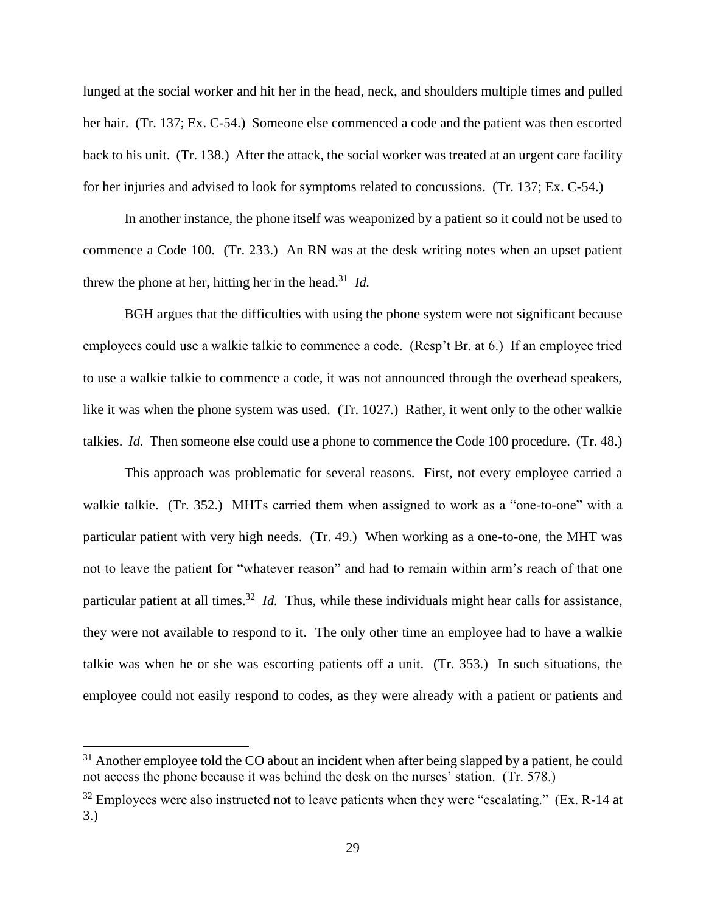lunged at the social worker and hit her in the head, neck, and shoulders multiple times and pulled her hair. (Tr. 137; Ex. C-54.) Someone else commenced a code and the patient was then escorted back to his unit. (Tr. 138.) After the attack, the social worker was treated at an urgent care facility for her injuries and advised to look for symptoms related to concussions. (Tr. 137; Ex. C-54.)

In another instance, the phone itself was weaponized by a patient so it could not be used to commence a Code 100. (Tr. 233.) An RN was at the desk writing notes when an upset patient threw the phone at her, hitting her in the head. 31 *Id.*

BGH argues that the difficulties with using the phone system were not significant because employees could use a walkie talkie to commence a code. (Resp't Br. at 6.) If an employee tried to use a walkie talkie to commence a code, it was not announced through the overhead speakers, like it was when the phone system was used. (Tr. 1027.) Rather, it went only to the other walkie talkies. *Id.* Then someone else could use a phone to commence the Code 100 procedure. (Tr. 48.)

This approach was problematic for several reasons. First, not every employee carried a walkie talkie. (Tr. 352.) MHTs carried them when assigned to work as a "one-to-one" with a particular patient with very high needs. (Tr. 49.) When working as a one-to-one, the MHT was not to leave the patient for "whatever reason" and had to remain within arm's reach of that one particular patient at all times.<sup>32</sup> *Id.* Thus, while these individuals might hear calls for assistance, they were not available to respond to it. The only other time an employee had to have a walkie talkie was when he or she was escorting patients off a unit. (Tr. 353.) In such situations, the employee could not easily respond to codes, as they were already with a patient or patients and

 $31$  Another employee told the CO about an incident when after being slapped by a patient, he could not access the phone because it was behind the desk on the nurses' station. (Tr. 578.)

 $32$  Employees were also instructed not to leave patients when they were "escalating." (Ex. R-14 at 3.)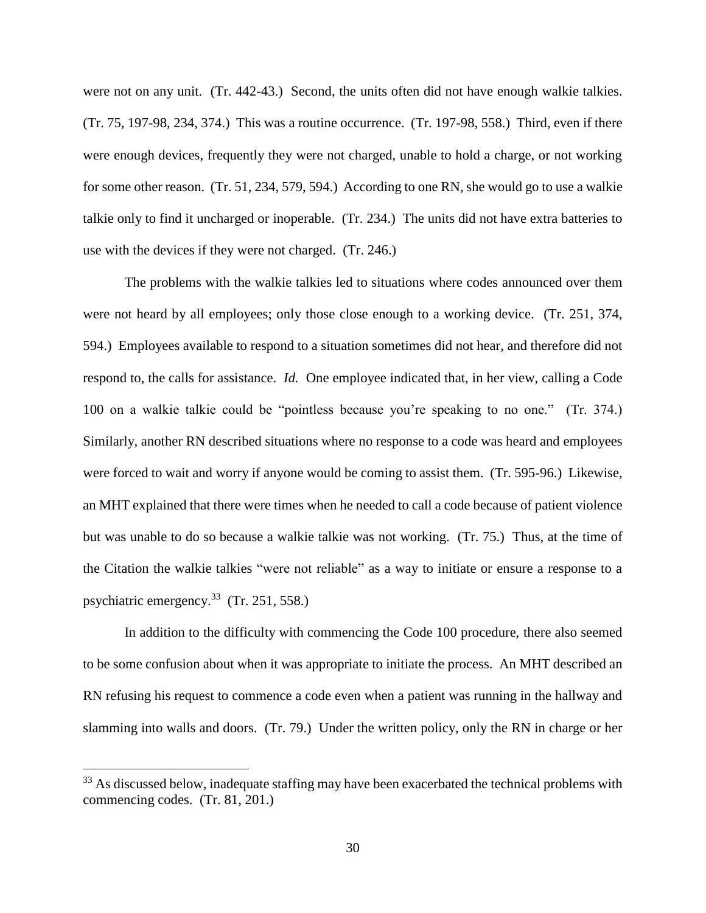were not on any unit. (Tr. 442-43.) Second, the units often did not have enough walkie talkies. (Tr. 75, 197-98, 234, 374.) This was a routine occurrence. (Tr. 197-98, 558.) Third, even if there were enough devices, frequently they were not charged, unable to hold a charge, or not working for some other reason. (Tr. 51, 234, 579, 594.) According to one RN, she would go to use a walkie talkie only to find it uncharged or inoperable. (Tr. 234.) The units did not have extra batteries to use with the devices if they were not charged. (Tr. 246.)

The problems with the walkie talkies led to situations where codes announced over them were not heard by all employees; only those close enough to a working device. (Tr. 251, 374, 594.) Employees available to respond to a situation sometimes did not hear, and therefore did not respond to, the calls for assistance. *Id.* One employee indicated that, in her view, calling a Code 100 on a walkie talkie could be "pointless because you're speaking to no one." (Tr. 374.) Similarly, another RN described situations where no response to a code was heard and employees were forced to wait and worry if anyone would be coming to assist them. (Tr. 595-96.) Likewise, an MHT explained that there were times when he needed to call a code because of patient violence but was unable to do so because a walkie talkie was not working. (Tr. 75.) Thus, at the time of the Citation the walkie talkies "were not reliable" as a way to initiate or ensure a response to a psychiatric emergency.<sup>33</sup> (Tr. 251, 558.)

In addition to the difficulty with commencing the Code 100 procedure, there also seemed to be some confusion about when it was appropriate to initiate the process. An MHT described an RN refusing his request to commence a code even when a patient was running in the hallway and slamming into walls and doors. (Tr. 79.) Under the written policy, only the RN in charge or her

<sup>&</sup>lt;sup>33</sup> As discussed below, inadequate staffing may have been exacerbated the technical problems with commencing codes. (Tr. 81, 201.)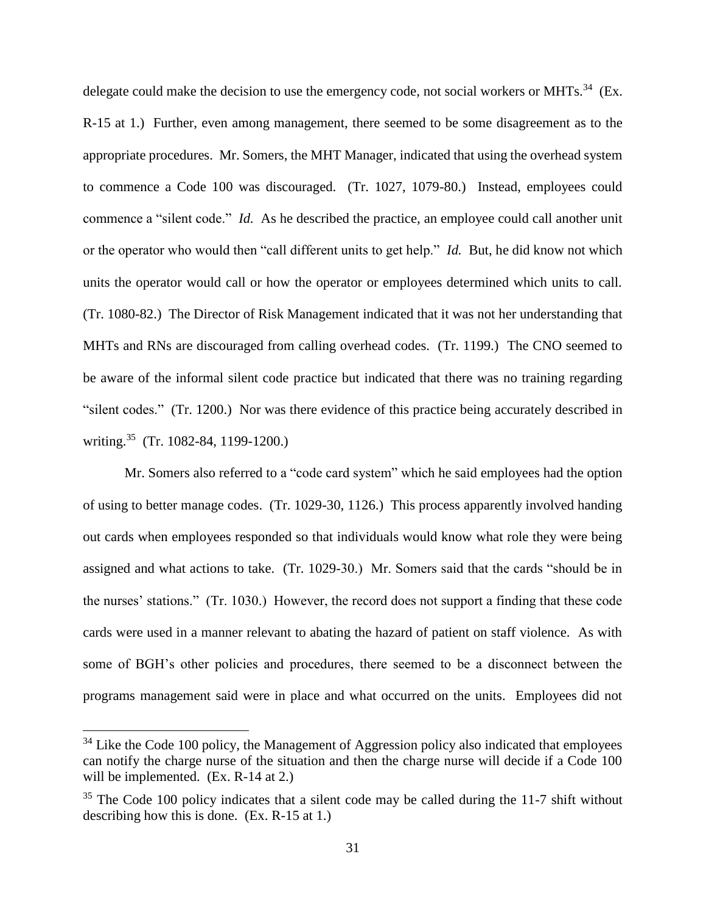delegate could make the decision to use the emergency code, not social workers or MHTs.<sup>34</sup> (Ex. R-15 at 1.) Further, even among management, there seemed to be some disagreement as to the appropriate procedures. Mr. Somers, the MHT Manager, indicated that using the overhead system to commence a Code 100 was discouraged. (Tr. 1027, 1079-80.) Instead, employees could commence a "silent code." *Id.* As he described the practice, an employee could call another unit or the operator who would then "call different units to get help." *Id.* But, he did know not which units the operator would call or how the operator or employees determined which units to call. (Tr. 1080-82.) The Director of Risk Management indicated that it was not her understanding that MHTs and RNs are discouraged from calling overhead codes. (Tr. 1199.) The CNO seemed to be aware of the informal silent code practice but indicated that there was no training regarding "silent codes." (Tr. 1200.) Nor was there evidence of this practice being accurately described in writing.<sup>35</sup> (Tr. 1082-84, 1199-1200.)

Mr. Somers also referred to a "code card system" which he said employees had the option of using to better manage codes. (Tr. 1029-30, 1126.) This process apparently involved handing out cards when employees responded so that individuals would know what role they were being assigned and what actions to take. (Tr. 1029-30.) Mr. Somers said that the cards "should be in the nurses' stations." (Tr. 1030.) However, the record does not support a finding that these code cards were used in a manner relevant to abating the hazard of patient on staff violence. As with some of BGH's other policies and procedures, there seemed to be a disconnect between the programs management said were in place and what occurred on the units. Employees did not

 $34$  Like the Code 100 policy, the Management of Aggression policy also indicated that employees can notify the charge nurse of the situation and then the charge nurse will decide if a Code 100 will be implemented. (Ex. R-14 at 2.)

 $35$  The Code 100 policy indicates that a silent code may be called during the 11-7 shift without describing how this is done. (Ex. R-15 at 1.)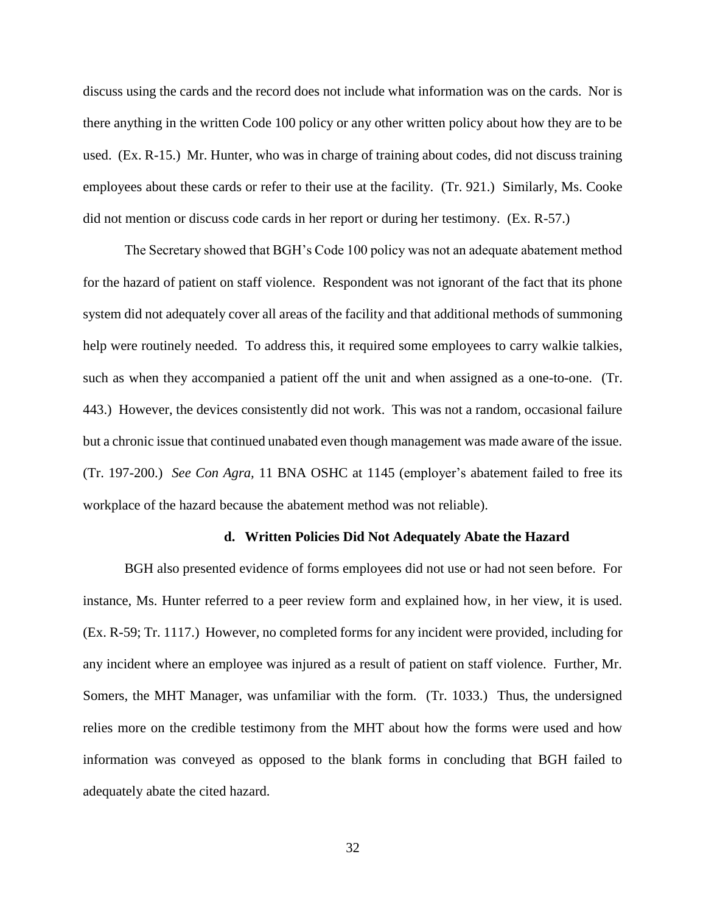discuss using the cards and the record does not include what information was on the cards. Nor is there anything in the written Code 100 policy or any other written policy about how they are to be used. (Ex. R-15.) Mr. Hunter, who was in charge of training about codes, did not discuss training employees about these cards or refer to their use at the facility. (Tr. 921.) Similarly, Ms. Cooke did not mention or discuss code cards in her report or during her testimony. (Ex. R-57.)

The Secretary showed that BGH's Code 100 policy was not an adequate abatement method for the hazard of patient on staff violence. Respondent was not ignorant of the fact that its phone system did not adequately cover all areas of the facility and that additional methods of summoning help were routinely needed. To address this, it required some employees to carry walkie talkies, such as when they accompanied a patient off the unit and when assigned as a one-to-one. (Tr. 443.) However, the devices consistently did not work. This was not a random, occasional failure but a chronic issue that continued unabated even though management was made aware of the issue. (Tr. 197-200.) *See Con Agra,* 11 BNA OSHC at 1145 (employer's abatement failed to free its workplace of the hazard because the abatement method was not reliable).

#### **d. Written Policies Did Not Adequately Abate the Hazard**

BGH also presented evidence of forms employees did not use or had not seen before. For instance, Ms. Hunter referred to a peer review form and explained how, in her view, it is used. (Ex. R-59; Tr. 1117.) However, no completed forms for any incident were provided, including for any incident where an employee was injured as a result of patient on staff violence. Further, Mr. Somers, the MHT Manager, was unfamiliar with the form. (Tr. 1033.) Thus, the undersigned relies more on the credible testimony from the MHT about how the forms were used and how information was conveyed as opposed to the blank forms in concluding that BGH failed to adequately abate the cited hazard.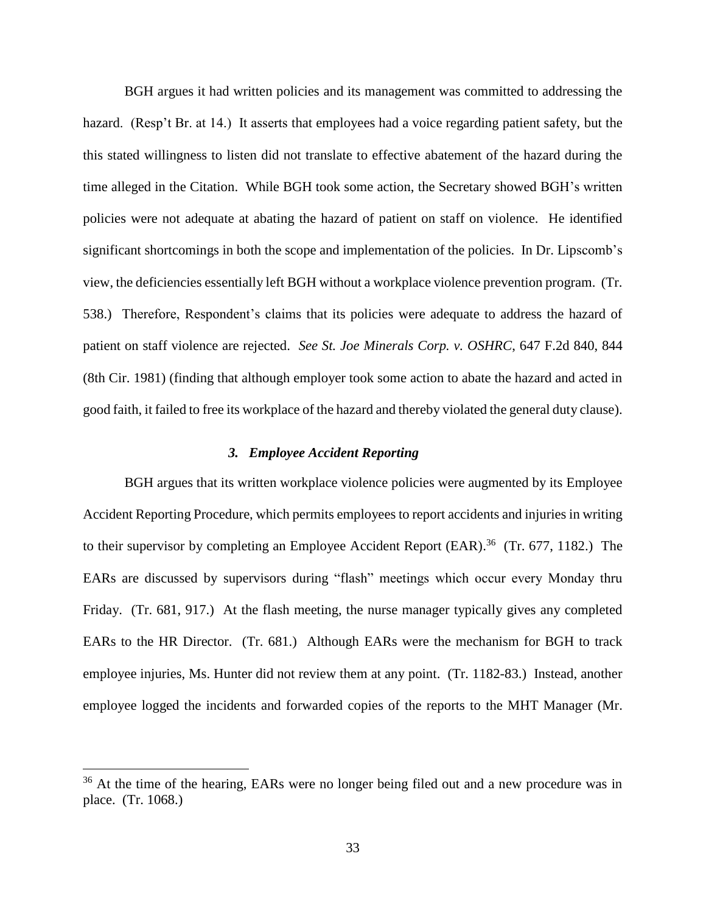BGH argues it had written policies and its management was committed to addressing the hazard. (Resp't Br. at 14.) It asserts that employees had a voice regarding patient safety, but the this stated willingness to listen did not translate to effective abatement of the hazard during the time alleged in the Citation. While BGH took some action, the Secretary showed BGH's written policies were not adequate at abating the hazard of patient on staff on violence. He identified significant shortcomings in both the scope and implementation of the policies. In Dr. Lipscomb's view, the deficiencies essentially left BGH without a workplace violence prevention program. (Tr. 538.) Therefore, Respondent's claims that its policies were adequate to address the hazard of patient on staff violence are rejected. *See St. Joe Minerals Corp. v. OSHRC*, 647 F.2d 840, 844 (8th Cir. 1981) (finding that although employer took some action to abate the hazard and acted in good faith, it failed to free its workplace of the hazard and thereby violated the general duty clause).

### *3. Employee Accident Reporting*

BGH argues that its written workplace violence policies were augmented by its Employee Accident Reporting Procedure, which permits employees to report accidents and injuries in writing to their supervisor by completing an Employee Accident Report (EAR).<sup>36</sup> (Tr. 677, 1182.) The EARs are discussed by supervisors during "flash" meetings which occur every Monday thru Friday. (Tr. 681, 917.) At the flash meeting, the nurse manager typically gives any completed EARs to the HR Director. (Tr. 681.) Although EARs were the mechanism for BGH to track employee injuries, Ms. Hunter did not review them at any point. (Tr. 1182-83.) Instead, another employee logged the incidents and forwarded copies of the reports to the MHT Manager (Mr.

<sup>&</sup>lt;sup>36</sup> At the time of the hearing, EARs were no longer being filed out and a new procedure was in place. (Tr. 1068.)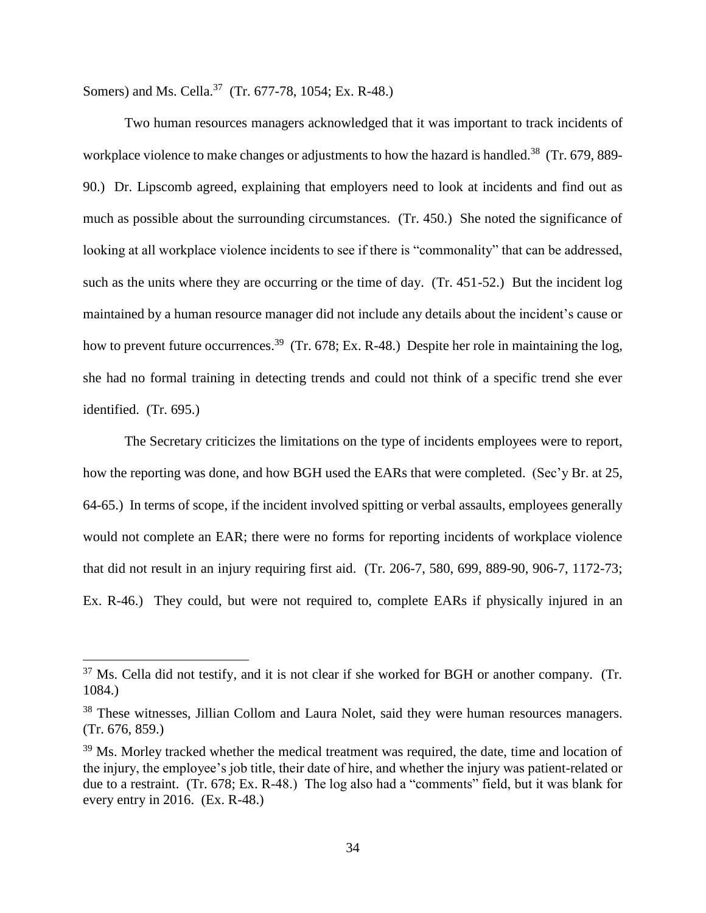Somers) and Ms. Cella.<sup>37</sup> (Tr. 677-78, 1054; Ex. R-48.)

 $\overline{a}$ 

Two human resources managers acknowledged that it was important to track incidents of workplace violence to make changes or adjustments to how the hazard is handled.<sup>38</sup> (Tr. 679, 889-90.) Dr. Lipscomb agreed, explaining that employers need to look at incidents and find out as much as possible about the surrounding circumstances. (Tr. 450.) She noted the significance of looking at all workplace violence incidents to see if there is "commonality" that can be addressed, such as the units where they are occurring or the time of day. (Tr. 451-52.) But the incident log maintained by a human resource manager did not include any details about the incident's cause or how to prevent future occurrences.<sup>39</sup> (Tr. 678; Ex. R-48.) Despite her role in maintaining the log, she had no formal training in detecting trends and could not think of a specific trend she ever identified. (Tr. 695.)

The Secretary criticizes the limitations on the type of incidents employees were to report, how the reporting was done, and how BGH used the EARs that were completed. (Sec'y Br. at 25, 64-65.) In terms of scope, if the incident involved spitting or verbal assaults, employees generally would not complete an EAR; there were no forms for reporting incidents of workplace violence that did not result in an injury requiring first aid. (Tr. 206-7, 580, 699, 889-90, 906-7, 1172-73; Ex. R-46.) They could, but were not required to, complete EARs if physically injured in an

 $37$  Ms. Cella did not testify, and it is not clear if she worked for BGH or another company. (Tr. 1084.)

<sup>&</sup>lt;sup>38</sup> These witnesses, Jillian Collom and Laura Nolet, said they were human resources managers. (Tr. 676, 859.)

<sup>&</sup>lt;sup>39</sup> Ms. Morley tracked whether the medical treatment was required, the date, time and location of the injury, the employee's job title, their date of hire, and whether the injury was patient-related or due to a restraint. (Tr. 678; Ex. R-48.) The log also had a "comments" field, but it was blank for every entry in 2016. (Ex. R-48.)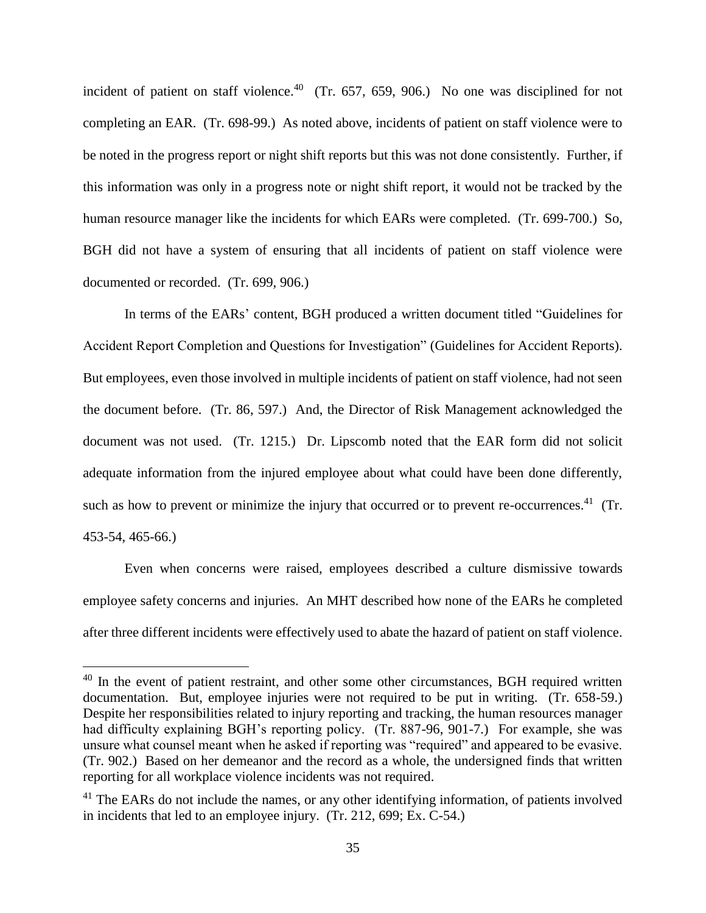incident of patient on staff violence.<sup>40</sup> (Tr. 657, 659, 906.) No one was disciplined for not completing an EAR. (Tr. 698-99.) As noted above, incidents of patient on staff violence were to be noted in the progress report or night shift reports but this was not done consistently. Further, if this information was only in a progress note or night shift report, it would not be tracked by the human resource manager like the incidents for which EARs were completed. (Tr. 699-700.) So, BGH did not have a system of ensuring that all incidents of patient on staff violence were documented or recorded. (Tr. 699, 906.)

In terms of the EARs' content, BGH produced a written document titled "Guidelines for Accident Report Completion and Questions for Investigation" (Guidelines for Accident Reports). But employees, even those involved in multiple incidents of patient on staff violence, had not seen the document before. (Tr. 86, 597.) And, the Director of Risk Management acknowledged the document was not used. (Tr. 1215.) Dr. Lipscomb noted that the EAR form did not solicit adequate information from the injured employee about what could have been done differently, such as how to prevent or minimize the injury that occurred or to prevent re-occurrences.<sup>41</sup> (Tr. 453-54, 465-66.)

Even when concerns were raised, employees described a culture dismissive towards employee safety concerns and injuries. An MHT described how none of the EARs he completed after three different incidents were effectively used to abate the hazard of patient on staff violence.

 $40$  In the event of patient restraint, and other some other circumstances, BGH required written documentation. But, employee injuries were not required to be put in writing. (Tr. 658-59.) Despite her responsibilities related to injury reporting and tracking, the human resources manager had difficulty explaining BGH's reporting policy. (Tr. 887-96, 901-7.) For example, she was unsure what counsel meant when he asked if reporting was "required" and appeared to be evasive. (Tr. 902.) Based on her demeanor and the record as a whole, the undersigned finds that written reporting for all workplace violence incidents was not required.

<sup>&</sup>lt;sup>41</sup> The EARs do not include the names, or any other identifying information, of patients involved in incidents that led to an employee injury. (Tr. 212, 699; Ex. C-54.)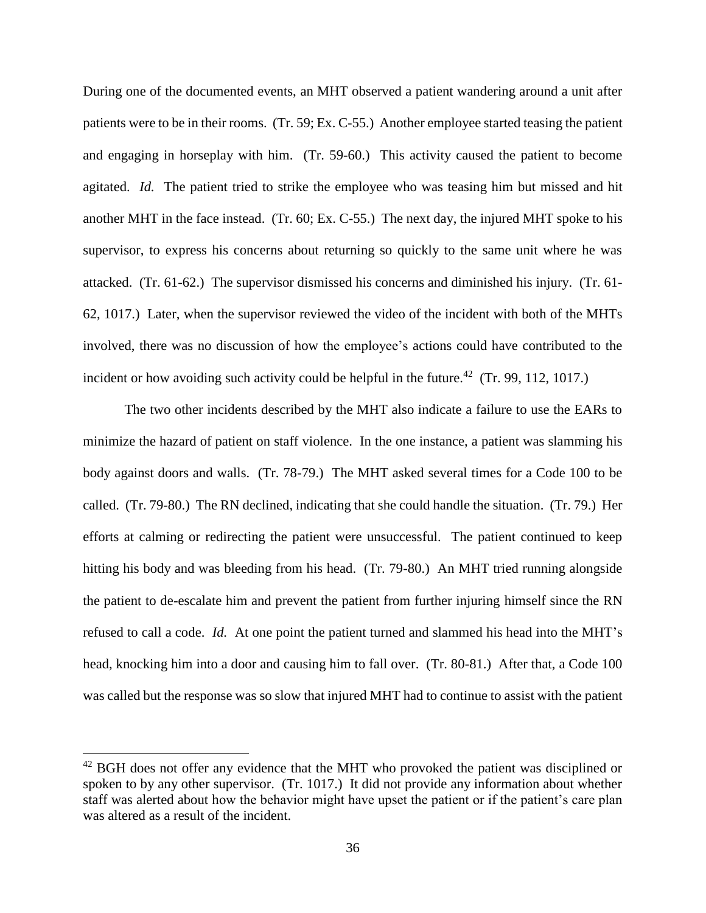During one of the documented events, an MHT observed a patient wandering around a unit after patients were to be in their rooms. (Tr. 59; Ex. C-55.) Another employee started teasing the patient and engaging in horseplay with him. (Tr. 59-60.) This activity caused the patient to become agitated. *Id.* The patient tried to strike the employee who was teasing him but missed and hit another MHT in the face instead. (Tr. 60; Ex. C-55.) The next day, the injured MHT spoke to his supervisor, to express his concerns about returning so quickly to the same unit where he was attacked. (Tr. 61-62.) The supervisor dismissed his concerns and diminished his injury. (Tr. 61- 62, 1017.)Later, when the supervisor reviewed the video of the incident with both of the MHTs involved, there was no discussion of how the employee's actions could have contributed to the incident or how avoiding such activity could be helpful in the future.<sup>42</sup> (Tr. 99, 112, 1017.)

The two other incidents described by the MHT also indicate a failure to use the EARs to minimize the hazard of patient on staff violence. In the one instance, a patient was slamming his body against doors and walls. (Tr. 78-79.) The MHT asked several times for a Code 100 to be called. (Tr. 79-80.) The RN declined, indicating that she could handle the situation. (Tr. 79.) Her efforts at calming or redirecting the patient were unsuccessful. The patient continued to keep hitting his body and was bleeding from his head. (Tr. 79-80.) An MHT tried running alongside the patient to de-escalate him and prevent the patient from further injuring himself since the RN refused to call a code. *Id.* At one point the patient turned and slammed his head into the MHT's head, knocking him into a door and causing him to fall over. (Tr. 80-81.) After that, a Code 100 was called but the response was so slow that injured MHT had to continue to assist with the patient

<sup>&</sup>lt;sup>42</sup> BGH does not offer any evidence that the MHT who provoked the patient was disciplined or spoken to by any other supervisor. (Tr. 1017.) It did not provide any information about whether staff was alerted about how the behavior might have upset the patient or if the patient's care plan was altered as a result of the incident.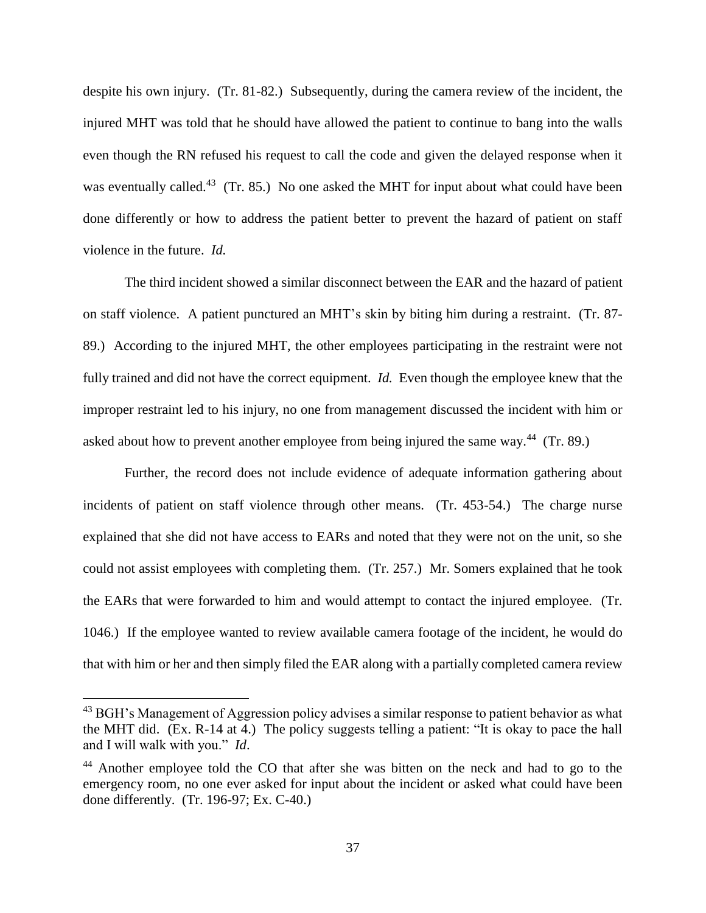despite his own injury. (Tr. 81-82.) Subsequently, during the camera review of the incident, the injured MHT was told that he should have allowed the patient to continue to bang into the walls even though the RN refused his request to call the code and given the delayed response when it was eventually called.<sup>43</sup> (Tr. 85.) No one asked the MHT for input about what could have been done differently or how to address the patient better to prevent the hazard of patient on staff violence in the future. *Id.*

The third incident showed a similar disconnect between the EAR and the hazard of patient on staff violence. A patient punctured an MHT's skin by biting him during a restraint. (Tr. 87- 89.) According to the injured MHT, the other employees participating in the restraint were not fully trained and did not have the correct equipment. *Id.* Even though the employee knew that the improper restraint led to his injury, no one from management discussed the incident with him or asked about how to prevent another employee from being injured the same way.<sup>44</sup> (Tr. 89.)

Further, the record does not include evidence of adequate information gathering about incidents of patient on staff violence through other means. (Tr. 453-54.) The charge nurse explained that she did not have access to EARs and noted that they were not on the unit, so she could not assist employees with completing them. (Tr. 257.) Mr. Somers explained that he took the EARs that were forwarded to him and would attempt to contact the injured employee. (Tr. 1046.) If the employee wanted to review available camera footage of the incident, he would do that with him or her and then simply filed the EAR along with a partially completed camera review

 $^{43}$  BGH's Management of Aggression policy advises a similar response to patient behavior as what the MHT did. (Ex. R-14 at 4.) The policy suggests telling a patient: "It is okay to pace the hall and I will walk with you." *Id*.

<sup>&</sup>lt;sup>44</sup> Another employee told the CO that after she was bitten on the neck and had to go to the emergency room, no one ever asked for input about the incident or asked what could have been done differently. (Tr. 196-97; Ex. C-40.)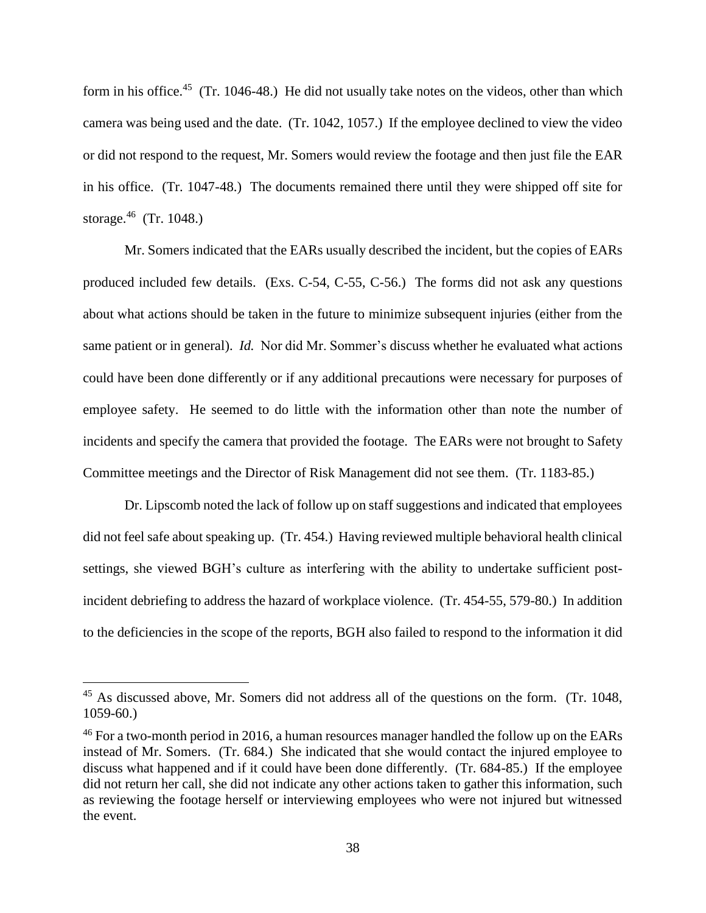form in his office.<sup>45</sup> (Tr. 1046-48.) He did not usually take notes on the videos, other than which camera was being used and the date. (Tr. 1042, 1057.) If the employee declined to view the video or did not respond to the request, Mr. Somers would review the footage and then just file the EAR in his office. (Tr. 1047-48.) The documents remained there until they were shipped off site for storage. $^{46}$  (Tr. 1048.)

Mr. Somers indicated that the EARs usually described the incident, but the copies of EARs produced included few details. (Exs. C-54, C-55, C-56.) The forms did not ask any questions about what actions should be taken in the future to minimize subsequent injuries (either from the same patient or in general). *Id.* Nor did Mr. Sommer's discuss whether he evaluated what actions could have been done differently or if any additional precautions were necessary for purposes of employee safety. He seemed to do little with the information other than note the number of incidents and specify the camera that provided the footage. The EARs were not brought to Safety Committee meetings and the Director of Risk Management did not see them. (Tr. 1183-85.)

Dr. Lipscomb noted the lack of follow up on staff suggestions and indicated that employees did not feel safe about speaking up. (Tr. 454.) Having reviewed multiple behavioral health clinical settings, she viewed BGH's culture as interfering with the ability to undertake sufficient postincident debriefing to address the hazard of workplace violence. (Tr. 454-55, 579-80.) In addition to the deficiencies in the scope of the reports, BGH also failed to respond to the information it did

<sup>&</sup>lt;sup>45</sup> As discussed above, Mr. Somers did not address all of the questions on the form. (Tr. 1048, 1059-60.)

<sup>&</sup>lt;sup>46</sup> For a two-month period in 2016, a human resources manager handled the follow up on the EARs instead of Mr. Somers. (Tr. 684.) She indicated that she would contact the injured employee to discuss what happened and if it could have been done differently. (Tr. 684-85.) If the employee did not return her call, she did not indicate any other actions taken to gather this information, such as reviewing the footage herself or interviewing employees who were not injured but witnessed the event.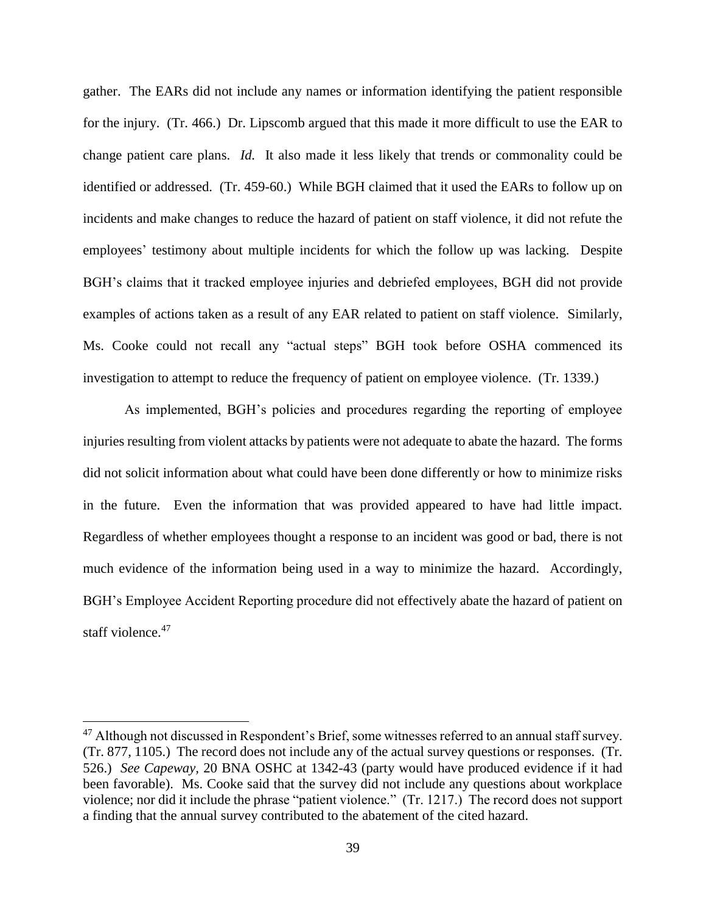gather. The EARs did not include any names or information identifying the patient responsible for the injury. (Tr. 466.) Dr. Lipscomb argued that this made it more difficult to use the EAR to change patient care plans. *Id.* It also made it less likely that trends or commonality could be identified or addressed. (Tr. 459-60.) While BGH claimed that it used the EARs to follow up on incidents and make changes to reduce the hazard of patient on staff violence, it did not refute the employees' testimony about multiple incidents for which the follow up was lacking. Despite BGH's claims that it tracked employee injuries and debriefed employees, BGH did not provide examples of actions taken as a result of any EAR related to patient on staff violence. Similarly, Ms. Cooke could not recall any "actual steps" BGH took before OSHA commenced its investigation to attempt to reduce the frequency of patient on employee violence. (Tr. 1339.)

As implemented, BGH's policies and procedures regarding the reporting of employee injuries resulting from violent attacks by patients were not adequate to abate the hazard. The forms did not solicit information about what could have been done differently or how to minimize risks in the future. Even the information that was provided appeared to have had little impact. Regardless of whether employees thought a response to an incident was good or bad, there is not much evidence of the information being used in a way to minimize the hazard. Accordingly, BGH's Employee Accident Reporting procedure did not effectively abate the hazard of patient on staff violence.<sup>47</sup>

<sup>&</sup>lt;sup>47</sup> Although not discussed in Respondent's Brief, some witnesses referred to an annual staff survey. (Tr. 877, 1105.) The record does not include any of the actual survey questions or responses. (Tr. 526.) *See Capeway,* 20 BNA OSHC at 1342-43 (party would have produced evidence if it had been favorable). Ms. Cooke said that the survey did not include any questions about workplace violence; nor did it include the phrase "patient violence." (Tr. 1217.) The record does not support a finding that the annual survey contributed to the abatement of the cited hazard.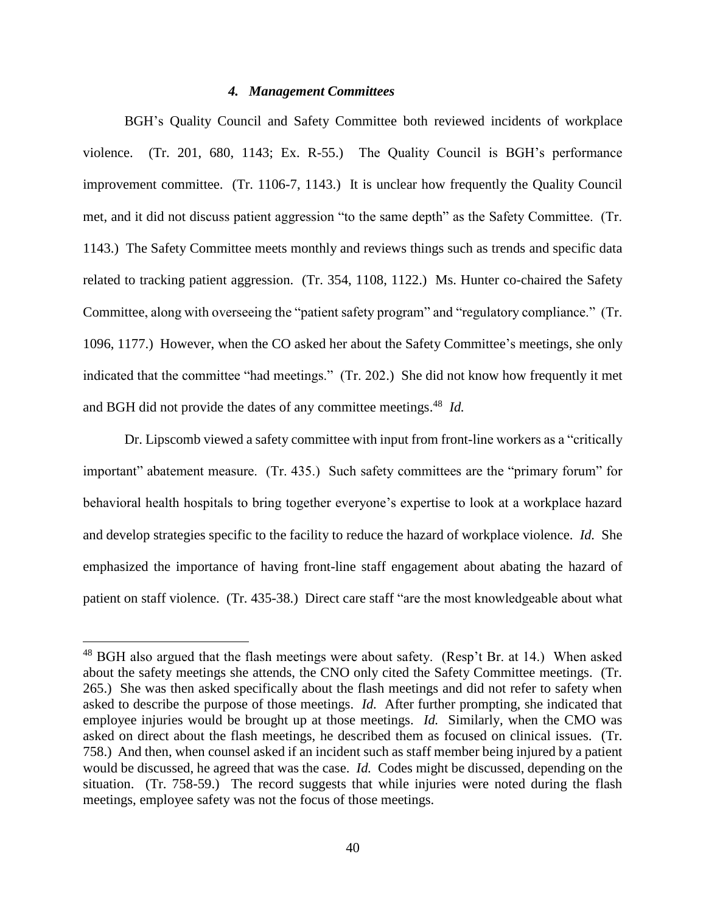### *4. Management Committees*

BGH's Quality Council and Safety Committee both reviewed incidents of workplace violence. (Tr. 201, 680, 1143; Ex. R-55.) The Quality Council is BGH's performance improvement committee. (Tr. 1106-7, 1143.) It is unclear how frequently the Quality Council met, and it did not discuss patient aggression "to the same depth" as the Safety Committee. (Tr. 1143.) The Safety Committee meets monthly and reviews things such as trends and specific data related to tracking patient aggression. (Tr. 354, 1108, 1122.) Ms. Hunter co-chaired the Safety Committee, along with overseeing the "patient safety program" and "regulatory compliance." (Tr. 1096, 1177.) However, when the CO asked her about the Safety Committee's meetings, she only indicated that the committee "had meetings." (Tr. 202.) She did not know how frequently it met and BGH did not provide the dates of any committee meetings. 48 *Id.* 

Dr. Lipscomb viewed a safety committee with input from front-line workers as a "critically important" abatement measure. (Tr. 435.) Such safety committees are the "primary forum" for behavioral health hospitals to bring together everyone's expertise to look at a workplace hazard and develop strategies specific to the facility to reduce the hazard of workplace violence. *Id.* She emphasized the importance of having front-line staff engagement about abating the hazard of patient on staff violence. (Tr. 435-38.) Direct care staff "are the most knowledgeable about what

<sup>&</sup>lt;sup>48</sup> BGH also argued that the flash meetings were about safety. (Resp't Br. at 14.) When asked about the safety meetings she attends, the CNO only cited the Safety Committee meetings. (Tr. 265.) She was then asked specifically about the flash meetings and did not refer to safety when asked to describe the purpose of those meetings. *Id.* After further prompting, she indicated that employee injuries would be brought up at those meetings. *Id.* Similarly, when the CMO was asked on direct about the flash meetings, he described them as focused on clinical issues. (Tr. 758.) And then, when counsel asked if an incident such as staff member being injured by a patient would be discussed, he agreed that was the case. *Id.* Codes might be discussed, depending on the situation. (Tr. 758-59.) The record suggests that while injuries were noted during the flash meetings, employee safety was not the focus of those meetings.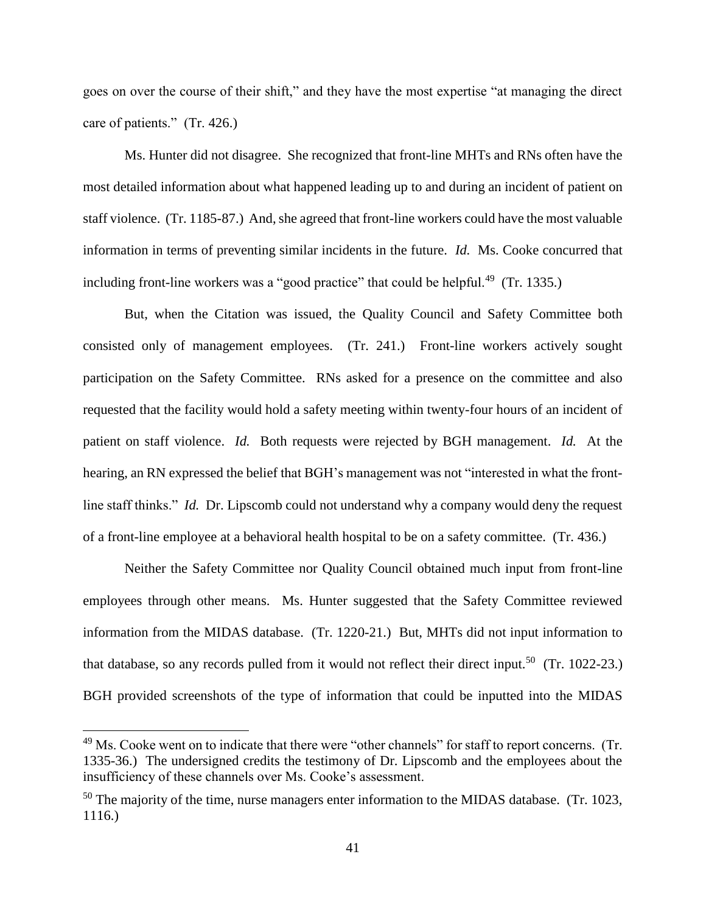goes on over the course of their shift," and they have the most expertise "at managing the direct care of patients." (Tr. 426.)

Ms. Hunter did not disagree. She recognized that front-line MHTs and RNs often have the most detailed information about what happened leading up to and during an incident of patient on staff violence. (Tr. 1185-87.) And, she agreed that front-line workers could have the most valuable information in terms of preventing similar incidents in the future. *Id.* Ms. Cooke concurred that including front-line workers was a "good practice" that could be helpful.<sup>49</sup> (Tr. 1335.)

But, when the Citation was issued, the Quality Council and Safety Committee both consisted only of management employees. (Tr. 241.) Front-line workers actively sought participation on the Safety Committee. RNs asked for a presence on the committee and also requested that the facility would hold a safety meeting within twenty-four hours of an incident of patient on staff violence. *Id.* Both requests were rejected by BGH management. *Id.* At the hearing, an RN expressed the belief that BGH's management was not "interested in what the frontline staff thinks." *Id.* Dr. Lipscomb could not understand why a company would deny the request of a front-line employee at a behavioral health hospital to be on a safety committee. (Tr. 436.)

Neither the Safety Committee nor Quality Council obtained much input from front-line employees through other means. Ms. Hunter suggested that the Safety Committee reviewed information from the MIDAS database. (Tr. 1220-21.) But, MHTs did not input information to that database, so any records pulled from it would not reflect their direct input.<sup>50</sup> (Tr. 1022-23.) BGH provided screenshots of the type of information that could be inputted into the MIDAS

<sup>&</sup>lt;sup>49</sup> Ms. Cooke went on to indicate that there were "other channels" for staff to report concerns. (Tr. 1335-36.) The undersigned credits the testimony of Dr. Lipscomb and the employees about the insufficiency of these channels over Ms. Cooke's assessment.

 $50$  The majority of the time, nurse managers enter information to the MIDAS database. (Tr. 1023, 1116.)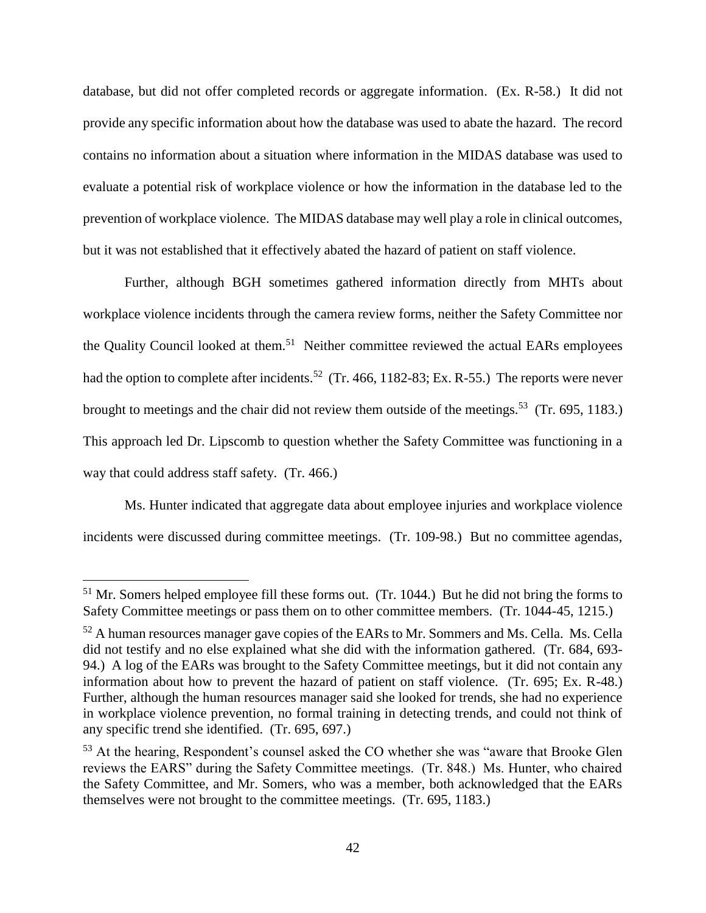database, but did not offer completed records or aggregate information. (Ex. R-58.) It did not provide any specific information about how the database was used to abate the hazard. The record contains no information about a situation where information in the MIDAS database was used to evaluate a potential risk of workplace violence or how the information in the database led to the prevention of workplace violence. The MIDAS database may well play a role in clinical outcomes, but it was not established that it effectively abated the hazard of patient on staff violence.

Further, although BGH sometimes gathered information directly from MHTs about workplace violence incidents through the camera review forms, neither the Safety Committee nor the Quality Council looked at them.<sup>51</sup> Neither committee reviewed the actual EARs employees had the option to complete after incidents.<sup>52</sup> (Tr. 466, 1182-83; Ex. R-55.) The reports were never brought to meetings and the chair did not review them outside of the meetings.<sup>53</sup> (Tr. 695, 1183.) This approach led Dr. Lipscomb to question whether the Safety Committee was functioning in a way that could address staff safety. (Tr. 466.)

Ms. Hunter indicated that aggregate data about employee injuries and workplace violence incidents were discussed during committee meetings. (Tr. 109-98.) But no committee agendas,

 $<sup>51</sup>$  Mr. Somers helped employee fill these forms out. (Tr. 1044.) But he did not bring the forms to</sup> Safety Committee meetings or pass them on to other committee members. (Tr. 1044-45, 1215.)

<sup>&</sup>lt;sup>52</sup> A human resources manager gave copies of the EARs to Mr. Sommers and Ms. Cella. Ms. Cella did not testify and no else explained what she did with the information gathered. (Tr. 684, 693- 94.) A log of the EARs was brought to the Safety Committee meetings, but it did not contain any information about how to prevent the hazard of patient on staff violence. (Tr. 695; Ex. R-48.) Further, although the human resources manager said she looked for trends, she had no experience in workplace violence prevention, no formal training in detecting trends, and could not think of any specific trend she identified. (Tr. 695, 697.)

<sup>&</sup>lt;sup>53</sup> At the hearing, Respondent's counsel asked the CO whether she was "aware that Brooke Glen reviews the EARS" during the Safety Committee meetings. (Tr. 848.) Ms. Hunter, who chaired the Safety Committee, and Mr. Somers, who was a member, both acknowledged that the EARs themselves were not brought to the committee meetings. (Tr. 695, 1183.)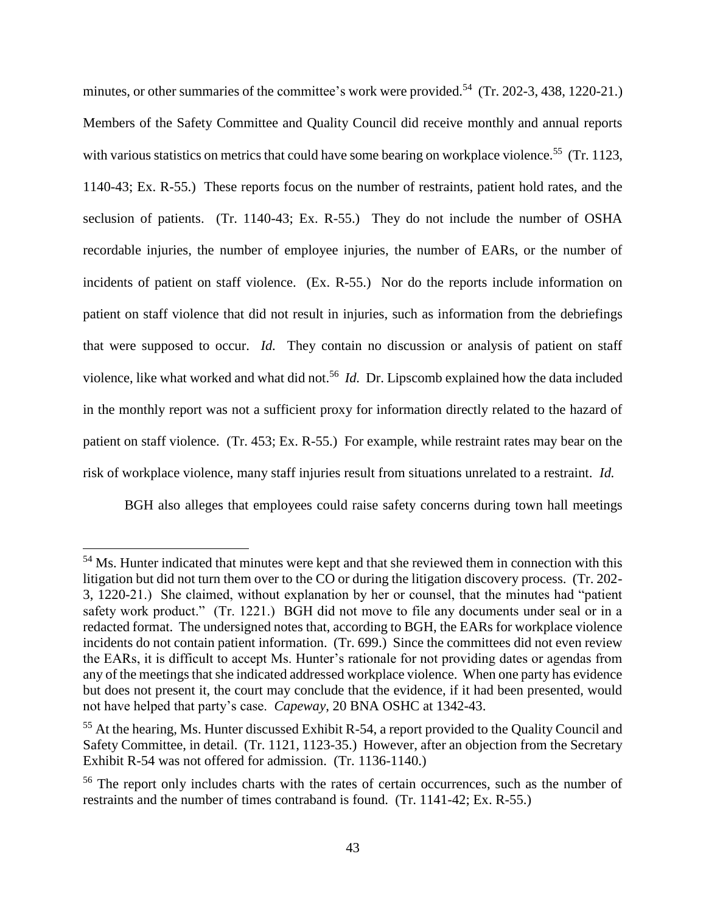minutes, or other summaries of the committee's work were provided.<sup>54</sup> (Tr. 202-3, 438, 1220-21.) Members of the Safety Committee and Quality Council did receive monthly and annual reports with various statistics on metrics that could have some bearing on workplace violence.<sup>55</sup> (Tr. 1123, 1140-43; Ex. R-55.) These reports focus on the number of restraints, patient hold rates, and the seclusion of patients. (Tr. 1140-43; Ex. R-55.) They do not include the number of OSHA recordable injuries, the number of employee injuries, the number of EARs, or the number of incidents of patient on staff violence. (Ex. R-55.) Nor do the reports include information on patient on staff violence that did not result in injuries, such as information from the debriefings that were supposed to occur. *Id.* They contain no discussion or analysis of patient on staff violence, like what worked and what did not.<sup>56</sup> *Id.* Dr. Lipscomb explained how the data included in the monthly report was not a sufficient proxy for information directly related to the hazard of patient on staff violence. (Tr. 453; Ex. R-55.) For example, while restraint rates may bear on the risk of workplace violence, many staff injuries result from situations unrelated to a restraint. *Id.*

BGH also alleges that employees could raise safety concerns during town hall meetings

<sup>&</sup>lt;sup>54</sup> Ms. Hunter indicated that minutes were kept and that she reviewed them in connection with this litigation but did not turn them over to the CO or during the litigation discovery process. (Tr. 202- 3, 1220-21.) She claimed, without explanation by her or counsel, that the minutes had "patient safety work product." (Tr. 1221.) BGH did not move to file any documents under seal or in a redacted format. The undersigned notes that, according to BGH, the EARs for workplace violence incidents do not contain patient information. (Tr. 699.) Since the committees did not even review the EARs, it is difficult to accept Ms. Hunter's rationale for not providing dates or agendas from any of the meetings that she indicated addressed workplace violence. When one party has evidence but does not present it, the court may conclude that the evidence, if it had been presented, would not have helped that party's case. *Capeway*, 20 BNA OSHC at 1342-43.

<sup>&</sup>lt;sup>55</sup> At the hearing, Ms. Hunter discussed Exhibit R-54, a report provided to the Quality Council and Safety Committee, in detail. (Tr. 1121, 1123-35.) However, after an objection from the Secretary Exhibit R-54 was not offered for admission. (Tr. 1136-1140.)

<sup>&</sup>lt;sup>56</sup> The report only includes charts with the rates of certain occurrences, such as the number of restraints and the number of times contraband is found. (Tr. 1141-42; Ex. R-55.)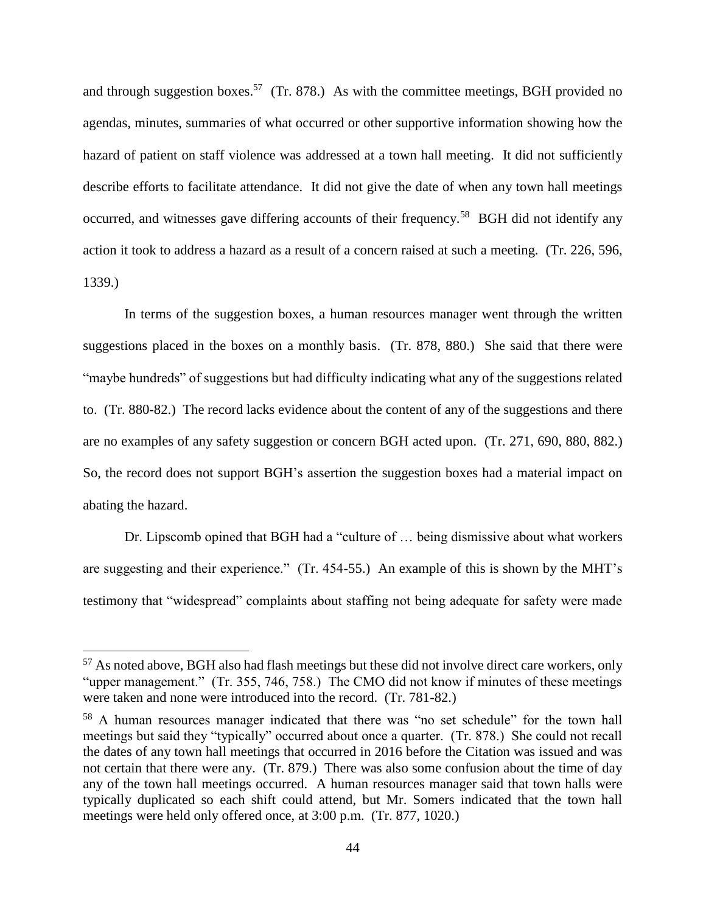and through suggestion boxes.<sup>57</sup> (Tr. 878.) As with the committee meetings, BGH provided no agendas, minutes, summaries of what occurred or other supportive information showing how the hazard of patient on staff violence was addressed at a town hall meeting. It did not sufficiently describe efforts to facilitate attendance. It did not give the date of when any town hall meetings occurred, and witnesses gave differing accounts of their frequency.<sup>58</sup> BGH did not identify any action it took to address a hazard as a result of a concern raised at such a meeting. (Tr. 226, 596, 1339.)

In terms of the suggestion boxes, a human resources manager went through the written suggestions placed in the boxes on a monthly basis. (Tr. 878, 880.) She said that there were "maybe hundreds" of suggestions but had difficulty indicating what any of the suggestions related to. (Tr. 880-82.) The record lacks evidence about the content of any of the suggestions and there are no examples of any safety suggestion or concern BGH acted upon. (Tr. 271, 690, 880, 882.) So, the record does not support BGH's assertion the suggestion boxes had a material impact on abating the hazard.

Dr. Lipscomb opined that BGH had a "culture of … being dismissive about what workers are suggesting and their experience." (Tr. 454-55.) An example of this is shown by the MHT's testimony that "widespread" complaints about staffing not being adequate for safety were made

 $57$  As noted above, BGH also had flash meetings but these did not involve direct care workers, only "upper management." (Tr. 355, 746, 758.) The CMO did not know if minutes of these meetings were taken and none were introduced into the record. (Tr. 781-82.)

<sup>58</sup> A human resources manager indicated that there was "no set schedule" for the town hall meetings but said they "typically" occurred about once a quarter. (Tr. 878.) She could not recall the dates of any town hall meetings that occurred in 2016 before the Citation was issued and was not certain that there were any. (Tr. 879.) There was also some confusion about the time of day any of the town hall meetings occurred. A human resources manager said that town halls were typically duplicated so each shift could attend, but Mr. Somers indicated that the town hall meetings were held only offered once, at 3:00 p.m. (Tr. 877, 1020.)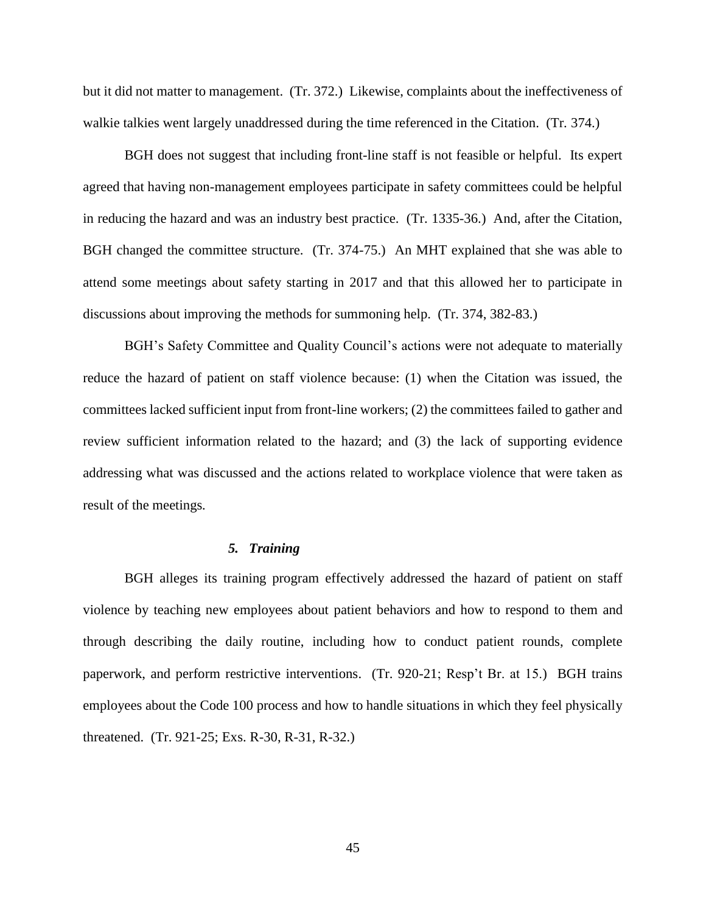but it did not matter to management. (Tr. 372.) Likewise, complaints about the ineffectiveness of walkie talkies went largely unaddressed during the time referenced in the Citation. (Tr. 374.)

BGH does not suggest that including front-line staff is not feasible or helpful. Its expert agreed that having non-management employees participate in safety committees could be helpful in reducing the hazard and was an industry best practice. (Tr. 1335-36.) And, after the Citation, BGH changed the committee structure. (Tr. 374-75.) An MHT explained that she was able to attend some meetings about safety starting in 2017 and that this allowed her to participate in discussions about improving the methods for summoning help. (Tr. 374, 382-83.)

BGH's Safety Committee and Quality Council's actions were not adequate to materially reduce the hazard of patient on staff violence because: (1) when the Citation was issued, the committees lacked sufficient input from front-line workers; (2) the committees failed to gather and review sufficient information related to the hazard; and (3) the lack of supporting evidence addressing what was discussed and the actions related to workplace violence that were taken as result of the meetings*.* 

## *5. Training*

BGH alleges its training program effectively addressed the hazard of patient on staff violence by teaching new employees about patient behaviors and how to respond to them and through describing the daily routine, including how to conduct patient rounds, complete paperwork, and perform restrictive interventions. (Tr. 920-21; Resp't Br. at 15.) BGH trains employees about the Code 100 process and how to handle situations in which they feel physically threatened. (Tr. 921-25; Exs. R-30, R-31, R-32.)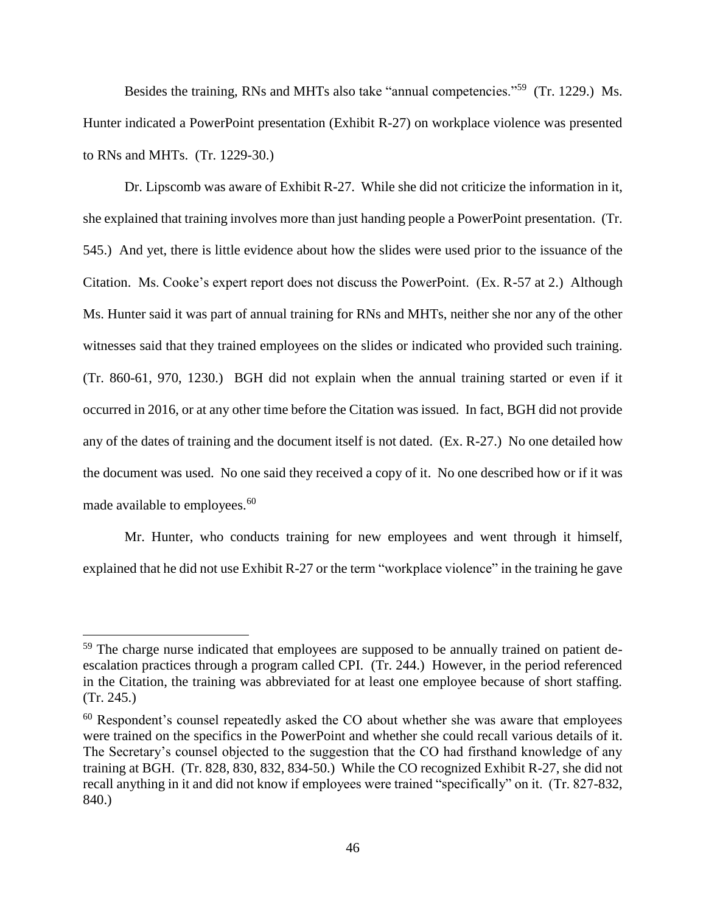Besides the training, RNs and MHTs also take "annual competencies."<sup>59</sup> (Tr. 1229.) Ms. Hunter indicated a PowerPoint presentation (Exhibit R-27) on workplace violence was presented to RNs and MHTs. (Tr. 1229-30.)

Dr. Lipscomb was aware of Exhibit R-27. While she did not criticize the information in it, she explained that training involves more than just handing people a PowerPoint presentation. (Tr. 545.) And yet, there is little evidence about how the slides were used prior to the issuance of the Citation. Ms. Cooke's expert report does not discuss the PowerPoint. (Ex. R-57 at 2.) Although Ms. Hunter said it was part of annual training for RNs and MHTs, neither she nor any of the other witnesses said that they trained employees on the slides or indicated who provided such training. (Tr. 860-61, 970, 1230.) BGH did not explain when the annual training started or even if it occurred in 2016, or at any other time before the Citation was issued. In fact, BGH did not provide any of the dates of training and the document itself is not dated. (Ex. R-27.) No one detailed how the document was used. No one said they received a copy of it. No one described how or if it was made available to employees.<sup>60</sup>

Mr. Hunter, who conducts training for new employees and went through it himself, explained that he did not use Exhibit R-27 or the term "workplace violence" in the training he gave

<sup>&</sup>lt;sup>59</sup> The charge nurse indicated that employees are supposed to be annually trained on patient deescalation practices through a program called CPI. (Tr. 244.) However, in the period referenced in the Citation, the training was abbreviated for at least one employee because of short staffing. (Tr. 245.)

<sup>&</sup>lt;sup>60</sup> Respondent's counsel repeatedly asked the CO about whether she was aware that employees were trained on the specifics in the PowerPoint and whether she could recall various details of it. The Secretary's counsel objected to the suggestion that the CO had firsthand knowledge of any training at BGH. (Tr. 828, 830, 832, 834-50.) While the CO recognized Exhibit R-27, she did not recall anything in it and did not know if employees were trained "specifically" on it. (Tr. 827-832, 840.)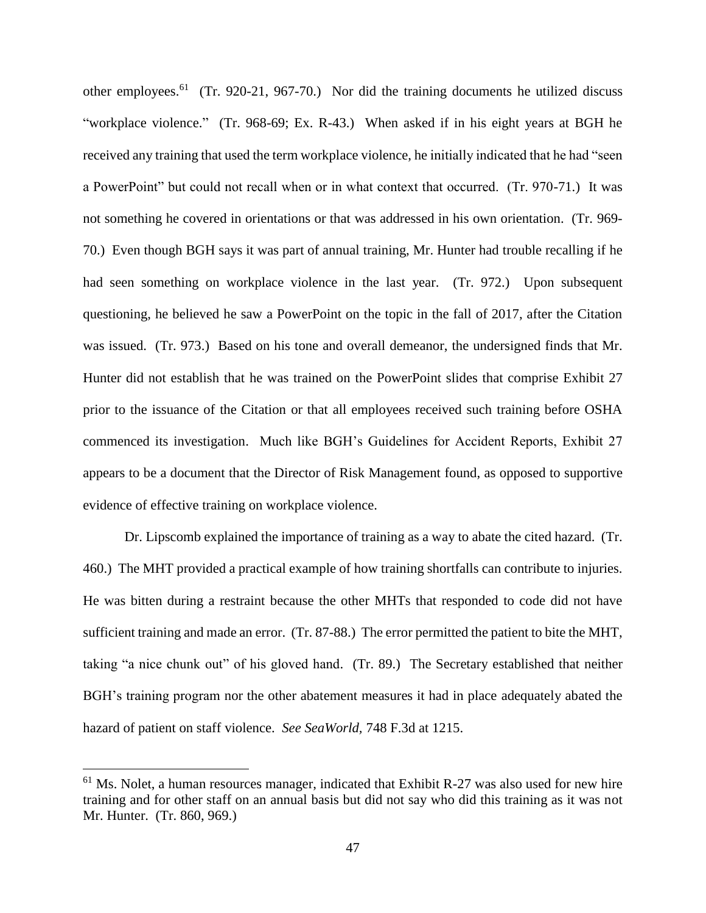other employees.<sup>61</sup> (Tr. 920-21, 967-70.) Nor did the training documents he utilized discuss "workplace violence." (Tr. 968-69; Ex. R-43.) When asked if in his eight years at BGH he received any training that used the term workplace violence, he initially indicated that he had "seen a PowerPoint" but could not recall when or in what context that occurred. (Tr. 970-71.) It was not something he covered in orientations or that was addressed in his own orientation. (Tr. 969- 70.) Even though BGH says it was part of annual training, Mr. Hunter had trouble recalling if he had seen something on workplace violence in the last year. (Tr. 972.) Upon subsequent questioning, he believed he saw a PowerPoint on the topic in the fall of 2017, after the Citation was issued. (Tr. 973.) Based on his tone and overall demeanor, the undersigned finds that Mr. Hunter did not establish that he was trained on the PowerPoint slides that comprise Exhibit 27 prior to the issuance of the Citation or that all employees received such training before OSHA commenced its investigation. Much like BGH's Guidelines for Accident Reports, Exhibit 27 appears to be a document that the Director of Risk Management found, as opposed to supportive evidence of effective training on workplace violence.

Dr. Lipscomb explained the importance of training as a way to abate the cited hazard. (Tr. 460.) The MHT provided a practical example of how training shortfalls can contribute to injuries. He was bitten during a restraint because the other MHTs that responded to code did not have sufficient training and made an error. (Tr. 87-88.) The error permitted the patient to bite the MHT, taking "a nice chunk out" of his gloved hand. (Tr. 89.) The Secretary established that neither BGH's training program nor the other abatement measures it had in place adequately abated the hazard of patient on staff violence. *See SeaWorld,* 748 F.3d at 1215.

 $61$  Ms. Nolet, a human resources manager, indicated that Exhibit R-27 was also used for new hire training and for other staff on an annual basis but did not say who did this training as it was not Mr. Hunter. (Tr. 860, 969.)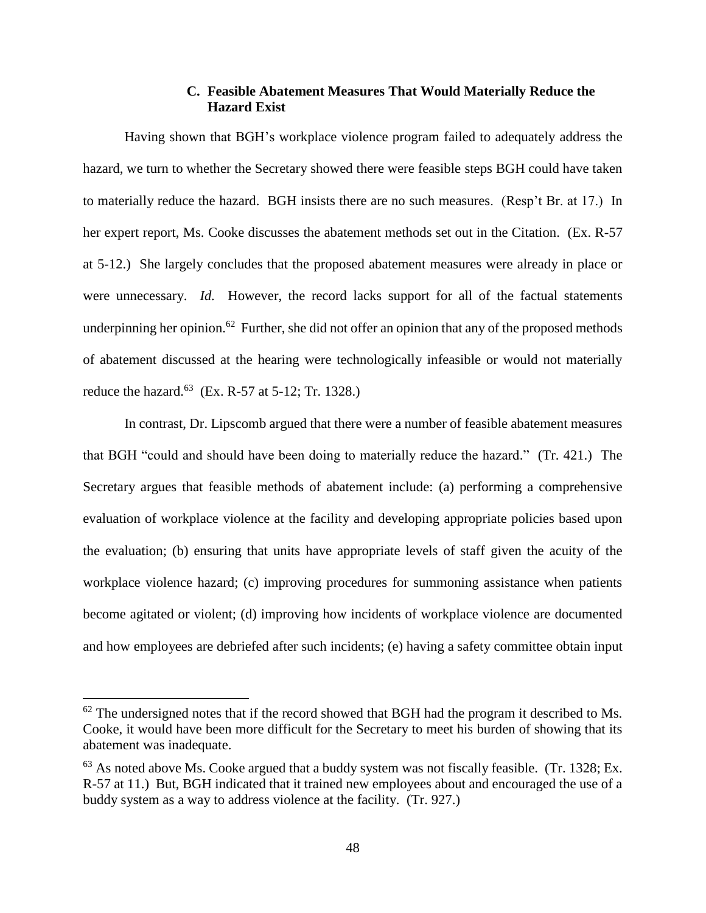# **C. Feasible Abatement Measures That Would Materially Reduce the Hazard Exist**

Having shown that BGH's workplace violence program failed to adequately address the hazard, we turn to whether the Secretary showed there were feasible steps BGH could have taken to materially reduce the hazard. BGH insists there are no such measures. (Resp't Br. at 17.) In her expert report, Ms. Cooke discusses the abatement methods set out in the Citation. (Ex. R-57 at 5-12.) She largely concludes that the proposed abatement measures were already in place or were unnecessary. *Id.* However, the record lacks support for all of the factual statements underpinning her opinion.<sup>62</sup> Further, she did not offer an opinion that any of the proposed methods of abatement discussed at the hearing were technologically infeasible or would not materially reduce the hazard.<sup>63</sup> (Ex. R-57 at 5-12; Tr. 1328.)

In contrast, Dr. Lipscomb argued that there were a number of feasible abatement measures that BGH "could and should have been doing to materially reduce the hazard." (Tr. 421.) The Secretary argues that feasible methods of abatement include: (a) performing a comprehensive evaluation of workplace violence at the facility and developing appropriate policies based upon the evaluation; (b) ensuring that units have appropriate levels of staff given the acuity of the workplace violence hazard; (c) improving procedures for summoning assistance when patients become agitated or violent; (d) improving how incidents of workplace violence are documented and how employees are debriefed after such incidents; (e) having a safety committee obtain input

 $62$  The undersigned notes that if the record showed that BGH had the program it described to Ms. Cooke, it would have been more difficult for the Secretary to meet his burden of showing that its abatement was inadequate.

 $63$  As noted above Ms. Cooke argued that a buddy system was not fiscally feasible. (Tr. 1328; Ex. R-57 at 11.) But, BGH indicated that it trained new employees about and encouraged the use of a buddy system as a way to address violence at the facility. (Tr. 927.)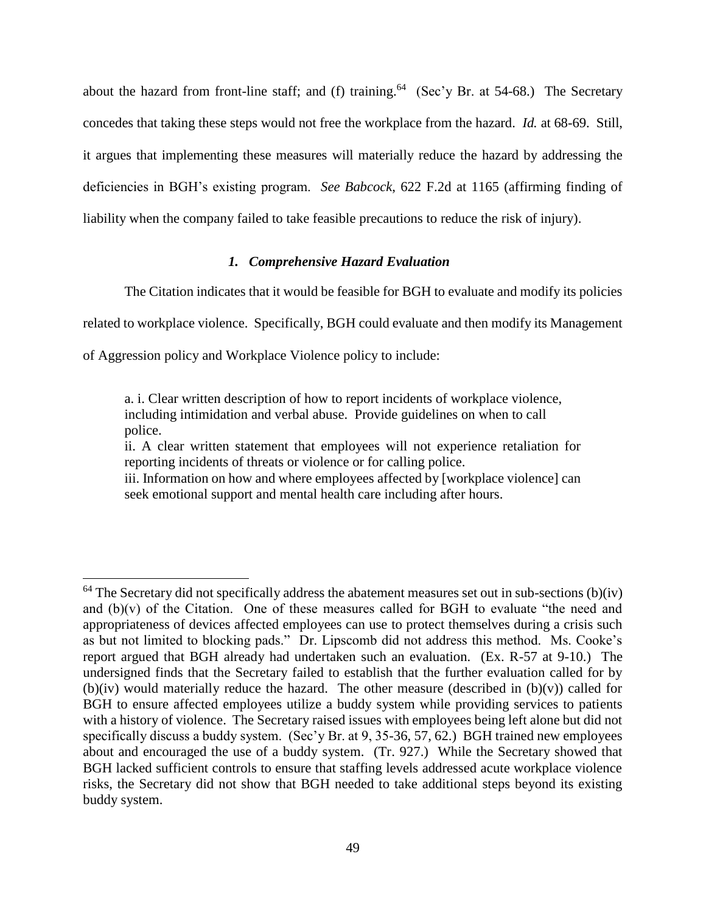about the hazard from front-line staff; and (f) training.<sup>64</sup> (Sec'y Br. at 54-68.) The Secretary concedes that taking these steps would not free the workplace from the hazard. *Id.* at 68-69. Still, it argues that implementing these measures will materially reduce the hazard by addressing the deficiencies in BGH's existing program. *See Babcock*, 622 F.2d at 1165 (affirming finding of liability when the company failed to take feasible precautions to reduce the risk of injury).

## *1. Comprehensive Hazard Evaluation*

The Citation indicates that it would be feasible for BGH to evaluate and modify its policies

related to workplace violence. Specifically, BGH could evaluate and then modify its Management

of Aggression policy and Workplace Violence policy to include:

 $\overline{a}$ 

a. i. Clear written description of how to report incidents of workplace violence, including intimidation and verbal abuse. Provide guidelines on when to call police.

ii. A clear written statement that employees will not experience retaliation for reporting incidents of threats or violence or for calling police.

iii. Information on how and where employees affected by [workplace violence] can seek emotional support and mental health care including after hours.

 $64$  The Secretary did not specifically address the abatement measures set out in sub-sections (b)(iv) and (b)(v) of the Citation. One of these measures called for BGH to evaluate "the need and appropriateness of devices affected employees can use to protect themselves during a crisis such as but not limited to blocking pads." Dr. Lipscomb did not address this method. Ms. Cooke's report argued that BGH already had undertaken such an evaluation. (Ex. R-57 at 9-10.) The undersigned finds that the Secretary failed to establish that the further evaluation called for by (b)(iv) would materially reduce the hazard. The other measure (described in  $(b)(v)$ ) called for BGH to ensure affected employees utilize a buddy system while providing services to patients with a history of violence. The Secretary raised issues with employees being left alone but did not specifically discuss a buddy system. (Sec'y Br. at 9, 35-36, 57, 62.) BGH trained new employees about and encouraged the use of a buddy system. (Tr. 927.) While the Secretary showed that BGH lacked sufficient controls to ensure that staffing levels addressed acute workplace violence risks, the Secretary did not show that BGH needed to take additional steps beyond its existing buddy system.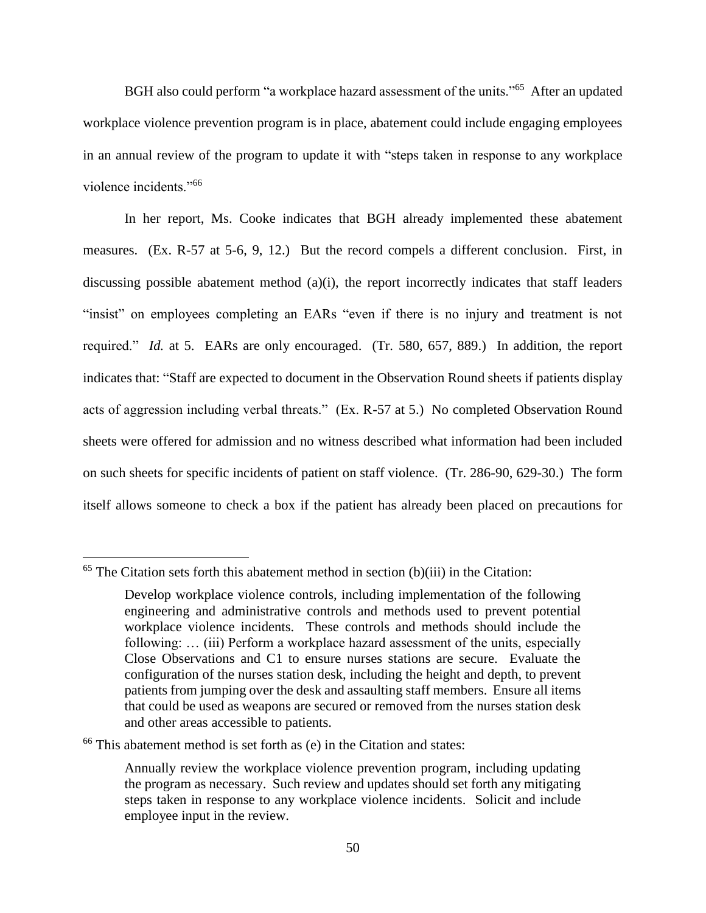BGH also could perform "a workplace hazard assessment of the units."<sup>65</sup> After an updated workplace violence prevention program is in place, abatement could include engaging employees in an annual review of the program to update it with "steps taken in response to any workplace violence incidents."<sup>66</sup>

In her report, Ms. Cooke indicates that BGH already implemented these abatement measures. (Ex. R-57 at 5-6, 9, 12.) But the record compels a different conclusion. First, in discussing possible abatement method  $(a)(i)$ , the report incorrectly indicates that staff leaders "insist" on employees completing an EARs "even if there is no injury and treatment is not required." *Id.* at 5. EARs are only encouraged. (Tr. 580, 657, 889.) In addition, the report indicates that: "Staff are expected to document in the Observation Round sheets if patients display acts of aggression including verbal threats." (Ex. R-57 at 5.) No completed Observation Round sheets were offered for admission and no witness described what information had been included on such sheets for specific incidents of patient on staff violence. (Tr. 286-90, 629-30.) The form itself allows someone to check a box if the patient has already been placed on precautions for

 $65$  The Citation sets forth this abatement method in section (b)(iii) in the Citation:

Develop workplace violence controls, including implementation of the following engineering and administrative controls and methods used to prevent potential workplace violence incidents. These controls and methods should include the following: ... (iii) Perform a workplace hazard assessment of the units, especially Close Observations and C1 to ensure nurses stations are secure. Evaluate the configuration of the nurses station desk, including the height and depth, to prevent patients from jumping over the desk and assaulting staff members. Ensure all items that could be used as weapons are secured or removed from the nurses station desk and other areas accessible to patients.

<sup>66</sup> This abatement method is set forth as (e) in the Citation and states:

Annually review the workplace violence prevention program, including updating the program as necessary. Such review and updates should set forth any mitigating steps taken in response to any workplace violence incidents. Solicit and include employee input in the review.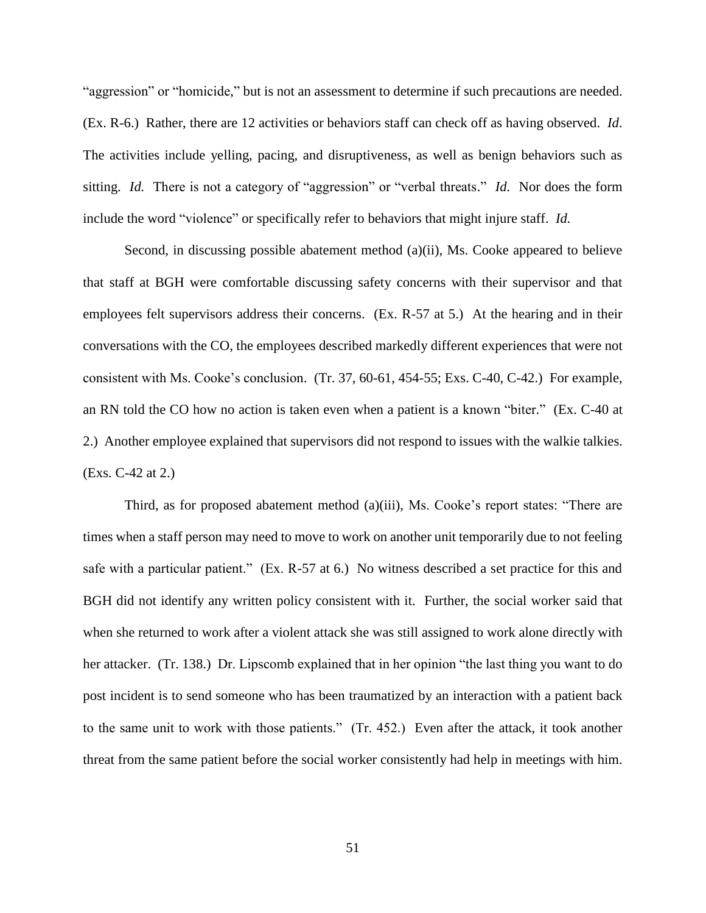"aggression" or "homicide," but is not an assessment to determine if such precautions are needed. (Ex. R-6.) Rather, there are 12 activities or behaviors staff can check off as having observed. *Id*. The activities include yelling, pacing, and disruptiveness, as well as benign behaviors such as sitting. *Id.* There is not a category of "aggression" or "verbal threats." *Id.* Nor does the form include the word "violence" or specifically refer to behaviors that might injure staff. *Id.* 

Second, in discussing possible abatement method (a)(ii), Ms. Cooke appeared to believe that staff at BGH were comfortable discussing safety concerns with their supervisor and that employees felt supervisors address their concerns. (Ex. R-57 at 5.) At the hearing and in their conversations with the CO, the employees described markedly different experiences that were not consistent with Ms. Cooke's conclusion. (Tr. 37, 60-61, 454-55; Exs. C-40, C-42.) For example, an RN told the CO how no action is taken even when a patient is a known "biter." (Ex. C-40 at 2.) Another employee explained that supervisors did not respond to issues with the walkie talkies. (Exs. C-42 at 2.)

Third, as for proposed abatement method (a)(iii), Ms. Cooke's report states: "There are times when a staff person may need to move to work on another unit temporarily due to not feeling safe with a particular patient." (Ex. R-57 at 6.) No witness described a set practice for this and BGH did not identify any written policy consistent with it. Further, the social worker said that when she returned to work after a violent attack she was still assigned to work alone directly with her attacker. (Tr. 138.) Dr. Lipscomb explained that in her opinion "the last thing you want to do post incident is to send someone who has been traumatized by an interaction with a patient back to the same unit to work with those patients." (Tr. 452.) Even after the attack, it took another threat from the same patient before the social worker consistently had help in meetings with him.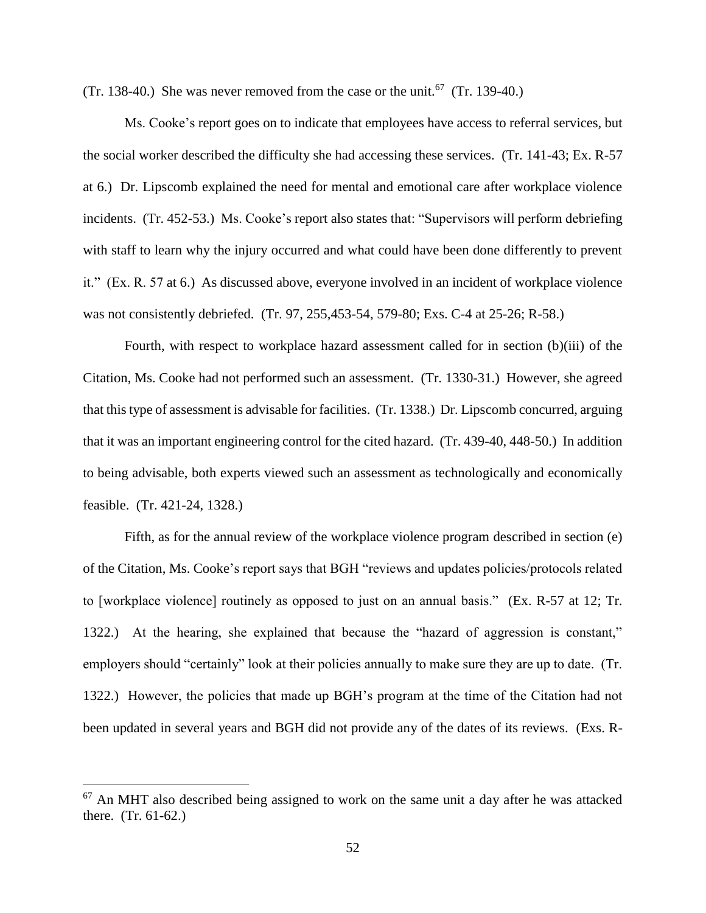(Tr. 138-40.) She was never removed from the case or the unit.<sup>67</sup> (Tr. 139-40.)

Ms. Cooke's report goes on to indicate that employees have access to referral services, but the social worker described the difficulty she had accessing these services. (Tr. 141-43; Ex. R-57 at 6.) Dr. Lipscomb explained the need for mental and emotional care after workplace violence incidents. (Tr. 452-53.) Ms. Cooke's report also states that: "Supervisors will perform debriefing with staff to learn why the injury occurred and what could have been done differently to prevent it." (Ex. R. 57 at 6.) As discussed above, everyone involved in an incident of workplace violence was not consistently debriefed. (Tr. 97, 255,453-54, 579-80; Exs. C-4 at 25-26; R-58.)

Fourth, with respect to workplace hazard assessment called for in section (b)(iii) of the Citation, Ms. Cooke had not performed such an assessment. (Tr. 1330-31.) However, she agreed that this type of assessment is advisable for facilities. (Tr. 1338.) Dr. Lipscomb concurred, arguing that it was an important engineering control for the cited hazard. (Tr. 439-40, 448-50.) In addition to being advisable, both experts viewed such an assessment as technologically and economically feasible. (Tr. 421-24, 1328.)

Fifth, as for the annual review of the workplace violence program described in section (e) of the Citation, Ms. Cooke's report says that BGH "reviews and updates policies/protocols related to [workplace violence] routinely as opposed to just on an annual basis." (Ex. R-57 at 12; Tr. 1322.) At the hearing, she explained that because the "hazard of aggression is constant," employers should "certainly" look at their policies annually to make sure they are up to date. (Tr. 1322.) However, the policies that made up BGH's program at the time of the Citation had not been updated in several years and BGH did not provide any of the dates of its reviews. (Exs. R-

 $67$  An MHT also described being assigned to work on the same unit a day after he was attacked there. (Tr. 61-62.)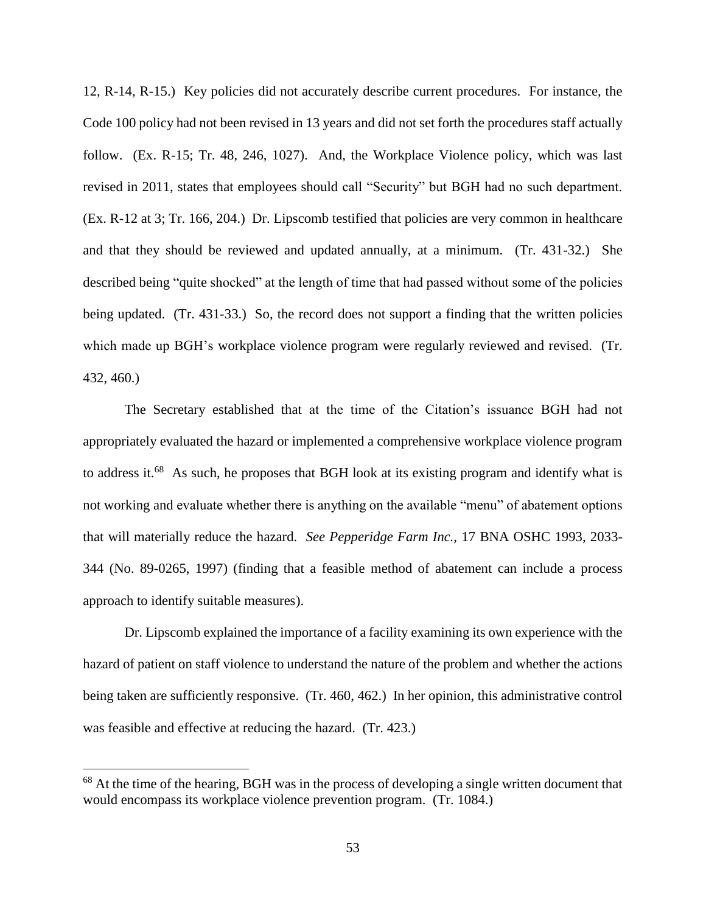12, R-14, R-15.) Key policies did not accurately describe current procedures. For instance, the Code 100 policy had not been revised in 13 years and did not set forth the procedures staff actually follow. (Ex. R-15; Tr. 48, 246, 1027). And, the Workplace Violence policy, which was last revised in 2011, states that employees should call "Security" but BGH had no such department. (Ex. R-12 at 3; Tr. 166, 204.) Dr. Lipscomb testified that policies are very common in healthcare and that they should be reviewed and updated annually, at a minimum. (Tr. 431-32.) She described being "quite shocked" at the length of time that had passed without some of the policies being updated. (Tr. 431-33.) So, the record does not support a finding that the written policies which made up BGH's workplace violence program were regularly reviewed and revised. (Tr. 432, 460.)

The Secretary established that at the time of the Citation's issuance BGH had not appropriately evaluated the hazard or implemented a comprehensive workplace violence program to address it.<sup>68</sup> As such, he proposes that BGH look at its existing program and identify what is not working and evaluate whether there is anything on the available "menu" of abatement options that will materially reduce the hazard. *See Pepperidge Farm Inc.,* 17 BNA OSHC 1993, 2033- 344 (No. 89-0265, 1997) (finding that a feasible method of abatement can include a process approach to identify suitable measures).

Dr. Lipscomb explained the importance of a facility examining its own experience with the hazard of patient on staff violence to understand the nature of the problem and whether the actions being taken are sufficiently responsive. (Tr. 460, 462.) In her opinion, this administrative control was feasible and effective at reducing the hazard. (Tr. 423.)

<sup>&</sup>lt;sup>68</sup> At the time of the hearing, BGH was in the process of developing a single written document that would encompass its workplace violence prevention program. (Tr. 1084.)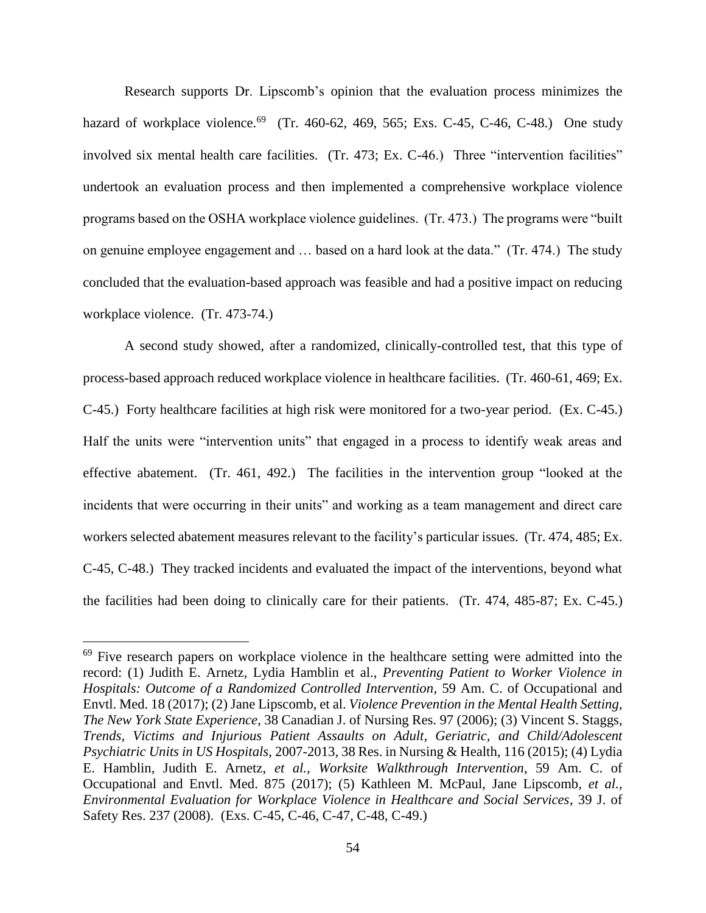Research supports Dr. Lipscomb's opinion that the evaluation process minimizes the hazard of workplace violence.<sup>69</sup> (Tr. 460-62, 469, 565; Exs. C-45, C-46, C-48.) One study involved six mental health care facilities. (Tr. 473; Ex. C-46.) Three "intervention facilities" undertook an evaluation process and then implemented a comprehensive workplace violence programs based on the OSHA workplace violence guidelines. (Tr. 473.) The programs were "built on genuine employee engagement and … based on a hard look at the data." (Tr. 474.) The study concluded that the evaluation-based approach was feasible and had a positive impact on reducing workplace violence. (Tr. 473-74.)

A second study showed, after a randomized, clinically-controlled test, that this type of process-based approach reduced workplace violence in healthcare facilities. (Tr. 460-61, 469; Ex. C-45.) Forty healthcare facilities at high risk were monitored for a two-year period. (Ex. C-45.) Half the units were "intervention units" that engaged in a process to identify weak areas and effective abatement. (Tr. 461, 492.) The facilities in the intervention group "looked at the incidents that were occurring in their units" and working as a team management and direct care workers selected abatement measures relevant to the facility's particular issues. (Tr. 474, 485; Ex. C-45, C-48.) They tracked incidents and evaluated the impact of the interventions, beyond what the facilities had been doing to clinically care for their patients. (Tr. 474, 485-87; Ex. C-45.)

 $69$  Five research papers on workplace violence in the healthcare setting were admitted into the record: (1) Judith E. Arnetz, Lydia Hamblin et al., *Preventing Patient to Worker Violence in Hospitals: Outcome of a Randomized Controlled Intervention*, 59 Am. C. of Occupational and Envtl. Med. 18 (2017); (2) Jane Lipscomb, et al. *Violence Prevention in the Mental Health Setting, The New York State Experience*, 38 Canadian J. of Nursing Res. 97 (2006); (3) Vincent S. Staggs, *Trends, Victims and Injurious Patient Assaults on Adult, Geriatric, and Child/Adolescent Psychiatric Units in US Hospitals*, 2007-2013, 38 Res. in Nursing & Health, 116 (2015); (4) Lydia E. Hamblin, Judith E. Arnetz, *et al.*, *Worksite Walkthrough Intervention*, 59 Am. C. of Occupational and Envtl. Med. 875 (2017); (5) Kathleen M. McPaul, Jane Lipscomb, *et al.*, *Environmental Evaluation for Workplace Violence in Healthcare and Social Services*, 39 J. of Safety Res. 237 (2008). (Exs. C-45, C-46, C-47, C-48, C-49.)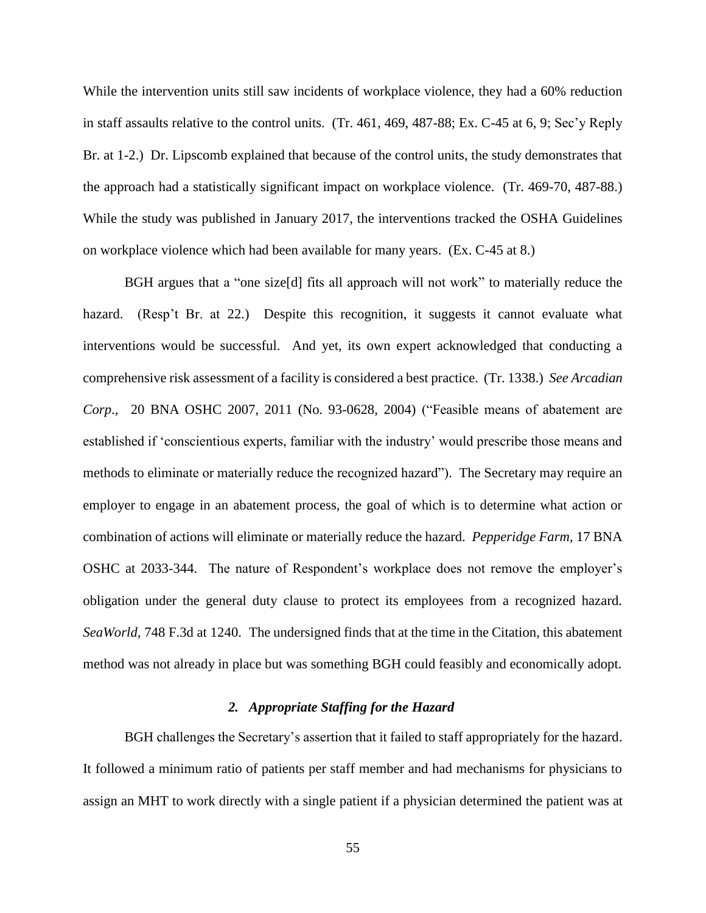While the intervention units still saw incidents of workplace violence, they had a 60% reduction in staff assaults relative to the control units. (Tr. 461, 469, 487-88; Ex. C-45 at 6, 9; Sec'y Reply Br. at 1-2.) Dr. Lipscomb explained that because of the control units, the study demonstrates that the approach had a statistically significant impact on workplace violence. (Tr. 469-70, 487-88.) While the study was published in January 2017, the interventions tracked the OSHA Guidelines on workplace violence which had been available for many years. (Ex. C-45 at 8.)

BGH argues that a "one size[d] fits all approach will not work" to materially reduce the hazard. (Resp't Br. at 22.) Despite this recognition, it suggests it cannot evaluate what interventions would be successful. And yet, its own expert acknowledged that conducting a comprehensive risk assessment of a facility is considered a best practice. (Tr. 1338.) *See Arcadian Corp*., 20 BNA OSHC 2007, 2011 (No. 93-0628, 2004) ("Feasible means of abatement are established if 'conscientious experts, familiar with the industry' would prescribe those means and methods to eliminate or materially reduce the recognized hazard"). The Secretary may require an employer to engage in an abatement process, the goal of which is to determine what action or combination of actions will eliminate or materially reduce the hazard. *Pepperidge Farm,* 17 BNA OSHC at 2033-344. The nature of Respondent's workplace does not remove the employer's obligation under the general duty clause to protect its employees from a recognized hazard. *SeaWorld,* 748 F.3d at 1240. The undersigned finds that at the time in the Citation, this abatement method was not already in place but was something BGH could feasibly and economically adopt.

# *2. Appropriate Staffing for the Hazard*

BGH challenges the Secretary's assertion that it failed to staff appropriately for the hazard. It followed a minimum ratio of patients per staff member and had mechanisms for physicians to assign an MHT to work directly with a single patient if a physician determined the patient was at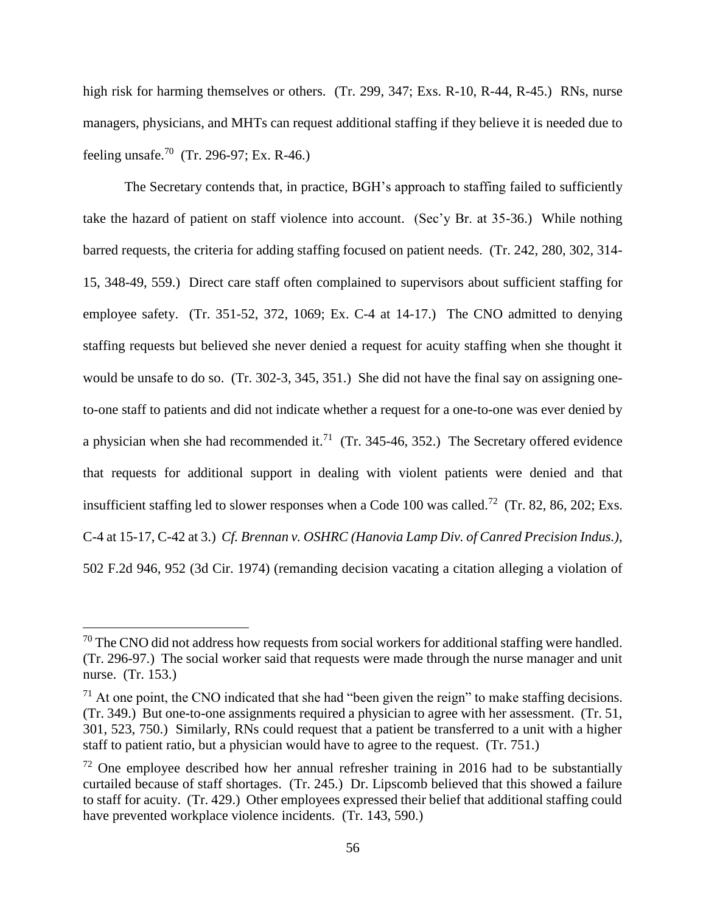high risk for harming themselves or others. (Tr. 299, 347; Exs. R-10, R-44, R-45.) RNs, nurse managers, physicians, and MHTs can request additional staffing if they believe it is needed due to feeling unsafe.<sup>70</sup> (Tr. 296-97; Ex. R-46.)

The Secretary contends that, in practice, BGH's approach to staffing failed to sufficiently take the hazard of patient on staff violence into account. (Sec'y Br. at 35-36.) While nothing barred requests, the criteria for adding staffing focused on patient needs. (Tr. 242, 280, 302, 314- 15, 348-49, 559.) Direct care staff often complained to supervisors about sufficient staffing for employee safety. (Tr. 351-52, 372, 1069; Ex. C-4 at 14-17.) The CNO admitted to denying staffing requests but believed she never denied a request for acuity staffing when she thought it would be unsafe to do so. (Tr. 302-3, 345, 351.) She did not have the final say on assigning oneto-one staff to patients and did not indicate whether a request for a one-to-one was ever denied by a physician when she had recommended it.<sup>71</sup> (Tr. 345-46, 352.) The Secretary offered evidence that requests for additional support in dealing with violent patients were denied and that insufficient staffing led to slower responses when a Code 100 was called.<sup>72</sup> (Tr. 82, 86, 202; Exs. C-4 at 15-17, C-42 at 3.) *Cf. Brennan v. OSHRC (Hanovia Lamp Div. of Canred Precision Indus.)*, 502 F.2d 946, 952 (3d Cir. 1974) (remanding decision vacating a citation alleging a violation of

 $70$  The CNO did not address how requests from social workers for additional staffing were handled. (Tr. 296-97.) The social worker said that requests were made through the nurse manager and unit nurse. (Tr. 153.)

 $<sup>71</sup>$  At one point, the CNO indicated that she had "been given the reign" to make staffing decisions.</sup> (Tr. 349.) But one-to-one assignments required a physician to agree with her assessment. (Tr. 51, 301, 523, 750.) Similarly, RNs could request that a patient be transferred to a unit with a higher staff to patient ratio, but a physician would have to agree to the request. (Tr. 751.)

 $72$  One employee described how her annual refresher training in 2016 had to be substantially curtailed because of staff shortages. (Tr. 245.) Dr. Lipscomb believed that this showed a failure to staff for acuity. (Tr. 429.) Other employees expressed their belief that additional staffing could have prevented workplace violence incidents. (Tr. 143, 590.)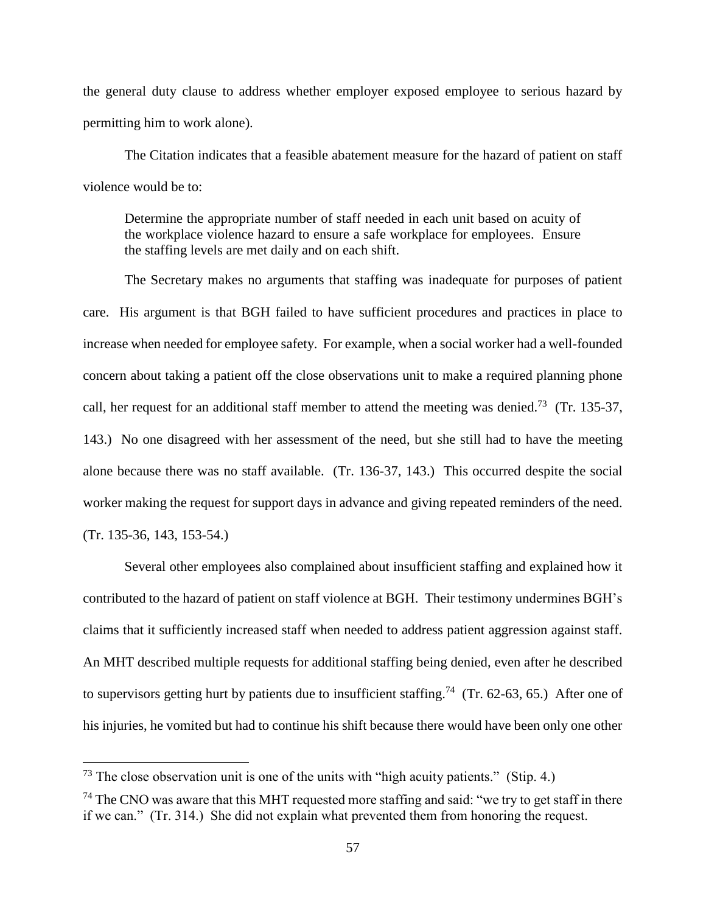the general duty clause to address whether employer exposed employee to serious hazard by permitting him to work alone).

The Citation indicates that a feasible abatement measure for the hazard of patient on staff violence would be to:

Determine the appropriate number of staff needed in each unit based on acuity of the workplace violence hazard to ensure a safe workplace for employees. Ensure the staffing levels are met daily and on each shift.

The Secretary makes no arguments that staffing was inadequate for purposes of patient care. His argument is that BGH failed to have sufficient procedures and practices in place to increase when needed for employee safety. For example, when a social worker had a well-founded concern about taking a patient off the close observations unit to make a required planning phone call, her request for an additional staff member to attend the meeting was denied.<sup>73</sup> (Tr. 135-37, 143.) No one disagreed with her assessment of the need, but she still had to have the meeting alone because there was no staff available. (Tr. 136-37, 143.) This occurred despite the social worker making the request for support days in advance and giving repeated reminders of the need. (Tr. 135-36, 143, 153-54.)

Several other employees also complained about insufficient staffing and explained how it contributed to the hazard of patient on staff violence at BGH. Their testimony undermines BGH's claims that it sufficiently increased staff when needed to address patient aggression against staff. An MHT described multiple requests for additional staffing being denied, even after he described to supervisors getting hurt by patients due to insufficient staffing.<sup>74</sup> (Tr. 62-63, 65.) After one of his injuries, he vomited but had to continue his shift because there would have been only one other

 $73$  The close observation unit is one of the units with "high acuity patients." (Stip. 4.)

<sup>&</sup>lt;sup>74</sup> The CNO was aware that this MHT requested more staffing and said: "we try to get staff in there if we can." (Tr. 314.) She did not explain what prevented them from honoring the request.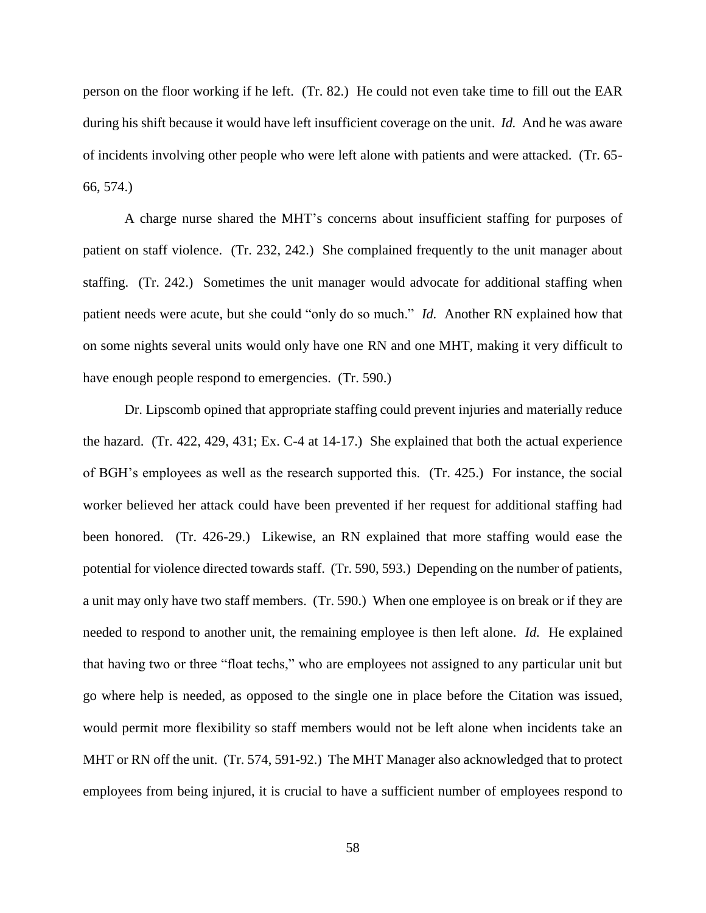person on the floor working if he left. (Tr. 82.) He could not even take time to fill out the EAR during his shift because it would have left insufficient coverage on the unit. *Id.* And he was aware of incidents involving other people who were left alone with patients and were attacked. (Tr. 65- 66, 574.)

A charge nurse shared the MHT's concerns about insufficient staffing for purposes of patient on staff violence. (Tr. 232, 242.) She complained frequently to the unit manager about staffing. (Tr. 242.) Sometimes the unit manager would advocate for additional staffing when patient needs were acute, but she could "only do so much." *Id.* Another RN explained how that on some nights several units would only have one RN and one MHT, making it very difficult to have enough people respond to emergencies. (Tr. 590.)

Dr. Lipscomb opined that appropriate staffing could prevent injuries and materially reduce the hazard. (Tr. 422, 429, 431; Ex. C-4 at 14-17.) She explained that both the actual experience of BGH's employees as well as the research supported this. (Tr. 425.) For instance, the social worker believed her attack could have been prevented if her request for additional staffing had been honored. (Tr. 426-29.) Likewise, an RN explained that more staffing would ease the potential for violence directed towards staff. (Tr. 590, 593.) Depending on the number of patients, a unit may only have two staff members. (Tr. 590.) When one employee is on break or if they are needed to respond to another unit, the remaining employee is then left alone. *Id.* He explained that having two or three "float techs," who are employees not assigned to any particular unit but go where help is needed, as opposed to the single one in place before the Citation was issued, would permit more flexibility so staff members would not be left alone when incidents take an MHT or RN off the unit. (Tr. 574, 591-92.) The MHT Manager also acknowledged that to protect employees from being injured, it is crucial to have a sufficient number of employees respond to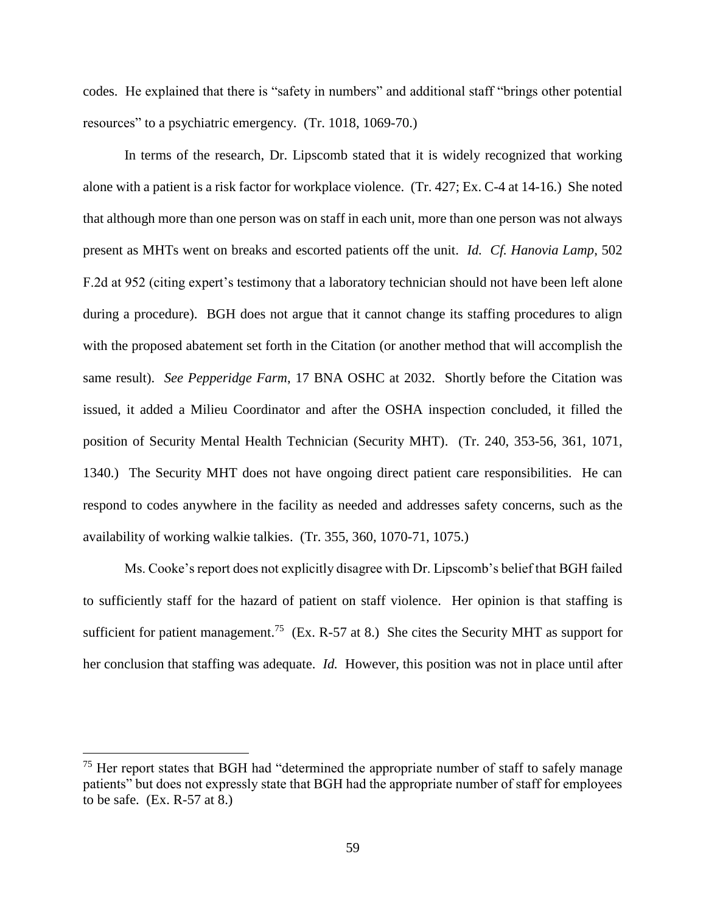codes. He explained that there is "safety in numbers" and additional staff "brings other potential resources" to a psychiatric emergency. (Tr. 1018, 1069-70.)

In terms of the research, Dr. Lipscomb stated that it is widely recognized that working alone with a patient is a risk factor for workplace violence. (Tr. 427; Ex. C-4 at 14-16.) She noted that although more than one person was on staff in each unit, more than one person was not always present as MHTs went on breaks and escorted patients off the unit. *Id. Cf. Hanovia Lamp*, 502 F.2d at 952 (citing expert's testimony that a laboratory technician should not have been left alone during a procedure). BGH does not argue that it cannot change its staffing procedures to align with the proposed abatement set forth in the Citation (or another method that will accomplish the same result). *See Pepperidge Farm*, 17 BNA OSHC at 2032. Shortly before the Citation was issued, it added a Milieu Coordinator and after the OSHA inspection concluded, it filled the position of Security Mental Health Technician (Security MHT). (Tr. 240, 353-56, 361, 1071, 1340.) The Security MHT does not have ongoing direct patient care responsibilities. He can respond to codes anywhere in the facility as needed and addresses safety concerns, such as the availability of working walkie talkies. (Tr. 355, 360, 1070-71, 1075.)

Ms. Cooke's report does not explicitly disagree with Dr. Lipscomb's belief that BGH failed to sufficiently staff for the hazard of patient on staff violence. Her opinion is that staffing is sufficient for patient management.<sup>75</sup> (Ex. R-57 at 8.) She cites the Security MHT as support for her conclusion that staffing was adequate. *Id.* However, this position was not in place until after

 $75$  Her report states that BGH had "determined the appropriate number of staff to safely manage patients" but does not expressly state that BGH had the appropriate number of staff for employees to be safe. (Ex. R-57 at 8.)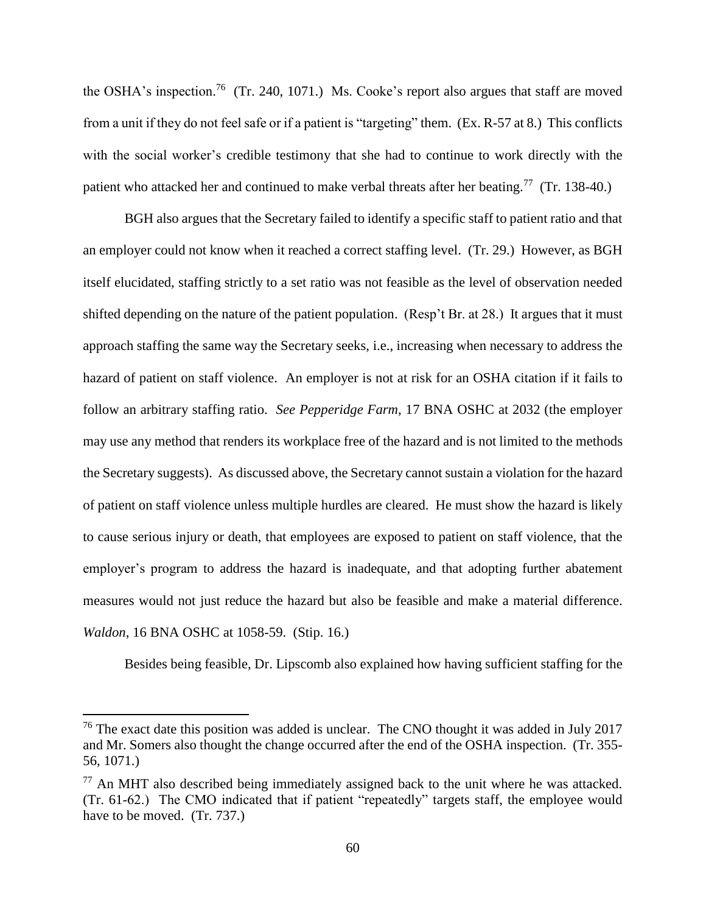the OSHA's inspection.<sup>76</sup> (Tr. 240, 1071.) Ms. Cooke's report also argues that staff are moved from a unit if they do not feel safe or if a patient is "targeting" them. (Ex. R-57 at 8.) This conflicts with the social worker's credible testimony that she had to continue to work directly with the patient who attacked her and continued to make verbal threats after her beating.<sup>77</sup> (Tr. 138-40.)

BGH also argues that the Secretary failed to identify a specific staff to patient ratio and that an employer could not know when it reached a correct staffing level. (Tr. 29.) However, as BGH itself elucidated, staffing strictly to a set ratio was not feasible as the level of observation needed shifted depending on the nature of the patient population. (Resp't Br. at 28.) It argues that it must approach staffing the same way the Secretary seeks, i.e., increasing when necessary to address the hazard of patient on staff violence. An employer is not at risk for an OSHA citation if it fails to follow an arbitrary staffing ratio. *See Pepperidge Farm*, 17 BNA OSHC at 2032 (the employer may use any method that renders its workplace free of the hazard and is not limited to the methods the Secretary suggests). As discussed above, the Secretary cannot sustain a violation for the hazard of patient on staff violence unless multiple hurdles are cleared. He must show the hazard is likely to cause serious injury or death, that employees are exposed to patient on staff violence, that the employer's program to address the hazard is inadequate, and that adopting further abatement measures would not just reduce the hazard but also be feasible and make a material difference. *Waldon*, 16 BNA OSHC at 1058-59. (Stip. 16.)

Besides being feasible, Dr. Lipscomb also explained how having sufficient staffing for the

 $76$  The exact date this position was added is unclear. The CNO thought it was added in July 2017 and Mr. Somers also thought the change occurred after the end of the OSHA inspection. (Tr. 355- 56, 1071.)

 $77$  An MHT also described being immediately assigned back to the unit where he was attacked. (Tr. 61-62.) The CMO indicated that if patient "repeatedly" targets staff, the employee would have to be moved. (Tr. 737.)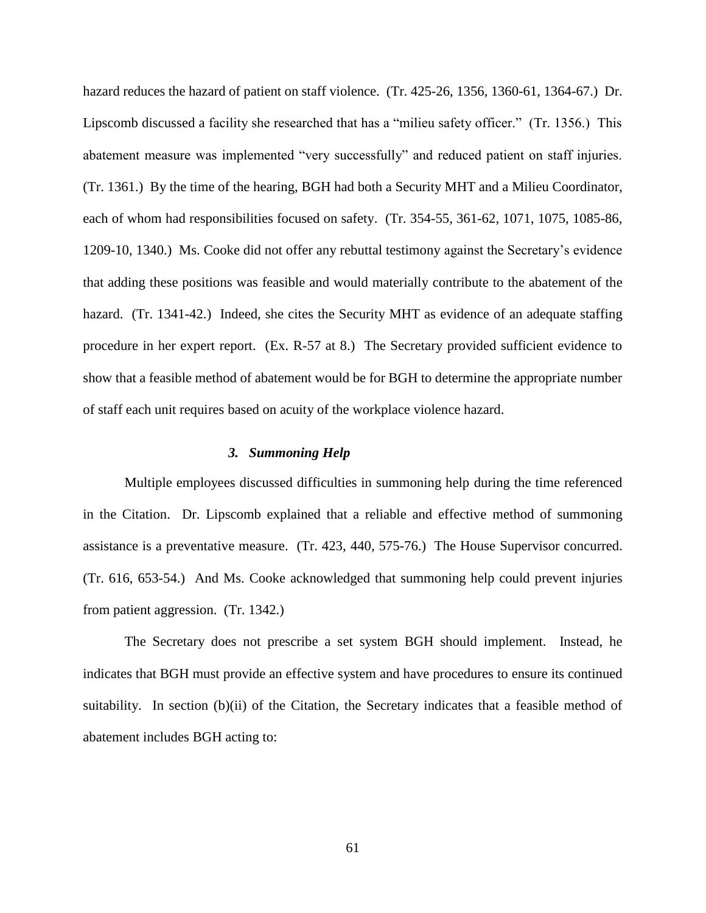hazard reduces the hazard of patient on staff violence. (Tr. 425-26, 1356, 1360-61, 1364-67.) Dr. Lipscomb discussed a facility she researched that has a "milieu safety officer." (Tr. 1356.) This abatement measure was implemented "very successfully" and reduced patient on staff injuries. (Tr. 1361.) By the time of the hearing, BGH had both a Security MHT and a Milieu Coordinator, each of whom had responsibilities focused on safety. (Tr. 354-55, 361-62, 1071, 1075, 1085-86, 1209-10, 1340.) Ms. Cooke did not offer any rebuttal testimony against the Secretary's evidence that adding these positions was feasible and would materially contribute to the abatement of the hazard. (Tr. 1341-42.) Indeed, she cites the Security MHT as evidence of an adequate staffing procedure in her expert report. (Ex. R-57 at 8.) The Secretary provided sufficient evidence to show that a feasible method of abatement would be for BGH to determine the appropriate number of staff each unit requires based on acuity of the workplace violence hazard.

#### *3. Summoning Help*

Multiple employees discussed difficulties in summoning help during the time referenced in the Citation. Dr. Lipscomb explained that a reliable and effective method of summoning assistance is a preventative measure. (Tr. 423, 440, 575-76.) The House Supervisor concurred. (Tr. 616, 653-54.) And Ms. Cooke acknowledged that summoning help could prevent injuries from patient aggression. (Tr. 1342.)

The Secretary does not prescribe a set system BGH should implement. Instead, he indicates that BGH must provide an effective system and have procedures to ensure its continued suitability. In section (b)(ii) of the Citation, the Secretary indicates that a feasible method of abatement includes BGH acting to: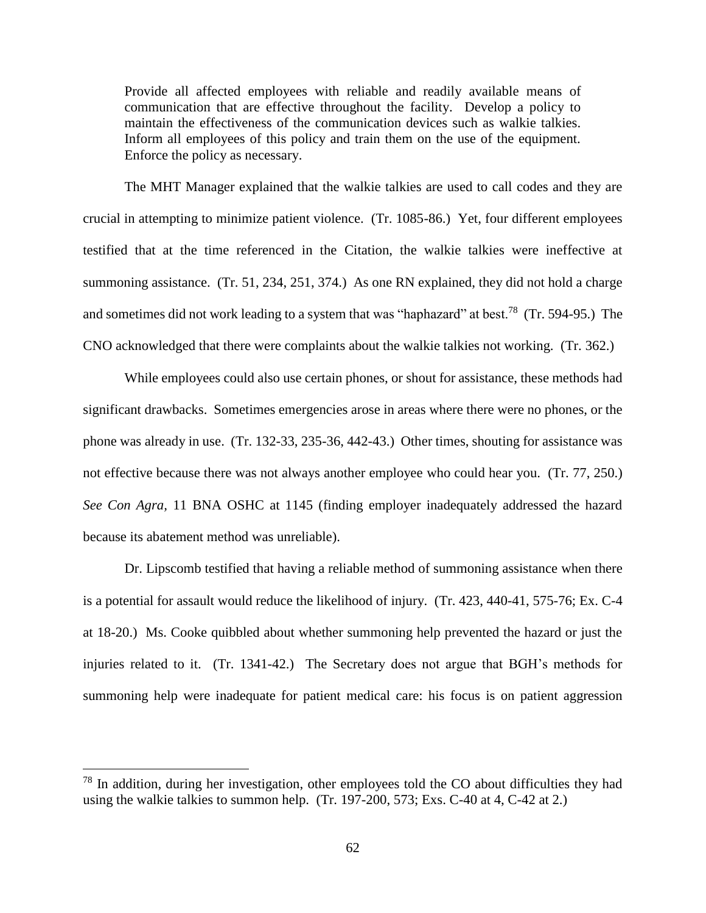Provide all affected employees with reliable and readily available means of communication that are effective throughout the facility. Develop a policy to maintain the effectiveness of the communication devices such as walkie talkies. Inform all employees of this policy and train them on the use of the equipment. Enforce the policy as necessary.

The MHT Manager explained that the walkie talkies are used to call codes and they are crucial in attempting to minimize patient violence. (Tr. 1085-86.) Yet, four different employees testified that at the time referenced in the Citation, the walkie talkies were ineffective at summoning assistance. (Tr. 51, 234, 251, 374.) As one RN explained, they did not hold a charge and sometimes did not work leading to a system that was "haphazard" at best.<sup>78</sup> (Tr. 594-95.) The CNO acknowledged that there were complaints about the walkie talkies not working. (Tr. 362.)

While employees could also use certain phones, or shout for assistance, these methods had significant drawbacks. Sometimes emergencies arose in areas where there were no phones, or the phone was already in use. (Tr. 132-33, 235-36, 442-43.) Other times, shouting for assistance was not effective because there was not always another employee who could hear you. (Tr. 77, 250.) *See Con Agra,* 11 BNA OSHC at 1145 (finding employer inadequately addressed the hazard because its abatement method was unreliable).

Dr. Lipscomb testified that having a reliable method of summoning assistance when there is a potential for assault would reduce the likelihood of injury. (Tr. 423, 440-41, 575-76; Ex. C-4 at 18-20.) Ms. Cooke quibbled about whether summoning help prevented the hazard or just the injuries related to it. (Tr. 1341-42.) The Secretary does not argue that BGH's methods for summoning help were inadequate for patient medical care: his focus is on patient aggression

<sup>78</sup> In addition, during her investigation, other employees told the CO about difficulties they had using the walkie talkies to summon help. (Tr. 197-200, 573; Exs. C-40 at 4, C-42 at 2.)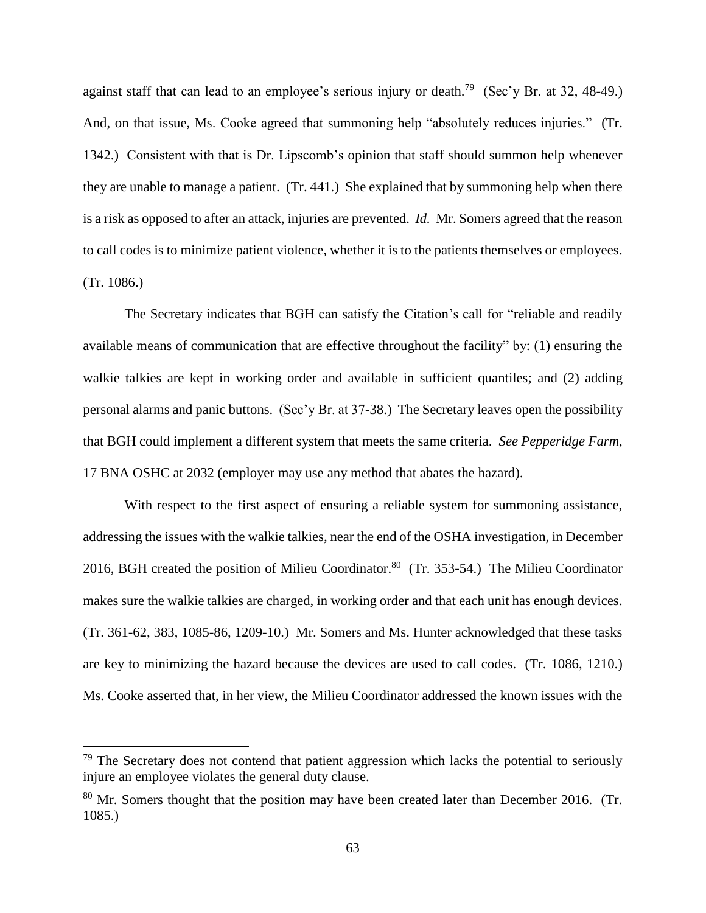against staff that can lead to an employee's serious injury or death.<sup>79</sup> (Sec'y Br. at 32, 48-49.) And, on that issue, Ms. Cooke agreed that summoning help "absolutely reduces injuries." (Tr. 1342.) Consistent with that is Dr. Lipscomb's opinion that staff should summon help whenever they are unable to manage a patient. (Tr. 441.) She explained that by summoning help when there is a risk as opposed to after an attack, injuries are prevented. *Id.* Mr. Somers agreed that the reason to call codes is to minimize patient violence, whether it is to the patients themselves or employees. (Tr. 1086.)

The Secretary indicates that BGH can satisfy the Citation's call for "reliable and readily available means of communication that are effective throughout the facility" by: (1) ensuring the walkie talkies are kept in working order and available in sufficient quantiles; and (2) adding personal alarms and panic buttons. (Sec'y Br. at 37-38.) The Secretary leaves open the possibility that BGH could implement a different system that meets the same criteria. *See Pepperidge Farm*, 17 BNA OSHC at 2032 (employer may use any method that abates the hazard).

With respect to the first aspect of ensuring a reliable system for summoning assistance, addressing the issues with the walkie talkies, near the end of the OSHA investigation, in December 2016, BGH created the position of Milieu Coordinator.<sup>80</sup> (Tr. 353-54.) The Milieu Coordinator makes sure the walkie talkies are charged, in working order and that each unit has enough devices. (Tr. 361-62, 383, 1085-86, 1209-10.) Mr. Somers and Ms. Hunter acknowledged that these tasks are key to minimizing the hazard because the devices are used to call codes. (Tr. 1086, 1210.) Ms. Cooke asserted that, in her view, the Milieu Coordinator addressed the known issues with the

 $79$  The Secretary does not contend that patient aggression which lacks the potential to seriously injure an employee violates the general duty clause.

 $80$  Mr. Somers thought that the position may have been created later than December 2016. (Tr. 1085.)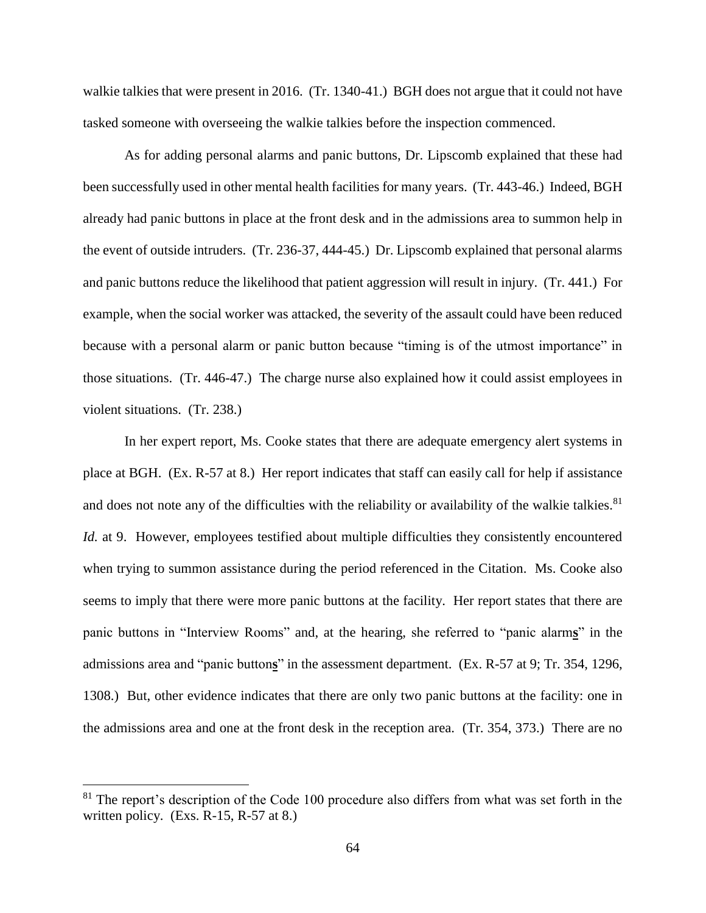walkie talkies that were present in 2016. (Tr. 1340-41.) BGH does not argue that it could not have tasked someone with overseeing the walkie talkies before the inspection commenced.

As for adding personal alarms and panic buttons, Dr. Lipscomb explained that these had been successfully used in other mental health facilities for many years. (Tr. 443-46.) Indeed, BGH already had panic buttons in place at the front desk and in the admissions area to summon help in the event of outside intruders. (Tr. 236-37, 444-45.) Dr. Lipscomb explained that personal alarms and panic buttons reduce the likelihood that patient aggression will result in injury. (Tr. 441.) For example, when the social worker was attacked, the severity of the assault could have been reduced because with a personal alarm or panic button because "timing is of the utmost importance" in those situations. (Tr. 446-47.) The charge nurse also explained how it could assist employees in violent situations. (Tr. 238.)

In her expert report, Ms. Cooke states that there are adequate emergency alert systems in place at BGH. (Ex. R-57 at 8.) Her report indicates that staff can easily call for help if assistance and does not note any of the difficulties with the reliability or availability of the walkie talkies.<sup>81</sup> *Id.* at 9. However, employees testified about multiple difficulties they consistently encountered when trying to summon assistance during the period referenced in the Citation. Ms. Cooke also seems to imply that there were more panic buttons at the facility. Her report states that there are panic buttons in "Interview Rooms" and, at the hearing, she referred to "panic alarm**s**" in the admissions area and "panic button**s**" in the assessment department. (Ex. R-57 at 9; Tr. 354, 1296, 1308.) But, other evidence indicates that there are only two panic buttons at the facility: one in the admissions area and one at the front desk in the reception area. (Tr. 354, 373.) There are no

 $81$  The report's description of the Code 100 procedure also differs from what was set forth in the written policy. (Exs. R-15, R-57 at 8.)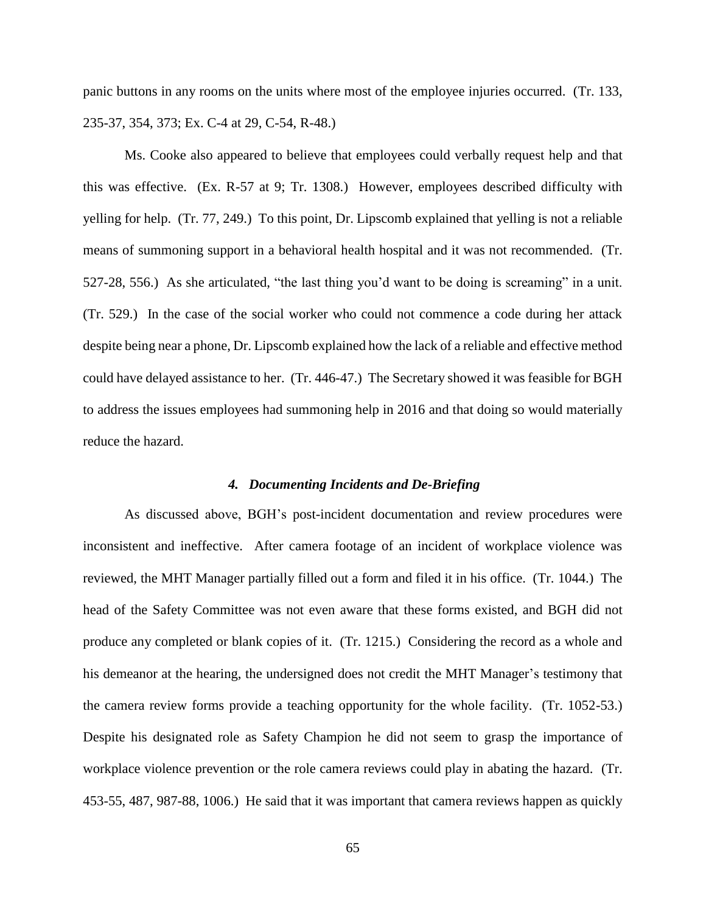panic buttons in any rooms on the units where most of the employee injuries occurred. (Tr. 133, 235-37, 354, 373; Ex. C-4 at 29, C-54, R-48.)

Ms. Cooke also appeared to believe that employees could verbally request help and that this was effective. (Ex. R-57 at 9; Tr. 1308.) However, employees described difficulty with yelling for help. (Tr. 77, 249.) To this point, Dr. Lipscomb explained that yelling is not a reliable means of summoning support in a behavioral health hospital and it was not recommended. (Tr. 527-28, 556.) As she articulated, "the last thing you'd want to be doing is screaming" in a unit. (Tr. 529.) In the case of the social worker who could not commence a code during her attack despite being near a phone, Dr. Lipscomb explained how the lack of a reliable and effective method could have delayed assistance to her. (Tr. 446-47.) The Secretary showed it was feasible for BGH to address the issues employees had summoning help in 2016 and that doing so would materially reduce the hazard.

### *4. Documenting Incidents and De-Briefing*

As discussed above, BGH's post-incident documentation and review procedures were inconsistent and ineffective. After camera footage of an incident of workplace violence was reviewed, the MHT Manager partially filled out a form and filed it in his office. (Tr. 1044.) The head of the Safety Committee was not even aware that these forms existed, and BGH did not produce any completed or blank copies of it. (Tr. 1215.) Considering the record as a whole and his demeanor at the hearing, the undersigned does not credit the MHT Manager's testimony that the camera review forms provide a teaching opportunity for the whole facility. (Tr. 1052-53.) Despite his designated role as Safety Champion he did not seem to grasp the importance of workplace violence prevention or the role camera reviews could play in abating the hazard. (Tr. 453-55, 487, 987-88, 1006.) He said that it was important that camera reviews happen as quickly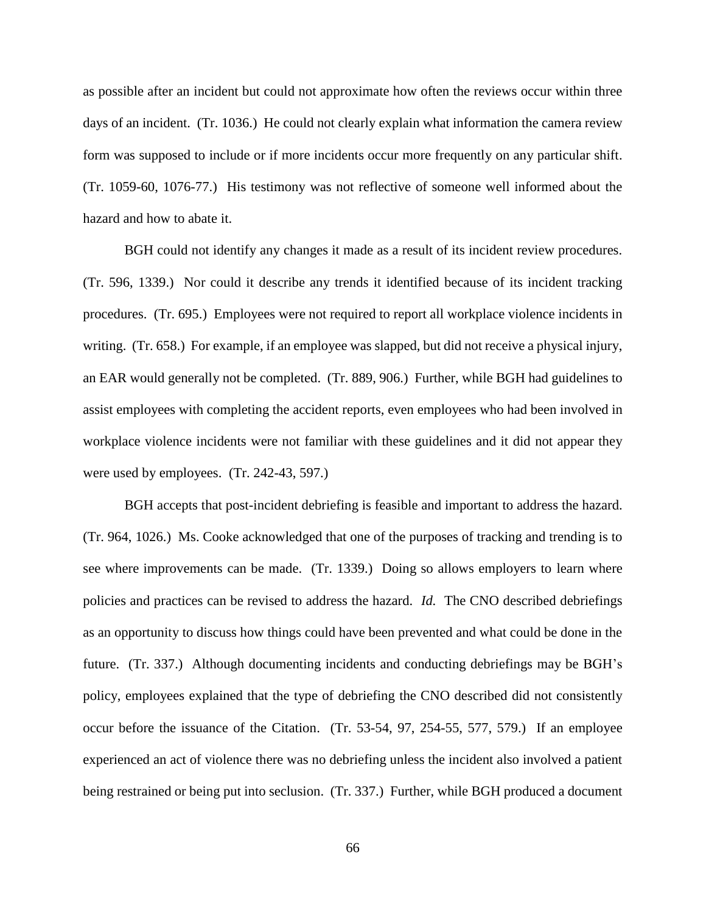as possible after an incident but could not approximate how often the reviews occur within three days of an incident. (Tr. 1036.) He could not clearly explain what information the camera review form was supposed to include or if more incidents occur more frequently on any particular shift. (Tr. 1059-60, 1076-77.) His testimony was not reflective of someone well informed about the hazard and how to abate it.

BGH could not identify any changes it made as a result of its incident review procedures. (Tr. 596, 1339.) Nor could it describe any trends it identified because of its incident tracking procedures. (Tr. 695.) Employees were not required to report all workplace violence incidents in writing. (Tr. 658.) For example, if an employee was slapped, but did not receive a physical injury, an EAR would generally not be completed. (Tr. 889, 906.) Further, while BGH had guidelines to assist employees with completing the accident reports, even employees who had been involved in workplace violence incidents were not familiar with these guidelines and it did not appear they were used by employees. (Tr. 242-43, 597.)

BGH accepts that post-incident debriefing is feasible and important to address the hazard. (Tr. 964, 1026.) Ms. Cooke acknowledged that one of the purposes of tracking and trending is to see where improvements can be made. (Tr. 1339.) Doing so allows employers to learn where policies and practices can be revised to address the hazard. *Id.* The CNO described debriefings as an opportunity to discuss how things could have been prevented and what could be done in the future. (Tr. 337.) Although documenting incidents and conducting debriefings may be BGH's policy, employees explained that the type of debriefing the CNO described did not consistently occur before the issuance of the Citation. (Tr. 53-54, 97, 254-55, 577, 579.) If an employee experienced an act of violence there was no debriefing unless the incident also involved a patient being restrained or being put into seclusion. (Tr. 337.) Further, while BGH produced a document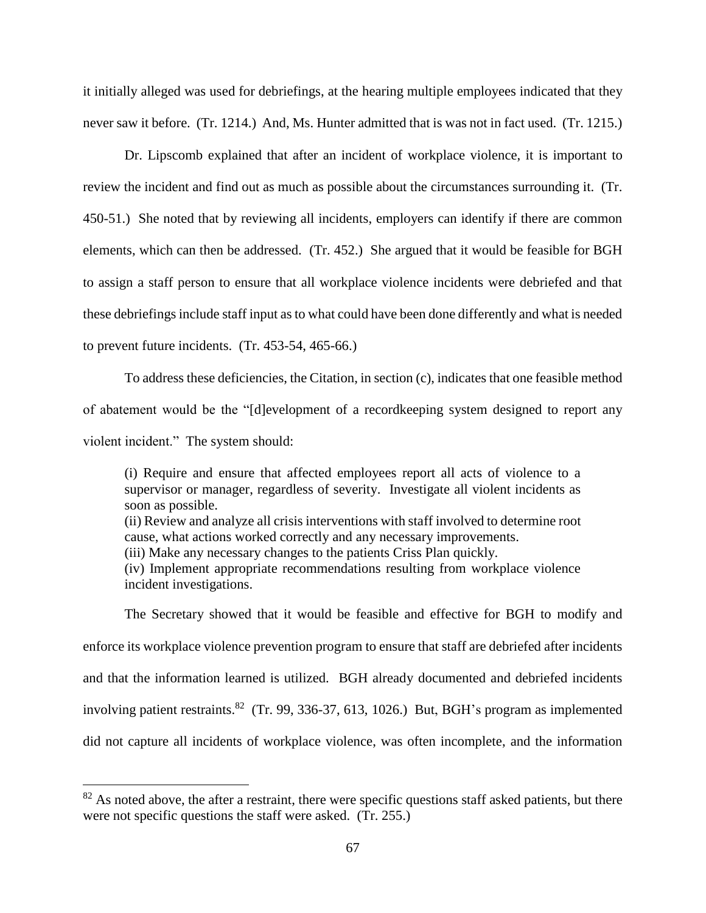it initially alleged was used for debriefings, at the hearing multiple employees indicated that they never saw it before. (Tr. 1214.) And, Ms. Hunter admitted that is was not in fact used. (Tr. 1215.)

Dr. Lipscomb explained that after an incident of workplace violence, it is important to review the incident and find out as much as possible about the circumstances surrounding it. (Tr. 450-51.) She noted that by reviewing all incidents, employers can identify if there are common elements, which can then be addressed. (Tr. 452.) She argued that it would be feasible for BGH to assign a staff person to ensure that all workplace violence incidents were debriefed and that these debriefings include staff input as to what could have been done differently and what is needed to prevent future incidents. (Tr. 453-54, 465-66.)

To address these deficiencies, the Citation, in section (c), indicates that one feasible method of abatement would be the "[d]evelopment of a recordkeeping system designed to report any violent incident." The system should:

(i) Require and ensure that affected employees report all acts of violence to a supervisor or manager, regardless of severity. Investigate all violent incidents as soon as possible.

(ii) Review and analyze all crisis interventions with staff involved to determine root cause, what actions worked correctly and any necessary improvements.

(iii) Make any necessary changes to the patients Criss Plan quickly.

(iv) Implement appropriate recommendations resulting from workplace violence incident investigations.

The Secretary showed that it would be feasible and effective for BGH to modify and enforce its workplace violence prevention program to ensure that staff are debriefed after incidents and that the information learned is utilized. BGH already documented and debriefed incidents involving patient restraints.<sup>82</sup> (Tr. 99, 336-37, 613, 1026.) But, BGH's program as implemented did not capture all incidents of workplace violence, was often incomplete, and the information

 $82$  As noted above, the after a restraint, there were specific questions staff asked patients, but there were not specific questions the staff were asked. (Tr. 255.)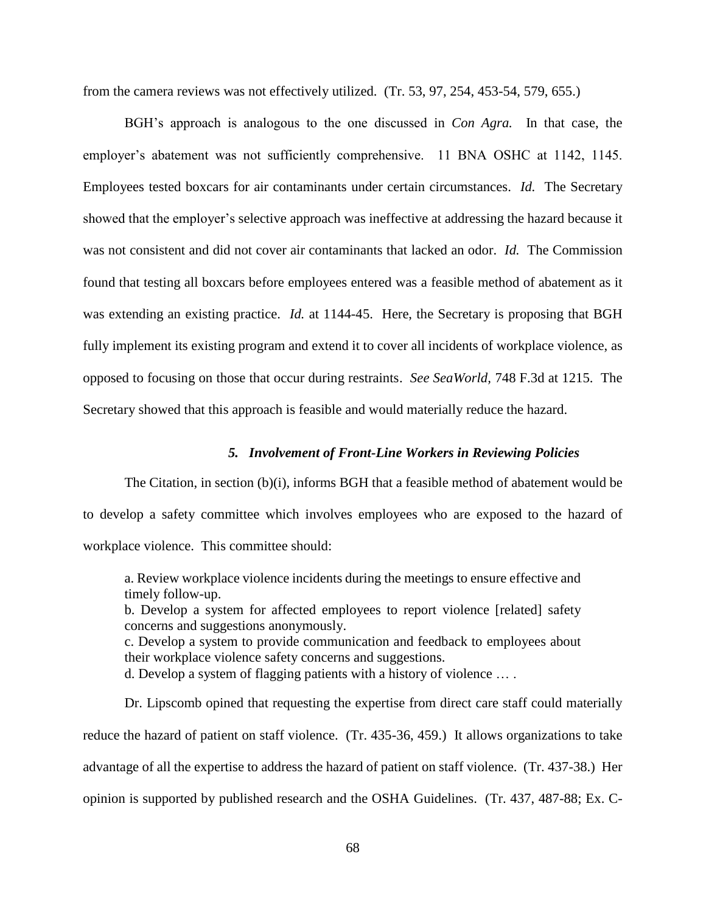from the camera reviews was not effectively utilized. (Tr. 53, 97, 254, 453-54, 579, 655.)

BGH's approach is analogous to the one discussed in *Con Agra.* In that case, the employer's abatement was not sufficiently comprehensive. 11 BNA OSHC at 1142, 1145. Employees tested boxcars for air contaminants under certain circumstances. *Id.* The Secretary showed that the employer's selective approach was ineffective at addressing the hazard because it was not consistent and did not cover air contaminants that lacked an odor. *Id.* The Commission found that testing all boxcars before employees entered was a feasible method of abatement as it was extending an existing practice. *Id.* at 1144-45. Here, the Secretary is proposing that BGH fully implement its existing program and extend it to cover all incidents of workplace violence, as opposed to focusing on those that occur during restraints. *See SeaWorld,* 748 F.3d at 1215. The Secretary showed that this approach is feasible and would materially reduce the hazard.

#### *5. Involvement of Front-Line Workers in Reviewing Policies*

The Citation, in section (b)(i), informs BGH that a feasible method of abatement would be to develop a safety committee which involves employees who are exposed to the hazard of workplace violence. This committee should:

a. Review workplace violence incidents during the meetings to ensure effective and timely follow-up.

b. Develop a system for affected employees to report violence [related] safety concerns and suggestions anonymously.

c. Develop a system to provide communication and feedback to employees about their workplace violence safety concerns and suggestions.

d. Develop a system of flagging patients with a history of violence … .

Dr. Lipscomb opined that requesting the expertise from direct care staff could materially reduce the hazard of patient on staff violence. (Tr. 435-36, 459.) It allows organizations to take advantage of all the expertise to address the hazard of patient on staff violence. (Tr. 437-38.) Her opinion is supported by published research and the OSHA Guidelines. (Tr. 437, 487-88; Ex. C-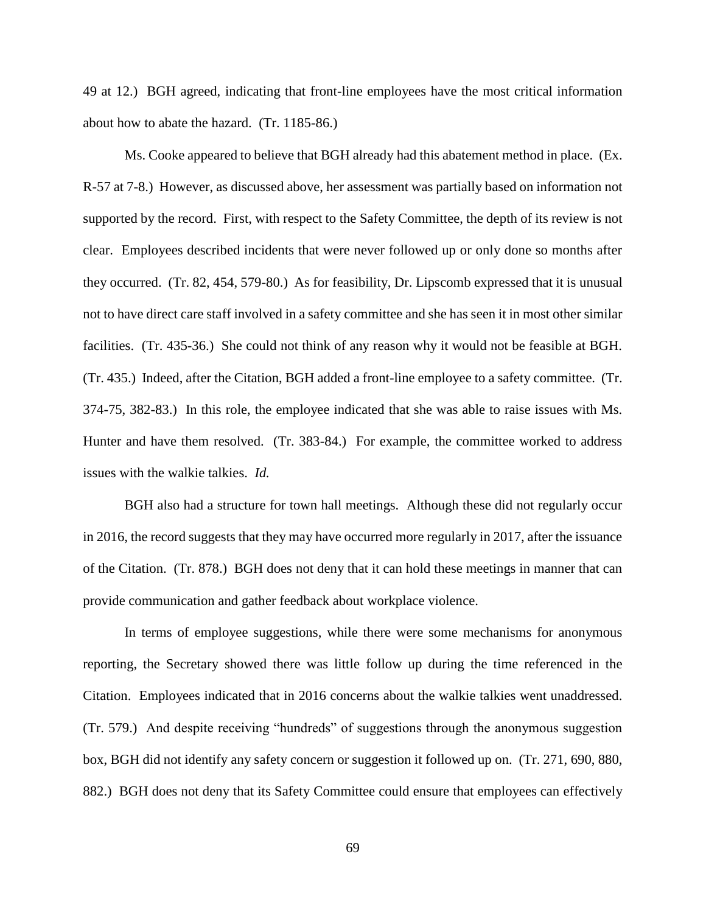49 at 12.) BGH agreed, indicating that front-line employees have the most critical information about how to abate the hazard. (Tr. 1185-86.)

Ms. Cooke appeared to believe that BGH already had this abatement method in place. (Ex. R-57 at 7-8.) However, as discussed above, her assessment was partially based on information not supported by the record. First, with respect to the Safety Committee, the depth of its review is not clear. Employees described incidents that were never followed up or only done so months after they occurred. (Tr. 82, 454, 579-80.) As for feasibility, Dr. Lipscomb expressed that it is unusual not to have direct care staff involved in a safety committee and she has seen it in most other similar facilities. (Tr. 435-36.) She could not think of any reason why it would not be feasible at BGH. (Tr. 435.) Indeed, after the Citation, BGH added a front-line employee to a safety committee. (Tr. 374-75, 382-83.) In this role, the employee indicated that she was able to raise issues with Ms. Hunter and have them resolved. (Tr. 383-84.) For example, the committee worked to address issues with the walkie talkies. *Id.*

BGH also had a structure for town hall meetings. Although these did not regularly occur in 2016, the record suggests that they may have occurred more regularly in 2017, after the issuance of the Citation. (Tr. 878.) BGH does not deny that it can hold these meetings in manner that can provide communication and gather feedback about workplace violence.

In terms of employee suggestions, while there were some mechanisms for anonymous reporting, the Secretary showed there was little follow up during the time referenced in the Citation. Employees indicated that in 2016 concerns about the walkie talkies went unaddressed. (Tr. 579.) And despite receiving "hundreds" of suggestions through the anonymous suggestion box, BGH did not identify any safety concern or suggestion it followed up on. (Tr. 271, 690, 880, 882.) BGH does not deny that its Safety Committee could ensure that employees can effectively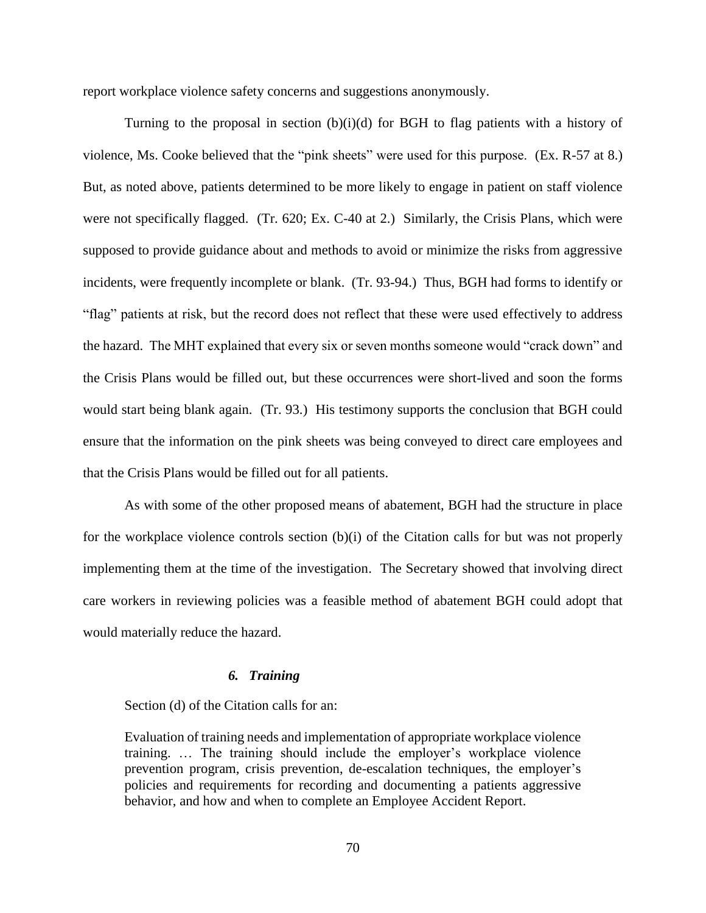report workplace violence safety concerns and suggestions anonymously.

Turning to the proposal in section  $(b)(i)(d)$  for BGH to flag patients with a history of violence, Ms. Cooke believed that the "pink sheets" were used for this purpose. (Ex. R-57 at 8.) But, as noted above, patients determined to be more likely to engage in patient on staff violence were not specifically flagged. (Tr. 620; Ex. C-40 at 2.) Similarly, the Crisis Plans, which were supposed to provide guidance about and methods to avoid or minimize the risks from aggressive incidents, were frequently incomplete or blank. (Tr. 93-94.) Thus, BGH had forms to identify or "flag" patients at risk, but the record does not reflect that these were used effectively to address the hazard. The MHT explained that every six or seven months someone would "crack down" and the Crisis Plans would be filled out, but these occurrences were short-lived and soon the forms would start being blank again. (Tr. 93.) His testimony supports the conclusion that BGH could ensure that the information on the pink sheets was being conveyed to direct care employees and that the Crisis Plans would be filled out for all patients.

As with some of the other proposed means of abatement, BGH had the structure in place for the workplace violence controls section (b)(i) of the Citation calls for but was not properly implementing them at the time of the investigation. The Secretary showed that involving direct care workers in reviewing policies was a feasible method of abatement BGH could adopt that would materially reduce the hazard.

# *6. Training*

Section (d) of the Citation calls for an:

Evaluation of training needs and implementation of appropriate workplace violence training. … The training should include the employer's workplace violence prevention program, crisis prevention, de-escalation techniques, the employer's policies and requirements for recording and documenting a patients aggressive behavior, and how and when to complete an Employee Accident Report.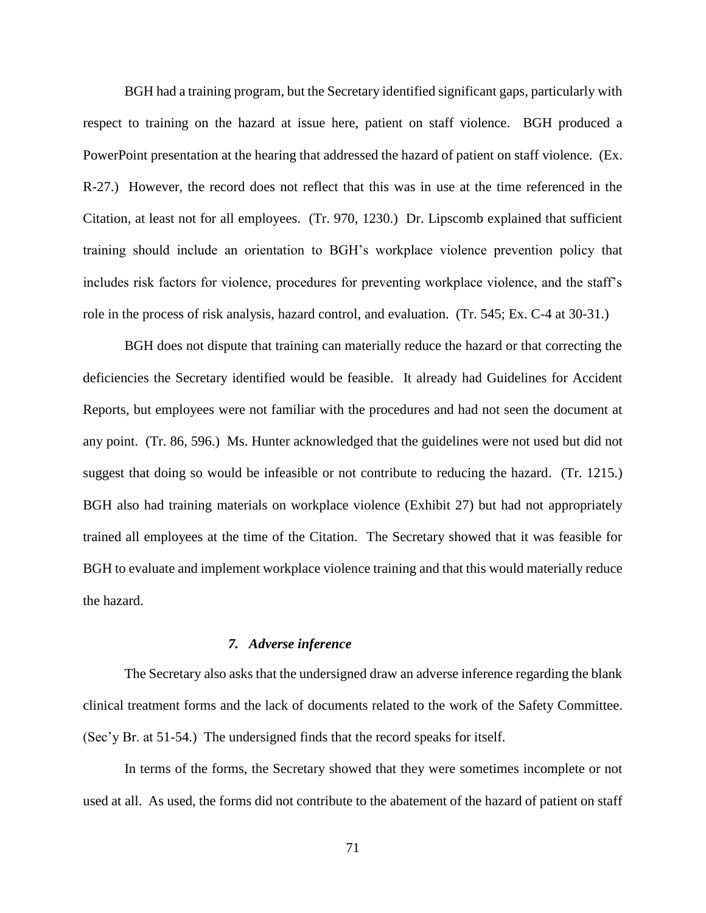BGH had a training program, but the Secretary identified significant gaps, particularly with respect to training on the hazard at issue here, patient on staff violence. BGH produced a PowerPoint presentation at the hearing that addressed the hazard of patient on staff violence. (Ex. R-27.) However, the record does not reflect that this was in use at the time referenced in the Citation, at least not for all employees. (Tr. 970, 1230.) Dr. Lipscomb explained that sufficient training should include an orientation to BGH's workplace violence prevention policy that includes risk factors for violence, procedures for preventing workplace violence, and the staff's role in the process of risk analysis, hazard control, and evaluation. (Tr. 545; Ex. C-4 at 30-31.)

BGH does not dispute that training can materially reduce the hazard or that correcting the deficiencies the Secretary identified would be feasible. It already had Guidelines for Accident Reports, but employees were not familiar with the procedures and had not seen the document at any point. (Tr. 86, 596.) Ms. Hunter acknowledged that the guidelines were not used but did not suggest that doing so would be infeasible or not contribute to reducing the hazard. (Tr. 1215.) BGH also had training materials on workplace violence (Exhibit 27) but had not appropriately trained all employees at the time of the Citation. The Secretary showed that it was feasible for BGH to evaluate and implement workplace violence training and that this would materially reduce the hazard.

### *7. Adverse inference*

The Secretary also asks that the undersigned draw an adverse inference regarding the blank clinical treatment forms and the lack of documents related to the work of the Safety Committee. (Sec'y Br. at 51-54.) The undersigned finds that the record speaks for itself.

In terms of the forms, the Secretary showed that they were sometimes incomplete or not used at all. As used, the forms did not contribute to the abatement of the hazard of patient on staff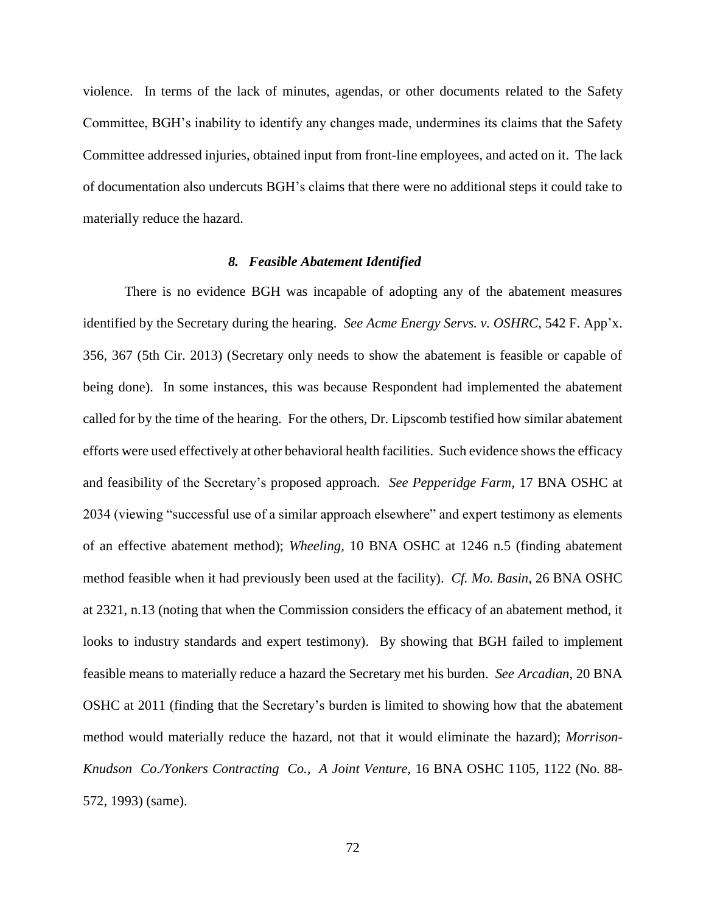violence. In terms of the lack of minutes, agendas, or other documents related to the Safety Committee, BGH's inability to identify any changes made, undermines its claims that the Safety Committee addressed injuries, obtained input from front-line employees, and acted on it. The lack of documentation also undercuts BGH's claims that there were no additional steps it could take to materially reduce the hazard.

#### *8. Feasible Abatement Identified*

There is no evidence BGH was incapable of adopting any of the abatement measures identified by the Secretary during the hearing. *See Acme Energy Servs. v. OSHRC,* 542 F. App'x. 356, 367 (5th Cir. 2013) (Secretary only needs to show the abatement is feasible or capable of being done). In some instances, this was because Respondent had implemented the abatement called for by the time of the hearing. For the others, Dr. Lipscomb testified how similar abatement efforts were used effectively at other behavioral health facilities. Such evidence shows the efficacy and feasibility of the Secretary's proposed approach. *See Pepperidge Farm,* 17 BNA OSHC at 2034 (viewing "successful use of a similar approach elsewhere" and expert testimony as elements of an effective abatement method); *Wheeling,* 10 BNA OSHC at 1246 n.5 (finding abatement method feasible when it had previously been used at the facility). *Cf. Mo. Basin*, 26 BNA OSHC at 2321, n.13 (noting that when the Commission considers the efficacy of an abatement method, it looks to industry standards and expert testimony). By showing that BGH failed to implement feasible means to materially reduce a hazard the Secretary met his burden. *See Arcadian*, 20 BNA OSHC at 2011 (finding that the Secretary's burden is limited to showing how that the abatement method would materially reduce the hazard, not that it would eliminate the hazard); *Morrison-Knudson Co./Yonkers Contracting Co., A Joint Venture,* 16 BNA OSHC 1105, 1122 (No. 88- 572, 1993) (same).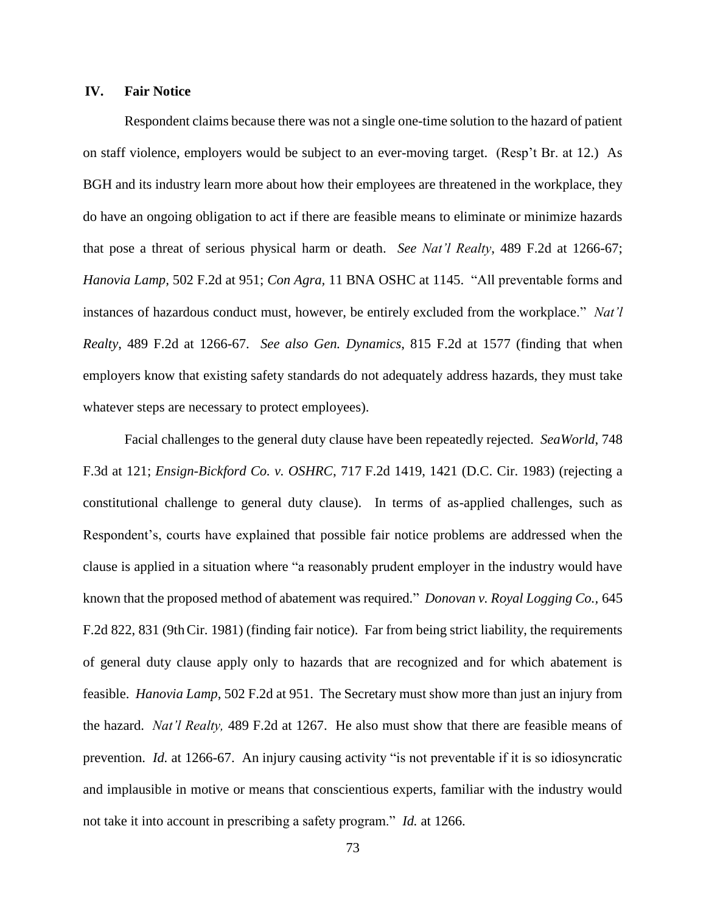## **IV. Fair Notice**

Respondent claims because there was not a single one-time solution to the hazard of patient on staff violence, employers would be subject to an ever-moving target. (Resp't Br. at 12.) As BGH and its industry learn more about how their employees are threatened in the workplace, they do have an ongoing obligation to act if there are feasible means to eliminate or minimize hazards that pose a threat of serious physical harm or death. *See Nat'l Realty*, 489 F.2d at 1266-67; *Hanovia Lamp,* 502 F.2d at 951; *Con Agra,* 11 BNA OSHC at 1145. "All preventable forms and instances of hazardous conduct must, however, be entirely excluded from the workplace." *Nat'l Realty*, 489 F.2d at 1266-67. *See also Gen. Dynamics*, 815 F.2d at 1577 (finding that when employers know that existing safety standards do not adequately address hazards, they must take whatever steps are necessary to protect employees).

Facial challenges to the general duty clause have been repeatedly rejected. *SeaWorld*, 748 F.3d at 121; *Ensign-Bickford Co. v. OSHRC*, 717 F.2d 1419, 1421 (D.C. Cir. 1983) (rejecting a constitutional challenge to general duty clause). In terms of as-applied challenges, such as Respondent's, courts have explained that possible fair notice problems are addressed when the clause is applied in a situation where "a reasonably prudent employer in the industry would have known that the proposed method of abatement was required." *Donovan v. Royal Logging Co.,* 645 F.2d 822, 831 (9thCir. 1981) (finding fair notice). Far from being strict liability, the requirements of general duty clause apply only to hazards that are recognized and for which abatement is feasible. *Hanovia Lamp*, 502 F.2d at 951. The Secretary must show more than just an injury from the hazard. *Nat'l Realty,* 489 F.2d at 1267. He also must show that there are feasible means of prevention. *Id.* at 1266-67. An injury causing activity "is not preventable if it is so idiosyncratic and implausible in motive or means that conscientious experts, familiar with the industry would not take it into account in prescribing a safety program." *Id.* at 1266.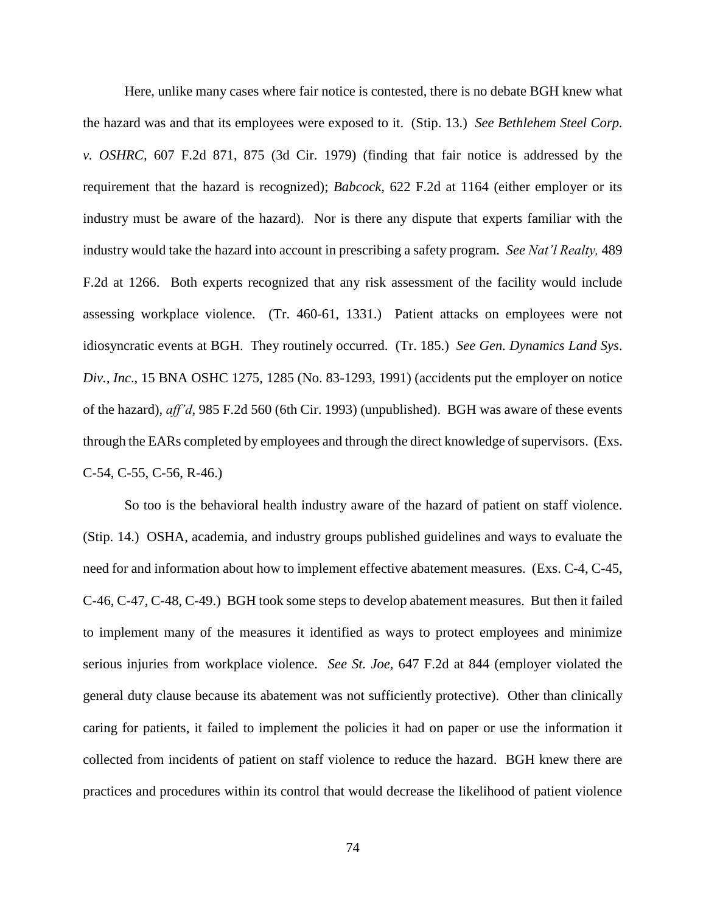Here, unlike many cases where fair notice is contested, there is no debate BGH knew what the hazard was and that its employees were exposed to it. (Stip. 13.) *See Bethlehem Steel Corp. v. OSHRC,* 607 F.2d 871, 875 (3d Cir. 1979) (finding that fair notice is addressed by the requirement that the hazard is recognized); *Babcock,* 622 F.2d at 1164 (either employer or its industry must be aware of the hazard). Nor is there any dispute that experts familiar with the industry would take the hazard into account in prescribing a safety program. *See Nat'l Realty,* 489 F.2d at 1266. Both experts recognized that any risk assessment of the facility would include assessing workplace violence. (Tr. 460-61, 1331.) Patient attacks on employees were not idiosyncratic events at BGH. They routinely occurred. (Tr. 185.) *See Gen. Dynamics Land Sys*. *Div., Inc*., 15 BNA OSHC 1275, 1285 (No. 83-1293, 1991) (accidents put the employer on notice of the hazard), *aff'd*, 985 F.2d 560 (6th Cir. 1993) (unpublished). BGH was aware of these events through the EARs completed by employees and through the direct knowledge of supervisors. (Exs. C-54, C-55, C-56, R-46.)

So too is the behavioral health industry aware of the hazard of patient on staff violence. (Stip. 14.) OSHA, academia, and industry groups published guidelines and ways to evaluate the need for and information about how to implement effective abatement measures. (Exs. C-4, C-45, C-46, C-47, C-48, C-49.) BGH took some steps to develop abatement measures. But then it failed to implement many of the measures it identified as ways to protect employees and minimize serious injuries from workplace violence. *See St. Joe,* 647 F.2d at 844 (employer violated the general duty clause because its abatement was not sufficiently protective). Other than clinically caring for patients, it failed to implement the policies it had on paper or use the information it collected from incidents of patient on staff violence to reduce the hazard. BGH knew there are practices and procedures within its control that would decrease the likelihood of patient violence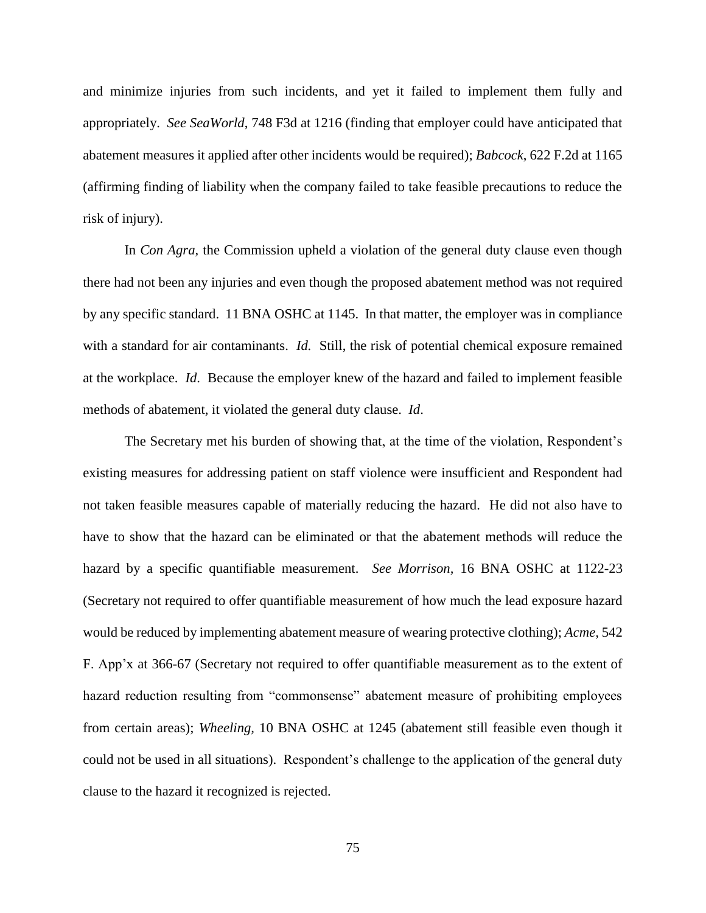and minimize injuries from such incidents, and yet it failed to implement them fully and appropriately. *See SeaWorld*, 748 F3d at 1216 (finding that employer could have anticipated that abatement measures it applied after other incidents would be required); *Babcock*, 622 F.2d at 1165 (affirming finding of liability when the company failed to take feasible precautions to reduce the risk of injury).

In *Con Agra*, the Commission upheld a violation of the general duty clause even though there had not been any injuries and even though the proposed abatement method was not required by any specific standard. 11 BNA OSHC at 1145. In that matter, the employer was in compliance with a standard for air contaminants. *Id.* Still, the risk of potential chemical exposure remained at the workplace. *Id*. Because the employer knew of the hazard and failed to implement feasible methods of abatement, it violated the general duty clause. *Id*.

The Secretary met his burden of showing that, at the time of the violation, Respondent's existing measures for addressing patient on staff violence were insufficient and Respondent had not taken feasible measures capable of materially reducing the hazard. He did not also have to have to show that the hazard can be eliminated or that the abatement methods will reduce the hazard by a specific quantifiable measurement. *See Morrison,* 16 BNA OSHC at 1122-23 (Secretary not required to offer quantifiable measurement of how much the lead exposure hazard would be reduced by implementing abatement measure of wearing protective clothing); *Acme,* 542 F. App'x at 366-67 (Secretary not required to offer quantifiable measurement as to the extent of hazard reduction resulting from "commonsense" abatement measure of prohibiting employees from certain areas); *Wheeling,* 10 BNA OSHC at 1245 (abatement still feasible even though it could not be used in all situations). Respondent's challenge to the application of the general duty clause to the hazard it recognized is rejected.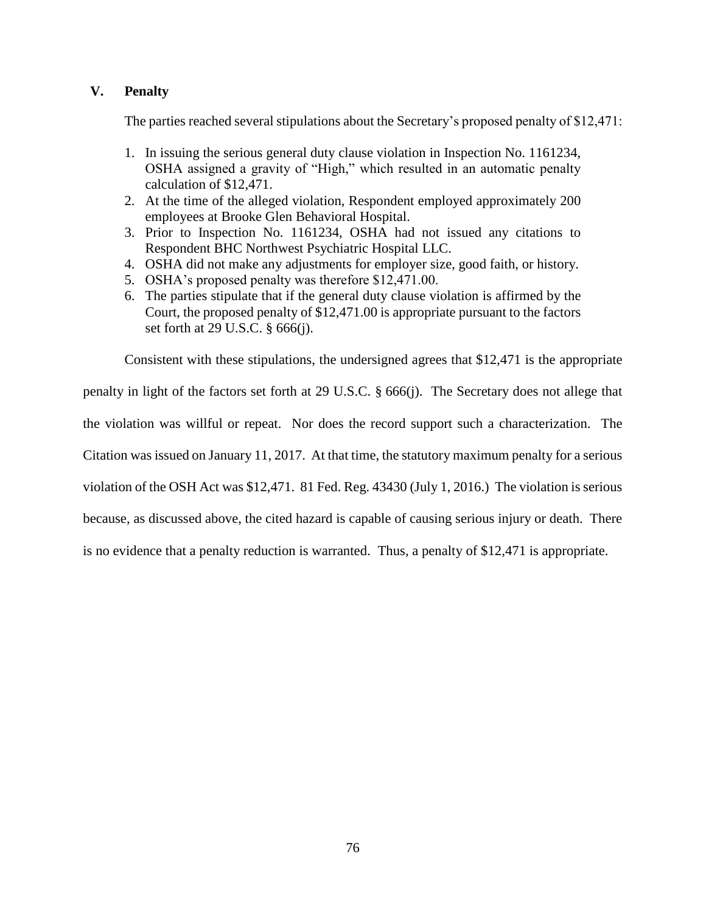## **V. Penalty**

The parties reached several stipulations about the Secretary's proposed penalty of \$12,471:

- 1. In issuing the serious general duty clause violation in Inspection No. 1161234, OSHA assigned a gravity of "High," which resulted in an automatic penalty calculation of \$12,471.
- 2. At the time of the alleged violation, Respondent employed approximately 200 employees at Brooke Glen Behavioral Hospital.
- 3. Prior to Inspection No. 1161234, OSHA had not issued any citations to Respondent BHC Northwest Psychiatric Hospital LLC.
- 4. OSHA did not make any adjustments for employer size, good faith, or history.
- 5. OSHA's proposed penalty was therefore \$12,471.00.
- 6. The parties stipulate that if the general duty clause violation is affirmed by the Court, the proposed penalty of \$12,471.00 is appropriate pursuant to the factors set forth at 29 U.S.C. § 666(j).

Consistent with these stipulations, the undersigned agrees that \$12,471 is the appropriate

penalty in light of the factors set forth at 29 U.S.C. § 666(j). The Secretary does not allege that the violation was willful or repeat. Nor does the record support such a characterization. The Citation was issued on January 11, 2017. At that time, the statutory maximum penalty for a serious violation of the OSH Act was \$12,471. 81 Fed. Reg. 43430 (July 1, 2016.) The violation is serious because, as discussed above, the cited hazard is capable of causing serious injury or death. There is no evidence that a penalty reduction is warranted. Thus, a penalty of \$12,471 is appropriate.